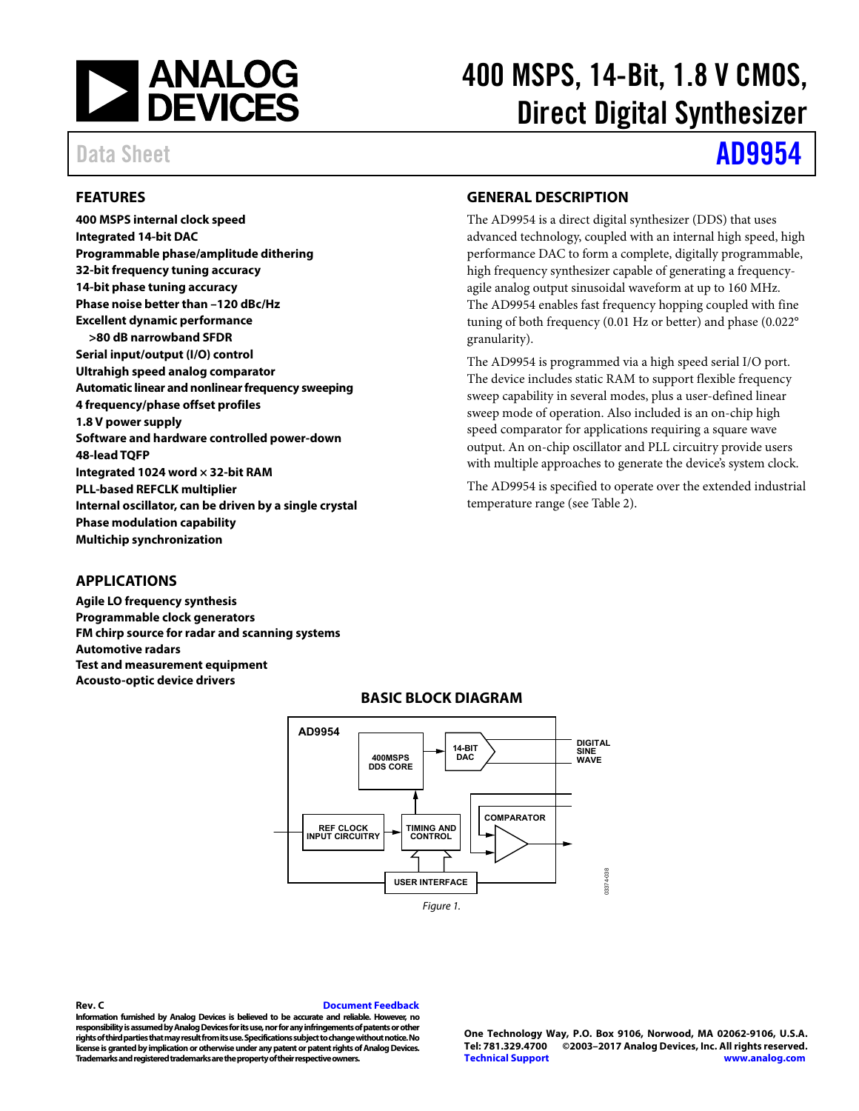

# 400 MSPS, 14-Bit, 1.8 V CMOS, Direct Digital Synthesizer

# Data Sheet **[AD9954](http://www.analog.com/AD9954?doc=AD9954.pdf)**

# <span id="page-0-0"></span>**FEATURES**

**400 MSPS internal clock speed Integrated 14-bit DAC Programmable phase/amplitude dithering 32-bit frequency tuning accuracy 14-bit phase tuning accuracy Phase noise better than –120 dBc/Hz Excellent dynamic performance >80 dB narrowband SFDR Serial input/output (I/O) control Ultrahigh speed analog comparator Automatic linear and nonlinear frequency sweeping 4 frequency/phase offset profiles 1.8 V power supply Software and hardware controlled power-down 48-lead TQFP Integrated 1024 word × 32-bit RAM PLL-based REFCLK multiplier Internal oscillator, can be driven by a single crystal Phase modulation capability Multichip synchronization** 

# <span id="page-0-2"></span>**GENERAL DESCRIPTION**

The AD9954 is a direct digital synthesizer (DDS) that uses advanced technology, coupled with an internal high speed, high performance DAC to form a complete, digitally programmable, high frequency synthesizer capable of generating a frequencyagile analog output sinusoidal waveform at up to 160 MHz. The AD9954 enables fast frequency hopping coupled with fine tuning of both frequency (0.01 Hz or better) and phase (0.022° granularity).

The AD9954 is programmed via a high speed serial I/O port. The device includes static RAM to support flexible frequency sweep capability in several modes, plus a user-defined linear sweep mode of operation. Also included is an on-chip high speed comparator for applications requiring a square wave output. An on-chip oscillator and PLL circuitry provide users with multiple approaches to generate the device's system clock.

The AD9954 is specified to operate over the extended industrial temperature range (see [Table 2\)](#page-6-0).

## <span id="page-0-1"></span>**APPLICATIONS**

<span id="page-0-3"></span>**Agile LO frequency synthesis Programmable clock generators FM chirp source for radar and scanning systems Automotive radars Test and measurement equipment Acousto-optic device drivers** 



## **BASIC BLOCK DIAGRAM**

**Rev. C [Document Feedback](https://form.analog.com/Form_Pages/feedback/documentfeedback.aspx?doc=AD9954.pdf&product=AD9954&rev=C)  Information furnished by Analog Devices is believed to be accurate and reliable. However, no responsibility is assumed by Analog Devices for its use, nor for any infringements of patents or other rights of third parties that may result from its use. Specifications subject to change without notice. No license is granted by implication or otherwise under any patent or patent rights of Analog Devices. Trademarks and registered trademarks are the property of their respective owners.** 

**One Technology Way, P.O. Box 9106, Norwood, MA 02062-9106, U.S.A. Tel: 781.329.4700 ©2003–2017 Analog Devices, Inc. All rights reserved. [Technical Support](http://www.analog.com/en/content/technical_support_page/fca.html) [www.analog.com](http://www.analog.com/)**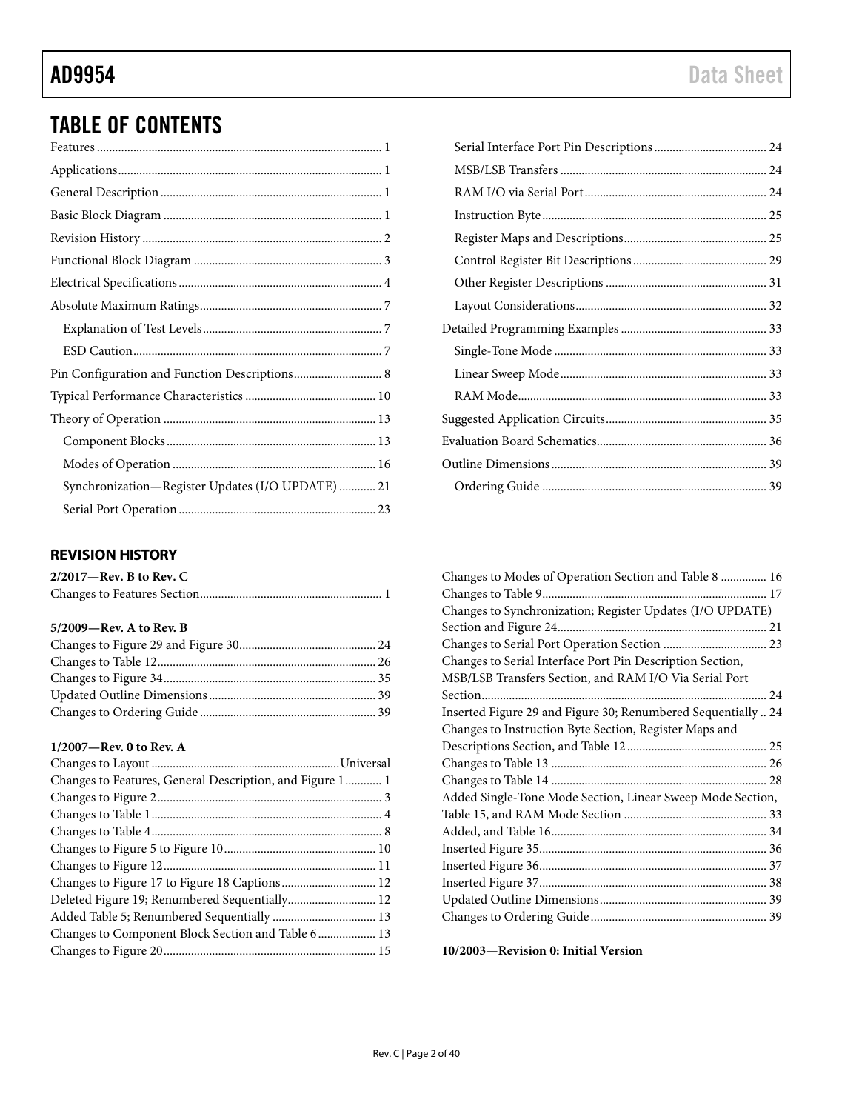# TABLE OF CONTENTS

| Synchronization-Register Updates (I/O UPDATE)  21 |
|---------------------------------------------------|
|                                                   |
|                                                   |

# <span id="page-1-0"></span>**REVISION HISTORY**

| $2/2017$ —Rev. B to Rev. C |  |
|----------------------------|--|
|                            |  |

# **5/2009—Rev. A to Rev. B**

# **1/2007—Rev. 0 to Rev. A**

| Changes to Features, General Description, and Figure 1 1 |  |
|----------------------------------------------------------|--|
|                                                          |  |
|                                                          |  |
|                                                          |  |
|                                                          |  |
|                                                          |  |
|                                                          |  |
| Deleted Figure 19; Renumbered Sequentially 12            |  |
|                                                          |  |
|                                                          |  |
|                                                          |  |
|                                                          |  |

| Changes to Modes of Operation Section and Table 8  16         |
|---------------------------------------------------------------|
|                                                               |
| Changes to Synchronization; Register Updates (I/O UPDATE)     |
|                                                               |
|                                                               |
| Changes to Serial Interface Port Pin Description Section,     |
| MSB/LSB Transfers Section, and RAM I/O Via Serial Port        |
|                                                               |
| Inserted Figure 29 and Figure 30; Renumbered Sequentially  24 |
| Changes to Instruction Byte Section, Register Maps and        |
|                                                               |
|                                                               |
|                                                               |
| Added Single-Tone Mode Section, Linear Sweep Mode Section,    |
|                                                               |
|                                                               |
|                                                               |
|                                                               |
|                                                               |
|                                                               |
|                                                               |

**10/2003—Revision 0: Initial Version**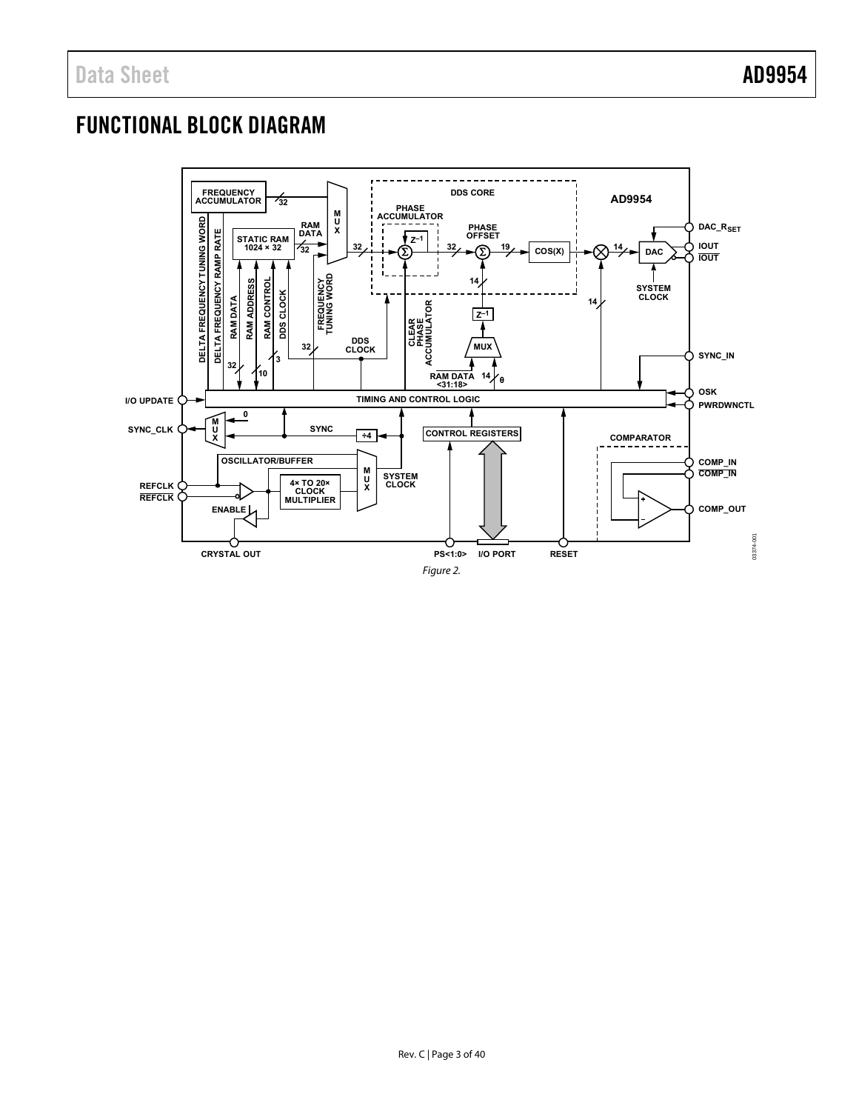# <span id="page-2-0"></span>FUNCTIONAL BLOCK DIAGRAM

<span id="page-2-1"></span>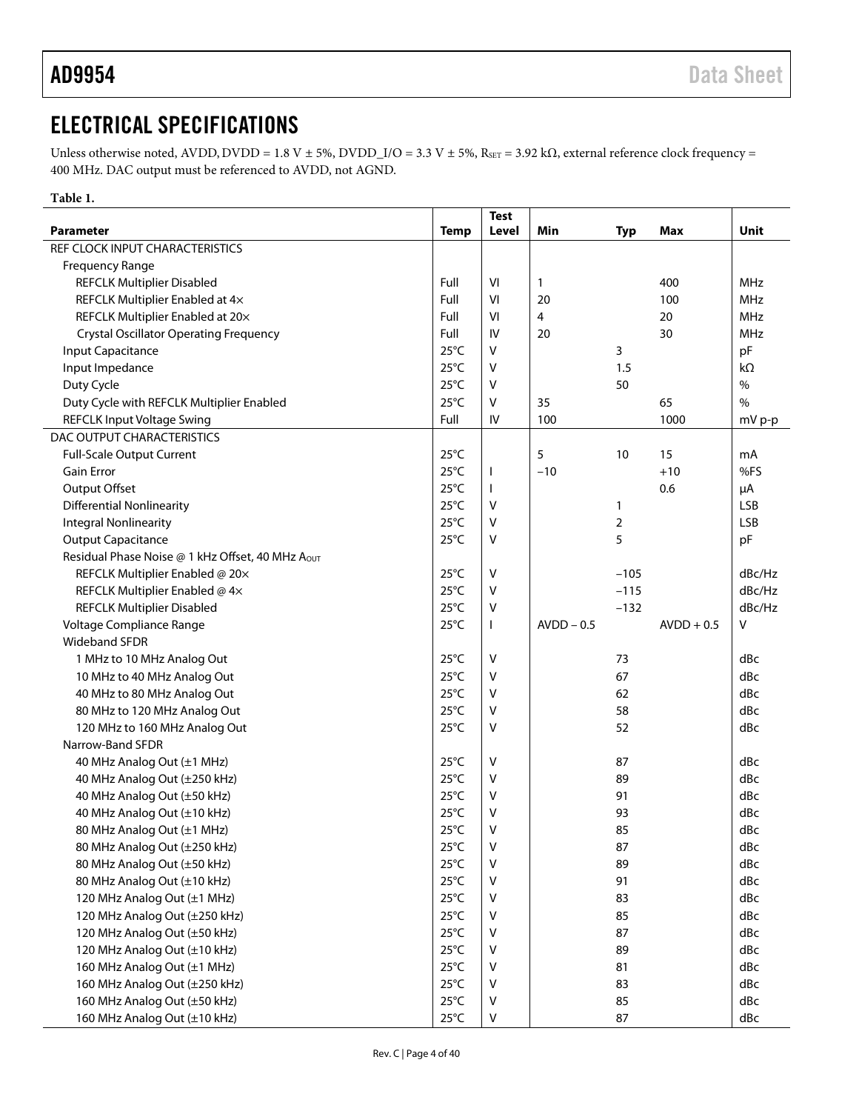# <span id="page-3-0"></span>ELECTRICAL SPECIFICATIONS

Unless otherwise noted, AVDD, DVDD = 1.8 V ± 5%, DVDD\_I/O = 3.3 V ± 5%, RsET = 3.92 k $\Omega$ , external reference clock frequency = 400 MHz. DAC output must be referenced to AVDD, not AGND.

<span id="page-3-1"></span>**Table 1.** 

|                                                           |                                  | <b>Test</b>  |              |                |              |            |
|-----------------------------------------------------------|----------------------------------|--------------|--------------|----------------|--------------|------------|
| <b>Parameter</b>                                          | <b>Temp</b>                      | Level        | Min          | <b>Typ</b>     | Max          | Unit       |
| REF CLOCK INPUT CHARACTERISTICS                           |                                  |              |              |                |              |            |
| <b>Frequency Range</b>                                    |                                  |              |              |                |              |            |
| <b>REFCLK Multiplier Disabled</b>                         | Full                             | VI           | 1            |                | 400          | <b>MHz</b> |
| REFCLK Multiplier Enabled at 4x                           | Full                             | VI           | 20           |                | 100          | <b>MHz</b> |
| REFCLK Multiplier Enabled at 20x                          | Full                             | VI           | 4            |                | 20           | MHz        |
| <b>Crystal Oscillator Operating Frequency</b>             | Full                             | IV           | 20           |                | 30           | <b>MHz</b> |
| Input Capacitance                                         | $25^{\circ}$ C                   | V            |              | 3              |              | pF         |
| Input Impedance                                           | $25^{\circ}$ C                   | V            |              | 1.5            |              | kΩ         |
| Duty Cycle                                                | $25^{\circ}$ C                   | V            |              | 50             |              | $\%$       |
| Duty Cycle with REFCLK Multiplier Enabled                 | $25^{\circ}$ C                   | V            | 35           |                | 65           | $\%$       |
| <b>REFCLK Input Voltage Swing</b>                         | Full                             | IV           | 100          |                | 1000         | mV p-p     |
| DAC OUTPUT CHARACTERISTICS                                |                                  |              |              |                |              |            |
| <b>Full-Scale Output Current</b>                          | $25^{\circ}$ C                   |              | 5            | 10             | 15           | mA         |
| <b>Gain Error</b>                                         | $25^{\circ}$ C                   | T            | $-10$        |                | $+10$        | %FS        |
| Output Offset                                             | $25^{\circ}$ C                   | $\mathbf{I}$ |              |                | 0.6          | μA         |
| <b>Differential Nonlinearity</b>                          | $25^{\circ}$ C                   | V            |              | 1              |              | <b>LSB</b> |
| <b>Integral Nonlinearity</b>                              | $25^{\circ}$ C                   | v            |              | $\overline{2}$ |              | <b>LSB</b> |
| <b>Output Capacitance</b>                                 | $25^{\circ}$ C                   | v            |              | 5              |              | pF         |
| Residual Phase Noise @ 1 kHz Offset, 40 MHz Aout          |                                  |              |              |                |              |            |
| REFCLK Multiplier Enabled @ 20x                           | $25^{\circ}$ C                   | V            |              | $-105$         |              | dBc/Hz     |
|                                                           | $25^{\circ}$ C                   | v            |              | $-115$         |              | dBc/Hz     |
| REFCLK Multiplier Enabled @ 4x                            | $25^{\circ}$ C                   | v            |              | $-132$         |              | dBc/Hz     |
| <b>REFCLK Multiplier Disabled</b>                         | $25^{\circ}$ C                   |              | $AVDD - 0.5$ |                | $AVDD + 0.5$ | v          |
| Voltage Compliance Range                                  |                                  | $\mathbf{I}$ |              |                |              |            |
| <b>Wideband SFDR</b>                                      |                                  |              |              |                |              |            |
| 1 MHz to 10 MHz Analog Out                                | $25^{\circ}$ C                   | V            |              | 73             |              | dBc        |
| 10 MHz to 40 MHz Analog Out                               | $25^{\circ}$ C                   | v            |              | 67             |              | dBc        |
| 40 MHz to 80 MHz Analog Out                               | $25^{\circ}$ C                   | v            |              | 62             |              | dBc        |
| 80 MHz to 120 MHz Analog Out                              | $25^{\circ}$ C                   | V            |              | 58             |              | dBc        |
| 120 MHz to 160 MHz Analog Out                             | $25^{\circ}$ C                   | V            |              | 52             |              | dBc        |
| Narrow-Band SFDR                                          |                                  |              |              |                |              |            |
| 40 MHz Analog Out (±1 MHz)                                | $25^{\circ}$ C                   | V            |              | 87             |              | dBc        |
| 40 MHz Analog Out (±250 kHz)                              | $25^{\circ}$ C                   | v            |              | 89             |              | dBc        |
| 40 MHz Analog Out (±50 kHz)                               | $25^{\circ}$ C                   | V            |              | 91             |              | dBc        |
| 40 MHz Analog Out (±10 kHz)                               | $25^{\circ}$ C                   | V            |              | 93             |              | dBc        |
| 80 MHz Analog Out (±1 MHz)                                | $25^{\circ}$ C                   | v            |              | 85             |              | dBc        |
| 80 MHz Analog Out (±250 kHz)                              | $25^{\circ}$ C                   | V            |              | 87             |              | dBc        |
| 80 MHz Analog Out (±50 kHz)                               | $25^{\circ}$ C                   | ٧            |              | 89             |              | dBc        |
| 80 MHz Analog Out (±10 kHz)                               | $25^{\circ}$ C                   | V            |              | 91             |              | dBc        |
| 120 MHz Analog Out (±1 MHz)                               | $25^{\circ}$ C                   | ٧            |              | 83             |              | dBc        |
| 120 MHz Analog Out (±250 kHz)                             | $25^{\circ}$ C<br>85<br>v<br>dBc |              |              |                |              |            |
| $25^{\circ}$ C<br>120 MHz Analog Out (±50 kHz)<br>V<br>87 |                                  |              |              |                |              |            |
| 120 MHz Analog Out (±10 kHz)                              | $25^{\circ}$ C                   | ۷            |              | 89             |              | dBc        |
| 160 MHz Analog Out (±1 MHz)                               |                                  | dBc          |              |                |              |            |
| 160 MHz Analog Out (±250 kHz)                             | $25^{\circ}$ C                   | ٧            |              | 83             |              | dBc        |
| 160 MHz Analog Out (±50 kHz)                              | $25^{\circ}$ C                   | ٧            |              | 85             |              | dBc        |
| 160 MHz Analog Out (±10 kHz)                              | $25^{\circ}$ C                   | V            |              | 87             |              | dBc        |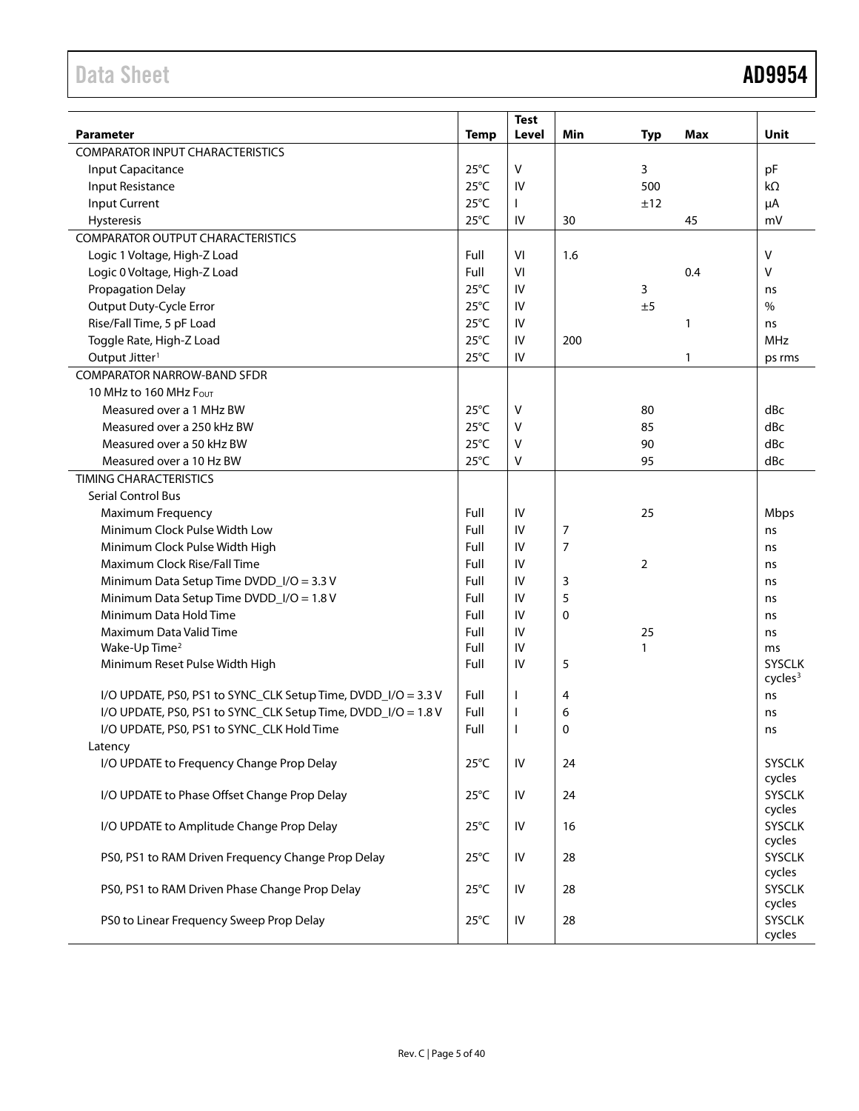# Data Sheet **AD9954**

|                                                               |                | <b>Test</b>          |     |            |            |                         |
|---------------------------------------------------------------|----------------|----------------------|-----|------------|------------|-------------------------|
| <b>Parameter</b>                                              | <b>Temp</b>    | Level                | Min | <b>Typ</b> | <b>Max</b> | Unit                    |
| <b>COMPARATOR INPUT CHARACTERISTICS</b>                       |                |                      |     |            |            |                         |
| Input Capacitance                                             | $25^{\circ}$ C | V                    |     | 3          |            | pF                      |
| Input Resistance                                              | $25^{\circ}$ C | IV                   |     | 500        |            | kΩ                      |
| <b>Input Current</b>                                          | $25^{\circ}$ C | $\mathbf{I}$         |     | ±12        |            | μA                      |
| Hysteresis                                                    | $25^{\circ}$ C | IV                   | 30  |            | 45         | mV                      |
| <b>COMPARATOR OUTPUT CHARACTERISTICS</b>                      |                |                      |     |            |            |                         |
| Logic 1 Voltage, High-Z Load                                  | Full           | VI                   | 1.6 |            |            | V                       |
| Logic 0 Voltage, High-Z Load                                  | Full           | VI                   |     |            | 0.4        | V                       |
| <b>Propagation Delay</b>                                      | $25^{\circ}$ C | IV                   |     | 3          |            | ns                      |
| Output Duty-Cycle Error                                       | $25^{\circ}$ C | IV                   |     | ±5         |            | $\frac{0}{0}$           |
| Rise/Fall Time, 5 pF Load                                     | $25^{\circ}$ C | IV                   |     |            | 1          | ns                      |
| Toggle Rate, High-Z Load                                      | $25^{\circ}$ C | IV                   | 200 |            |            | <b>MHz</b>              |
| Output Jitter <sup>1</sup>                                    | $25^{\circ}$ C | ${\sf IV}$           |     |            | 1          | ps rms                  |
| <b>COMPARATOR NARROW-BAND SFDR</b>                            |                |                      |     |            |            |                         |
| 10 MHz to 160 MHz Four                                        |                |                      |     |            |            |                         |
| Measured over a 1 MHz BW                                      | $25^{\circ}$ C | V                    |     | 80         |            | dBc                     |
| Measured over a 250 kHz BW                                    | $25^{\circ}$ C | $\vee$               |     | 85         |            | dBc                     |
| Measured over a 50 kHz BW                                     | $25^{\circ}$ C | $\vee$               |     | 90         |            | dBc                     |
| Measured over a 10 Hz BW                                      | $25^{\circ}$ C | V                    |     | 95         |            | dBc                     |
| <b>TIMING CHARACTERISTICS</b>                                 |                |                      |     |            |            |                         |
| <b>Serial Control Bus</b>                                     |                |                      |     |            |            |                         |
| Maximum Frequency                                             | Full           | IV                   |     | 25         |            | Mbps                    |
| Minimum Clock Pulse Width Low                                 | Full           | IV                   | 7   |            |            | ns                      |
| Minimum Clock Pulse Width High                                | Full           | IV                   | 7   |            |            | ns                      |
| Maximum Clock Rise/Fall Time                                  | Full           | IV<br>$\overline{2}$ |     |            |            |                         |
| Minimum Data Setup Time DVDD_I/O = 3.3 V                      | Full           | IV                   | 3   |            | ns         |                         |
| Minimum Data Setup Time DVDD_I/O = 1.8 V                      | Full           | IV                   | 5   |            |            | ns                      |
| Minimum Data Hold Time                                        | Full           | IV                   | 0   |            | ns         |                         |
| Maximum Data Valid Time                                       | Full           | IV                   |     |            | ns         |                         |
| Wake-Up Time <sup>2</sup>                                     | Full           | IV                   |     |            | ms         |                         |
| Minimum Reset Pulse Width High<br>Full<br>IV<br>5             |                |                      |     |            |            | <b>SYSCLK</b>           |
|                                                               |                |                      |     |            |            | cycles <sup>3</sup>     |
| I/O UPDATE, PS0, PS1 to SYNC_CLK Setup Time, DVDD_I/O = 3.3 V | Full           |                      | 4   |            |            | ns                      |
| I/O UPDATE, PS0, PS1 to SYNC_CLK Setup Time, DVDD_I/O = 1.8 V | Full           | H                    | 6   |            |            | ns                      |
| I/O UPDATE, PS0, PS1 to SYNC_CLK Hold Time                    | Full           |                      | 0   |            |            | ns                      |
| Latency                                                       |                |                      |     |            |            |                         |
| I/O UPDATE to Frequency Change Prop Delay                     | $25^{\circ}$ C | ${\sf IV}$           | 24  |            |            | <b>SYSCLK</b><br>cycles |
| I/O UPDATE to Phase Offset Change Prop Delay                  | $25^{\circ}$ C | IV                   | 24  |            |            | <b>SYSCLK</b>           |
|                                                               |                |                      |     |            |            | cycles                  |
| I/O UPDATE to Amplitude Change Prop Delay                     | $25^{\circ}$ C | ${\sf IV}$           | 16  |            |            | <b>SYSCLK</b>           |
|                                                               |                |                      |     |            |            | cycles                  |
| PS0, PS1 to RAM Driven Frequency Change Prop Delay            | $25^{\circ}$ C | IV                   | 28  |            |            | <b>SYSCLK</b>           |
|                                                               |                |                      |     |            |            | cycles                  |
| PS0, PS1 to RAM Driven Phase Change Prop Delay                | $25^{\circ}$ C | IV                   | 28  |            |            | <b>SYSCLK</b>           |
|                                                               |                |                      |     |            |            | cycles                  |
| PS0 to Linear Frequency Sweep Prop Delay                      | $25^{\circ}$ C | IV                   | 28  |            |            | <b>SYSCLK</b>           |
|                                                               |                |                      |     |            |            | cycles                  |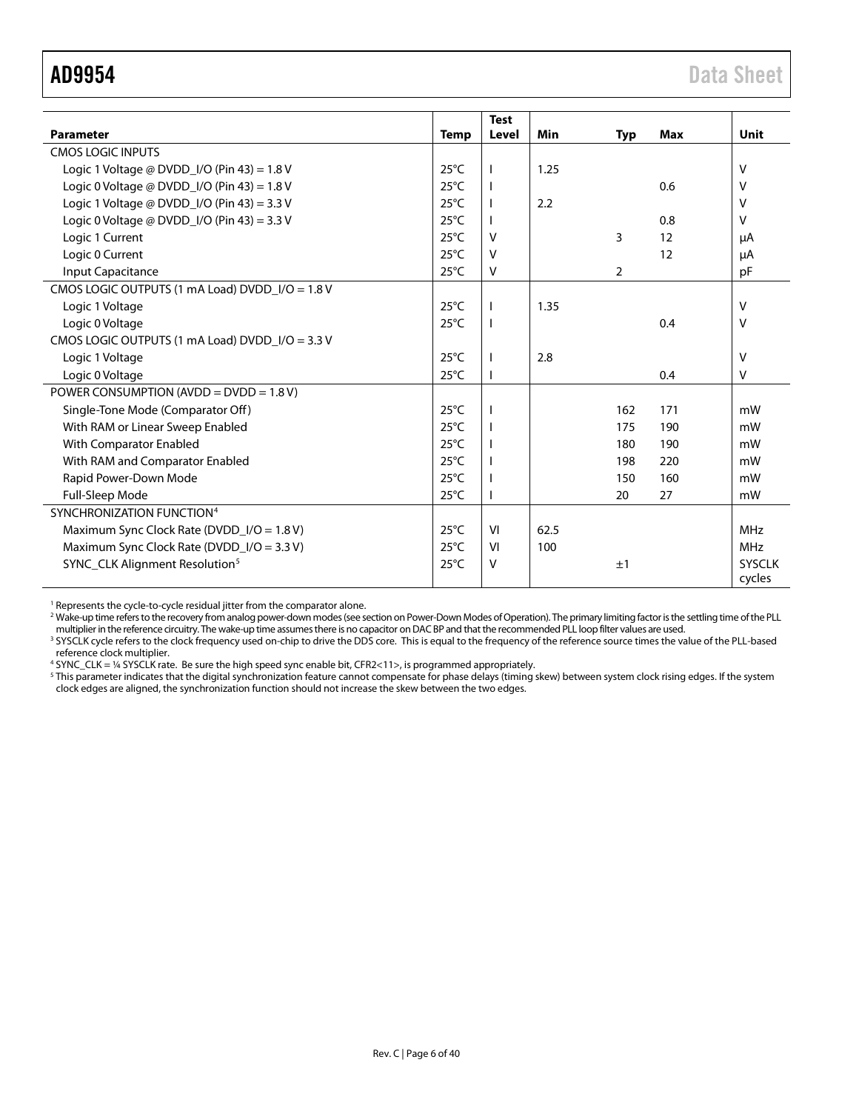<span id="page-5-0"></span>

|                                                   |                | <b>Test</b>  |      |            |            |               |
|---------------------------------------------------|----------------|--------------|------|------------|------------|---------------|
| <b>Parameter</b>                                  | <b>Temp</b>    | Level        | Min  | <b>Typ</b> | <b>Max</b> | <b>Unit</b>   |
| <b>CMOS LOGIC INPUTS</b>                          |                |              |      |            |            |               |
| Logic 1 Voltage @ DVDD_I/O (Pin 43) = $1.8$ V     | $25^{\circ}$ C |              | 1.25 |            |            | v             |
| Logic 0 Voltage @ DVDD $1/O$ (Pin 43) = 1.8 V     | $25^{\circ}$ C |              |      |            | 0.6        | v             |
| Logic 1 Voltage @ DVDD_I/O (Pin 43) = 3.3 V       | $25^{\circ}$ C |              | 2.2  |            |            | $\vee$        |
| Logic 0 Voltage @ DVDD_I/O (Pin 43) = 3.3 V       | $25^{\circ}$ C |              |      |            | 0.8        | V             |
| Logic 1 Current                                   | $25^{\circ}$ C | v            |      | 3          | 12         | μA            |
| Logic 0 Current                                   | $25^{\circ}$ C | v            |      |            | 12         | μA            |
| Input Capacitance                                 | $25^{\circ}$ C | V            |      | 2          |            | pF            |
| CMOS LOGIC OUTPUTS (1 mA Load) DVDD $I/O = 1.8 V$ |                |              |      |            |            |               |
| Logic 1 Voltage                                   | $25^{\circ}$ C |              | 1.35 |            |            | $\vee$        |
| Logic 0 Voltage                                   | $25^{\circ}$ C | $\mathbf{I}$ |      |            | 0.4        | $\vee$        |
| CMOS LOGIC OUTPUTS (1 mA Load) DVDD_I/O = 3.3 V   |                |              |      |            |            |               |
| Logic 1 Voltage                                   | $25^{\circ}$ C |              | 2.8  |            |            | v             |
| Logic 0 Voltage                                   | $25^{\circ}$ C |              |      |            | 0.4        | V             |
| POWER CONSUMPTION (AVDD = $DVDD = 1.8 V$ )        |                |              |      |            |            |               |
| Single-Tone Mode (Comparator Off)                 | $25^{\circ}$ C |              |      | 162        | 171        | mW            |
| With RAM or Linear Sweep Enabled                  | $25^{\circ}$ C |              |      | 175        | 190        | mW            |
| With Comparator Enabled                           | $25^{\circ}$ C |              |      | 180        | 190        | mW            |
| With RAM and Comparator Enabled                   | $25^{\circ}$ C |              |      | 198        | 220        | mW            |
| Rapid Power-Down Mode                             | $25^{\circ}$ C |              |      | 150        | 160        | mW            |
| Full-Sleep Mode                                   | $25^{\circ}$ C |              |      | 20         | 27         | mW            |
| SYNCHRONIZATION FUNCTION <sup>4</sup>             |                |              |      |            |            |               |
| Maximum Sync Clock Rate (DVDD_I/O = 1.8 V)        | $25^{\circ}$ C | VI           | 62.5 |            |            | <b>MHz</b>    |
| Maximum Sync Clock Rate (DVDD_I/O = 3.3 V)        | $25^{\circ}$ C | VI           | 100  |            |            | <b>MHz</b>    |
| SYNC_CLK Alignment Resolution <sup>5</sup>        | $25^{\circ}$ C | v            |      | ±1         |            | <b>SYSCLK</b> |
|                                                   |                |              |      |            |            | cycles        |

<sup>1</sup> Represents the cycle-to-cycle residual jitter from the comparator alone.

<sup>2</sup> Wake-up time refers to the recovery from analog power-down modes (see section on Power-Down Modes of Operation). The primary limiting factor is the settling time of the PLL multiplier in the reference circuitry. The wake-up time assumes there is no capacitor on DAC BP and that the recommended PLL loop filter values are used.

<sup>3</sup> SYSCLK cycle refers to the clock frequency used on-chip to drive the DDS core. This is equal to the frequency of the reference source times the value of the PLL-based reference clock multiplier.

<sup>4</sup> SYNC\_CLK = ¼ SYSCLK rate. Be sure the high speed sync enable bit, CFR2<11>, is programmed appropriately.

 $^5$  This parameter indicates that the digital synchronization feature cannot compensate for phase delays (timing skew) between system clock rising edges. If the system clock edges are aligned, the synchronization function should not increase the skew between the two edges.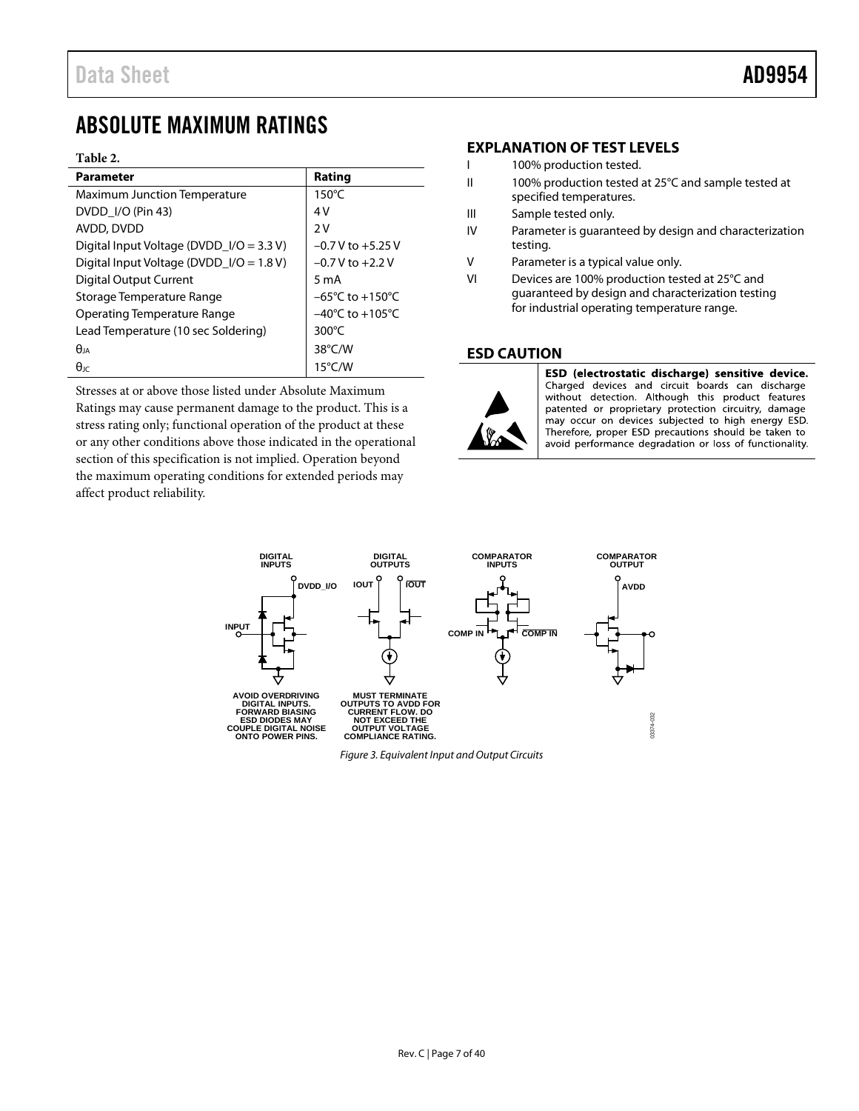# <span id="page-6-1"></span>ABSOLUTE MAXIMUM RATINGS

#### <span id="page-6-0"></span>**Table 2.**

| <b>Parameter</b>                           | Rating                              |
|--------------------------------------------|-------------------------------------|
| <b>Maximum Junction Temperature</b>        | $150^{\circ}$ C                     |
| DVDD I/O (Pin 43)                          | 4V                                  |
| AVDD, DVDD                                 | 2V                                  |
| Digital Input Voltage (DVDD_I/O = 3.3 V)   | $-0.7$ V to $+5.25$ V               |
| Digital Input Voltage (DVDD_I/O = $1.8$ V) | $-0.7$ V to $+2.2$ V                |
| Digital Output Current                     | 5 m A                               |
| Storage Temperature Range                  | $-65^{\circ}$ C to $+150^{\circ}$ C |
| Operating Temperature Range                | $-40^{\circ}$ C to $+105^{\circ}$ C |
| Lead Temperature (10 sec Soldering)        | $300^{\circ}$ C                     |
| $\theta$ ja                                | 38°C/W                              |
| $\theta$ ıc                                | $15^{\circ}$ C/W                    |

Stresses at or above those listed under Absolute Maximum Ratings may cause permanent damage to the product. This is a stress rating only; functional operation of the product at these or any other conditions above those indicated in the operational section of this specification is not implied. Operation beyond the maximum operating conditions for extended periods may affect product reliability.

# <span id="page-6-2"></span>**EXPLANATION OF TEST LEVELS**

- I 100% production tested.
- II 100% production tested at 25°C and sample tested at specified temperatures.
- III Sample tested only.
- IV Parameter is guaranteed by design and characterization testing.
- V Parameter is a typical value only.
- VI Devices are 100% production tested at 25°C and guaranteed by design and characterization testing for industrial operating temperature range.

# <span id="page-6-3"></span>**ESD CAUTION**



ESD (electrostatic discharge) sensitive device. Charged devices and circuit boards can discharge without detection. Although this product features patented or proprietary protection circuitry, damage may occur on devices subjected to high energy ESD. Therefore, proper ESD precautions should be taken to avoid performance degradation or loss of functionality.



*Figure 3. Equivalent Input and Output Circuits*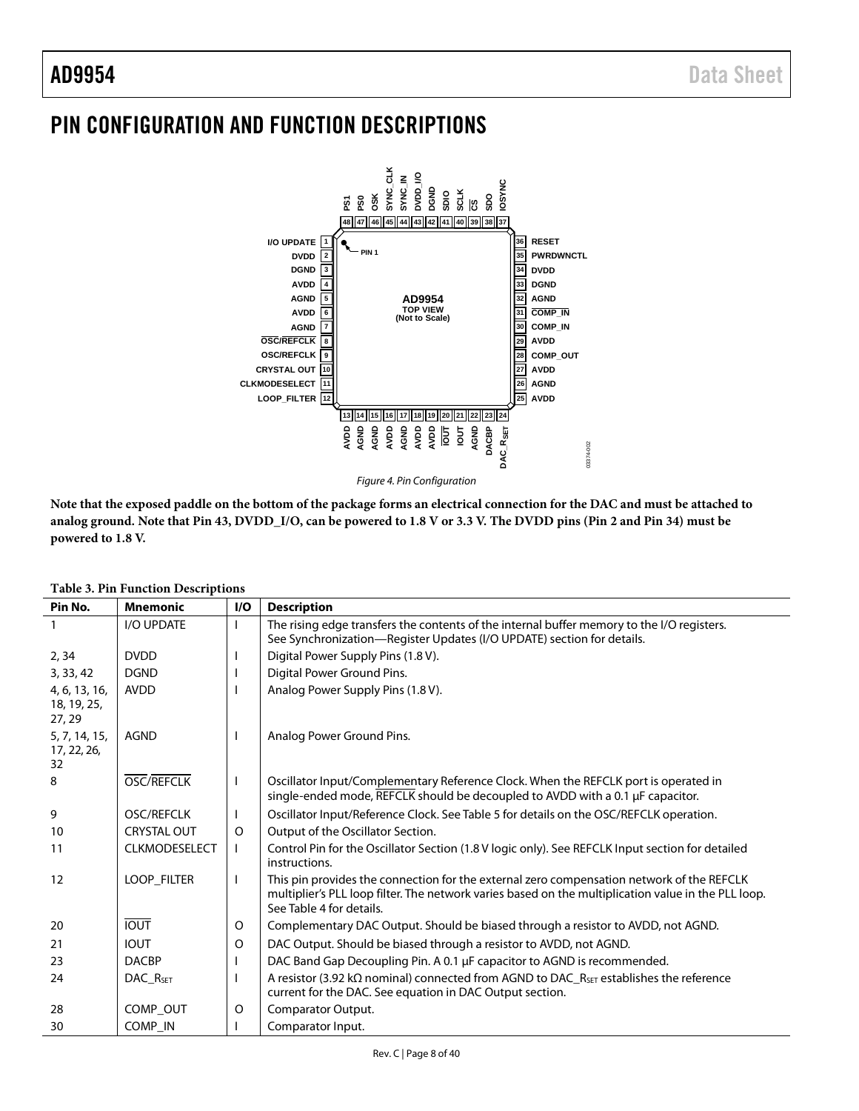# <span id="page-7-0"></span>PIN CONFIGURATION AND FUNCTION DESCRIPTIONS



**Note that the exposed paddle on the bottom of the package forms an electrical connection for the DAC and must be attached to analog ground. Note that Pin 43, DVDD\_I/O, can be powered to 1.8 V or 3.3 V. The DVDD pins (Pin 2 and Pin 34) must be powered to 1.8 V.**

| Pin No.                                | <b>Mnemonic</b>      | I/O          | <b>Description</b>                                                                                                                                                                                                           |
|----------------------------------------|----------------------|--------------|------------------------------------------------------------------------------------------------------------------------------------------------------------------------------------------------------------------------------|
|                                        | I/O UPDATE           | $\mathsf{I}$ | The rising edge transfers the contents of the internal buffer memory to the I/O registers.<br>See Synchronization-Register Updates (I/O UPDATE) section for details.                                                         |
| 2, 34                                  | <b>DVDD</b>          |              | Digital Power Supply Pins (1.8 V).                                                                                                                                                                                           |
| 3, 33, 42                              | <b>DGND</b>          |              | Digital Power Ground Pins.                                                                                                                                                                                                   |
| 4, 6, 13, 16,<br>18, 19, 25,<br>27, 29 | <b>AVDD</b>          |              | Analog Power Supply Pins (1.8 V).                                                                                                                                                                                            |
| 5, 7, 14, 15,<br>17, 22, 26,<br>32     | <b>AGND</b>          | H            | Analog Power Ground Pins.                                                                                                                                                                                                    |
| 8                                      | OSC/REFCLK           | $\mathbf{I}$ | Oscillator Input/Complementary Reference Clock. When the REFCLK port is operated in<br>single-ended mode, REFCLK should be decoupled to AVDD with a 0.1 $\mu$ F capacitor.                                                   |
| 9                                      | <b>OSC/REFCLK</b>    | $\mathbf{I}$ | Oscillator Input/Reference Clock. See Table 5 for details on the OSC/REFCLK operation.                                                                                                                                       |
| 10                                     | <b>CRYSTAL OUT</b>   | O            | Output of the Oscillator Section.                                                                                                                                                                                            |
| 11                                     | <b>CLKMODESELECT</b> | $\mathsf{I}$ | Control Pin for the Oscillator Section (1.8 V logic only). See REFCLK Input section for detailed<br>instructions.                                                                                                            |
| 12                                     | LOOP_FILTER          | $\mathbf{I}$ | This pin provides the connection for the external zero compensation network of the REFCLK<br>multiplier's PLL loop filter. The network varies based on the multiplication value in the PLL loop.<br>See Table 4 for details. |
| 20                                     | <b>IOUT</b>          | O            | Complementary DAC Output. Should be biased through a resistor to AVDD, not AGND.                                                                                                                                             |
| 21                                     | <b>IOUT</b>          | $\circ$      | DAC Output. Should be biased through a resistor to AVDD, not AGND.                                                                                                                                                           |
| 23                                     | <b>DACBP</b>         |              | DAC Band Gap Decoupling Pin. A 0.1 µF capacitor to AGND is recommended.                                                                                                                                                      |
| 24                                     | DAC_R <sub>SET</sub> |              | A resistor (3.92 k $\Omega$ nominal) connected from AGND to DAC_R <sub>SET</sub> establishes the reference<br>current for the DAC. See equation in DAC Output section.                                                       |
| 28                                     | COMP OUT             | O            | Comparator Output.                                                                                                                                                                                                           |
| 30                                     | COMP IN              |              | Comparator Input.                                                                                                                                                                                                            |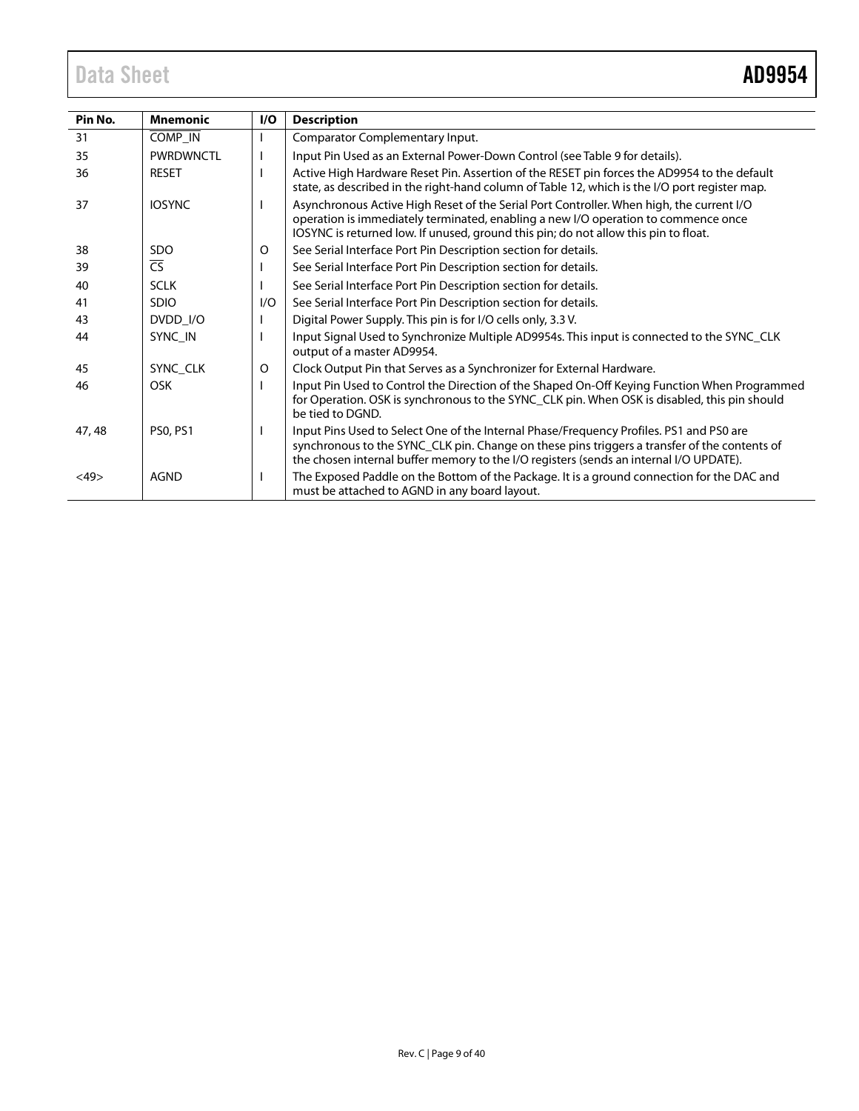# Data Sheet **AD9954**

| Pin No. | <b>Mnemonic</b>          | I/O | <b>Description</b>                                                                                                                                                                                                                                                                |
|---------|--------------------------|-----|-----------------------------------------------------------------------------------------------------------------------------------------------------------------------------------------------------------------------------------------------------------------------------------|
| 31      | COMP_IN                  |     | Comparator Complementary Input.                                                                                                                                                                                                                                                   |
| 35      | <b>PWRDWNCTL</b>         |     | Input Pin Used as an External Power-Down Control (see Table 9 for details).                                                                                                                                                                                                       |
| 36      | <b>RESET</b>             |     | Active High Hardware Reset Pin. Assertion of the RESET pin forces the AD9954 to the default<br>state, as described in the right-hand column of Table 12, which is the I/O port register map.                                                                                      |
| 37      | <b>IOSYNC</b>            |     | Asynchronous Active High Reset of the Serial Port Controller. When high, the current I/O<br>operation is immediately terminated, enabling a new I/O operation to commence once<br>IOSYNC is returned low. If unused, ground this pin; do not allow this pin to float.             |
| 38      | <b>SDO</b>               | 0   | See Serial Interface Port Pin Description section for details.                                                                                                                                                                                                                    |
| 39      | $\overline{\mathsf{CS}}$ |     | See Serial Interface Port Pin Description section for details.                                                                                                                                                                                                                    |
| 40      | <b>SCLK</b>              |     | See Serial Interface Port Pin Description section for details.                                                                                                                                                                                                                    |
| 41      | <b>SDIO</b>              | I/O | See Serial Interface Port Pin Description section for details.                                                                                                                                                                                                                    |
| 43      | DVDD_I/O                 |     | Digital Power Supply. This pin is for I/O cells only, 3.3 V.                                                                                                                                                                                                                      |
| 44      | SYNC IN                  |     | Input Signal Used to Synchronize Multiple AD9954s. This input is connected to the SYNC_CLK<br>output of a master AD9954.                                                                                                                                                          |
| 45      | SYNC CLK                 | O   | Clock Output Pin that Serves as a Synchronizer for External Hardware.                                                                                                                                                                                                             |
| 46      | <b>OSK</b>               |     | Input Pin Used to Control the Direction of the Shaped On-Off Keying Function When Programmed<br>for Operation. OSK is synchronous to the SYNC_CLK pin. When OSK is disabled, this pin should<br>be tied to DGND.                                                                  |
| 47, 48  | <b>PS0, PS1</b>          |     | Input Pins Used to Select One of the Internal Phase/Frequency Profiles. PS1 and PS0 are<br>synchronous to the SYNC_CLK pin. Change on these pins triggers a transfer of the contents of<br>the chosen internal buffer memory to the I/O registers (sends an internal I/O UPDATE). |
| <49>    | <b>AGND</b>              |     | The Exposed Paddle on the Bottom of the Package. It is a ground connection for the DAC and<br>must be attached to AGND in any board layout.                                                                                                                                       |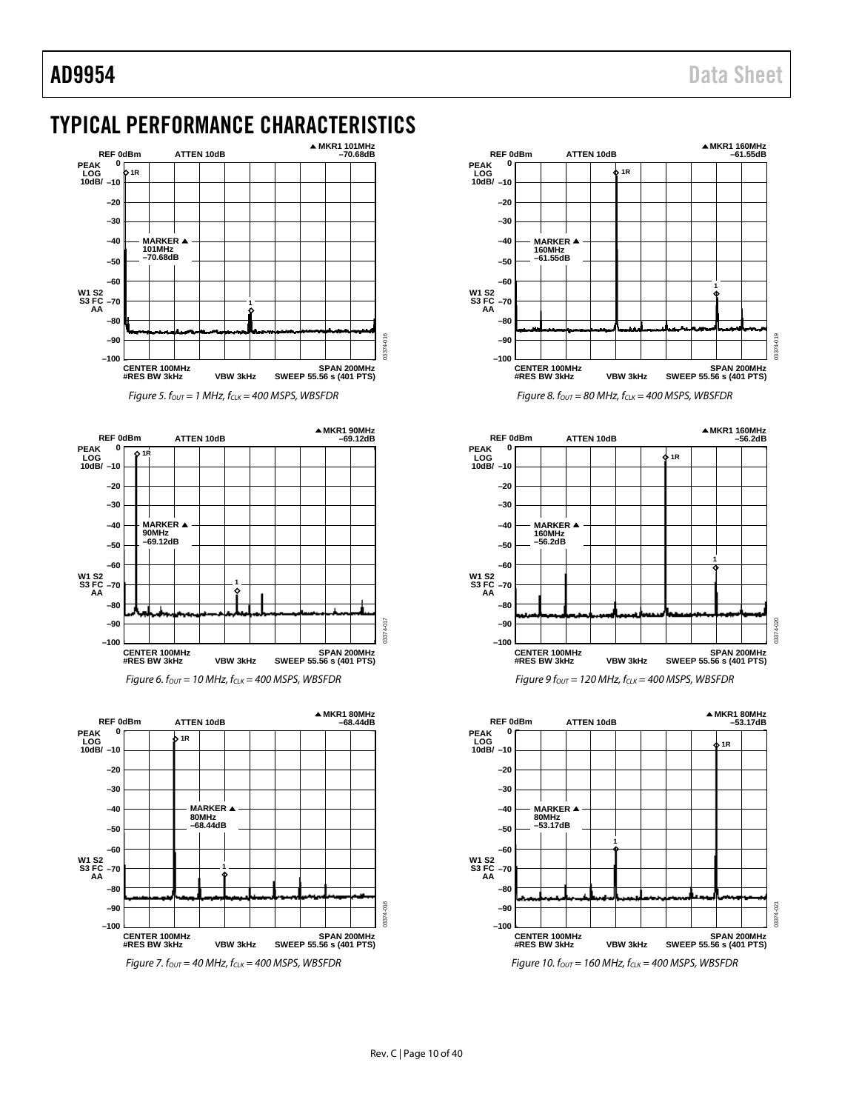# <span id="page-9-0"></span>TYPICAL PERFORMANCE CHARACTERISTICS



*Figure 5. f<sub>OUT</sub>* = 1 MHz,  $f_{CLK}$  = 400 MSPS, WBSFDR







*Figure 8. f<sub>OUT</sub>* = 80 MHz,  $f_{CLK}$  = 400 MSPS, WBSFDR



 $Figure 9$   $f_{OUT} = 120$  MHz,  $f_{CLK} = 400$  MSPS, WBSFDR

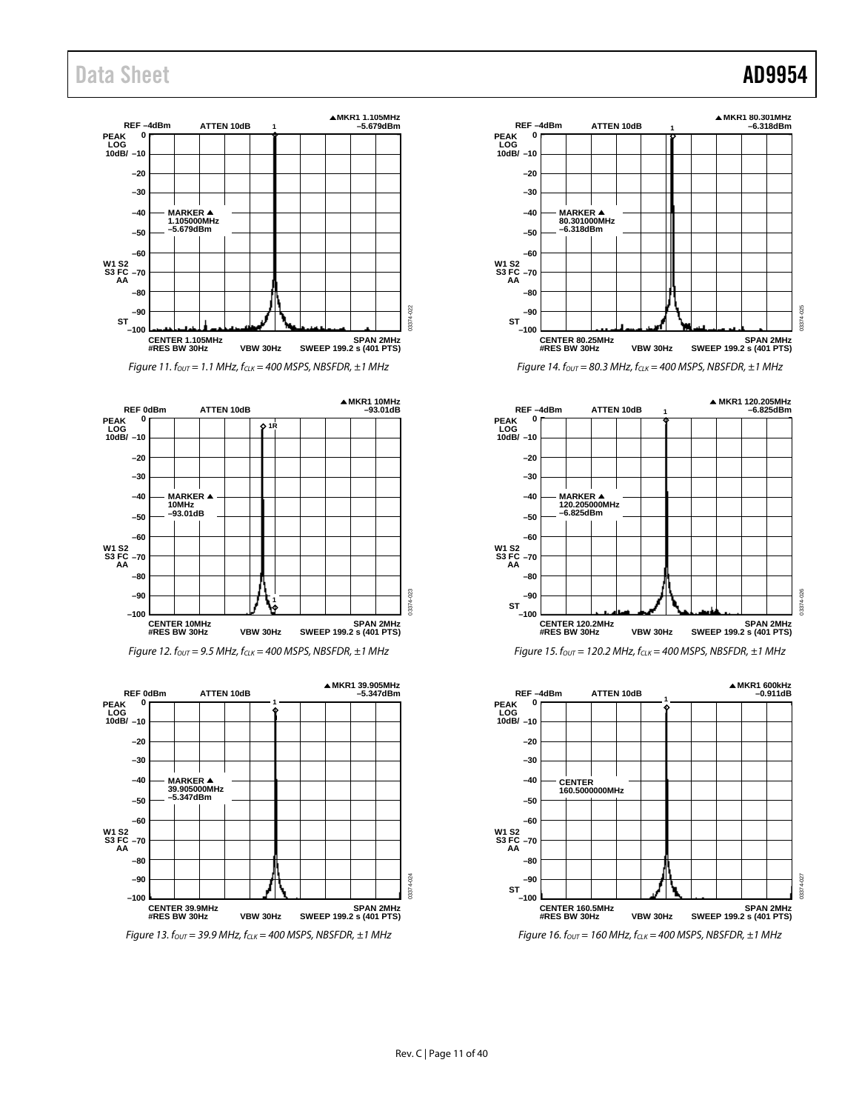# Data Sheet **AD9954**

















*Figure 16. f<sub>OUT</sub>* = 160 MHz,  $f_{CLK}$  = 400 MSPS, NBSFDR, ±1 MHz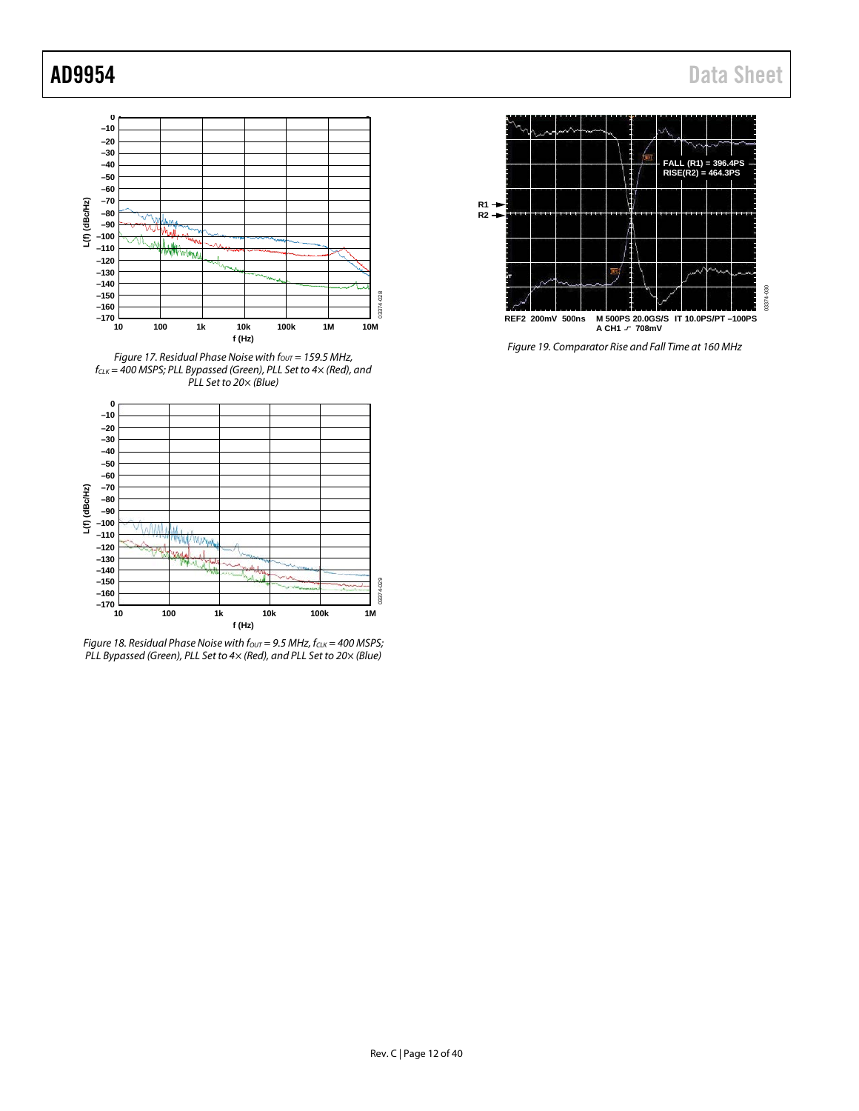

*Figure 17. Residual Phase Noise with f<sub>OUT</sub> = 159.5 MHz, fCLK = 400 MSPS; PLL Bypassed (Green), PLL Set to 4× (Red), and PLL Set to 20× (Blue)*



*Figure 18. Residual Phase Noise with*  $f_{OUT} = 9.5$  *MHz,*  $f_{CLK} = 400$  *MSPS; PLL Bypassed (Green), PLL Set to 4× (Red), and PLL Set to 20× (Blue)*



*Figure 19. Comparator Rise and Fall Time at 160 MHz*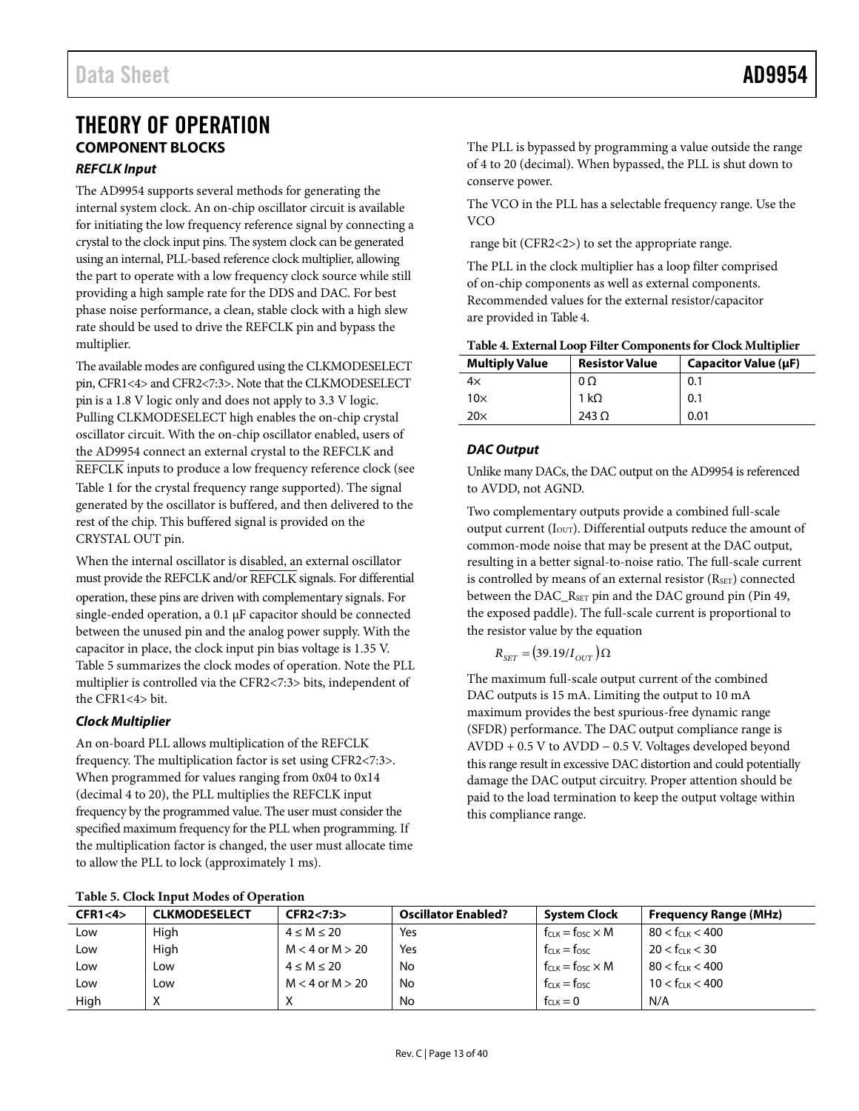# <span id="page-12-1"></span><span id="page-12-0"></span>THEORY OF OPERATION **COMPONENT BLOCKS** *REFCLK Input*

<span id="page-12-3"></span>The AD9954 supports several methods for generating the internal system clock. An on-chip oscillator circuit is available for initiating the low frequency reference signal by connecting a crystal to the clock input pins. The system clock can be generated using an internal, PLL-based reference clock multiplier, allowing the part to operate with a low frequency clock source while still providing a high sample rate for the DDS and DAC. For best phase noise performance, a clean, stable clock with a high slew rate should be used to drive the REFCLK pin and bypass the multiplier.

The available modes are configured using the CLKMODESELECT pin, CFR1<4> and CFR2<7:3>. Note that the CLKMODESELECT pin is a 1.8 V logic only and does not apply to 3.3 V logic. Pulling CLKMODESELECT high enables the on-chip crystal oscillator circuit. With the on-chip oscillator enabled, users of the AD9954 connect an external crystal to the REFCLK and REFCLK inputs to produce a low frequency reference clock (see [Table 1](#page-3-1) for the crystal frequency range supported). The signal generated by the oscillator is buffered, and then delivered to the rest of the chip. This buffered signal is provided on the CRYSTAL OUT pin.

When the internal oscillator is disabled, an external oscillator must provide the REFCLK and/or REFCLK signals. For differential operation, these pins are driven with complementary signals. For single-ended operation, a 0.1  $\mu$ F capacitor should be connected between the unused pin and the analog power supply. With the capacitor in place, the clock input pin bias voltage is 1.35 V. [Table 5](#page-12-2) summarizes the clock modes of operation. Note the PLL multiplier is controlled via the CFR2<7:3> bits, independent of the CFR1<4> bit.

# <span id="page-12-6"></span>*Clock Multiplier*

An on-board PLL allows multiplication of the REFCLK frequency. The multiplication factor is set using CFR2<7:3>. When programmed for values ranging from 0x04 to 0x14 (decimal 4 to 20), the PLL multiplies the REFCLK input frequency by the programmed value. The user must consider the specified maximum frequency for the PLL when programming. If the multiplication factor is changed, the user must allocate time to allow the PLL to lock (approximately 1 ms).

The PLL is bypassed by programming a value outside the range of 4 to 20 (decimal). When bypassed, the PLL is shut down to conserve power.

The VCO in the PLL has a selectable frequency range. Use the VCO

range bit (CFR2<2>) to set the appropriate range.

The PLL in the clock multiplier has a loop filter comprised of on-chip components as well as external components. Recommended values for the external resistor/capacitor are provided in [Table 4.](#page-12-4)

<span id="page-12-4"></span>

| <b>Multiply Value</b> | <b>Resistor Value</b> | Capacitor Value (µF) |
|-----------------------|-----------------------|----------------------|
| 4x                    | $0\Omega$             | 0.1                  |
| $10\times$            | 1 k $\Omega$          | 0.1                  |
| 20 $\times$           | 243 $\Omega$          | 0.01                 |

# <span id="page-12-5"></span>*DAC Output*

Unlike many DACs, the DAC output on the AD9954 is referenced to AVDD, not AGND.

Two complementary outputs provide a combined full-scale output current ( $I<sub>OUT</sub>$ ). Differential outputs reduce the amount of common-mode noise that may be present at the DAC output, resulting in a better signal-to-noise ratio. The full-scale current is controlled by means of an external resistor (RSET) connected between the DAC\_R<sub>SET</sub> pin and the DAC ground pin (Pin 49, the exposed paddle). The full-scale current is proportional to the resistor value by the equation

 $R_{SET} = (39.19/I_{OUT})\Omega$ 

The maximum full-scale output current of the combined DAC outputs is 15 mA. Limiting the output to 10 mA maximum provides the best spurious-free dynamic range (SFDR) performance. The DAC output compliance range is AVDD + 0.5 V to AVDD − 0.5 V. Voltages developed beyond this range result in excessive DAC distortion and could potentially damage the DAC output circuitry. Proper attention should be paid to the load termination to keep the output voltage within this compliance range.

| Table 5. Clock Hibut Modes of Operation |                     |                            |                              |                              |  |  |  |
|-----------------------------------------|---------------------|----------------------------|------------------------------|------------------------------|--|--|--|
| CLKMODESELECT                           | CFR2 < 7:3>         | <b>Oscillator Enabled?</b> | <b>System Clock</b>          | <b>Frequency Range (MHz)</b> |  |  |  |
| High                                    | $4 \le M \le 20$    | Yes                        | $f_{CLK} = f_{OSC} \times M$ | $80 < f_{CLK} < 400$         |  |  |  |
| High                                    | $M < 4$ or $M > 20$ | Yes                        | $f_{CLK} = f_{OSC}$          | $20 < f_{C1K} < 30$          |  |  |  |
| Low                                     | $4 \le M \le 20$    | No                         | $f_{CLK} = f_{OSC} \times M$ | $80 < f_{CLK} < 400$         |  |  |  |
| Low                                     | $M < 4$ or $M > 20$ | No                         | $f_{CLK} = f_{OSC}$          | $10 < f_{CLK} < 400$         |  |  |  |
| X                                       |                     | No                         | $f_{CLK} = 0$                | N/A                          |  |  |  |
|                                         |                     |                            |                              |                              |  |  |  |

<span id="page-12-2"></span>**Table 5. Clock Input Modes of Operation**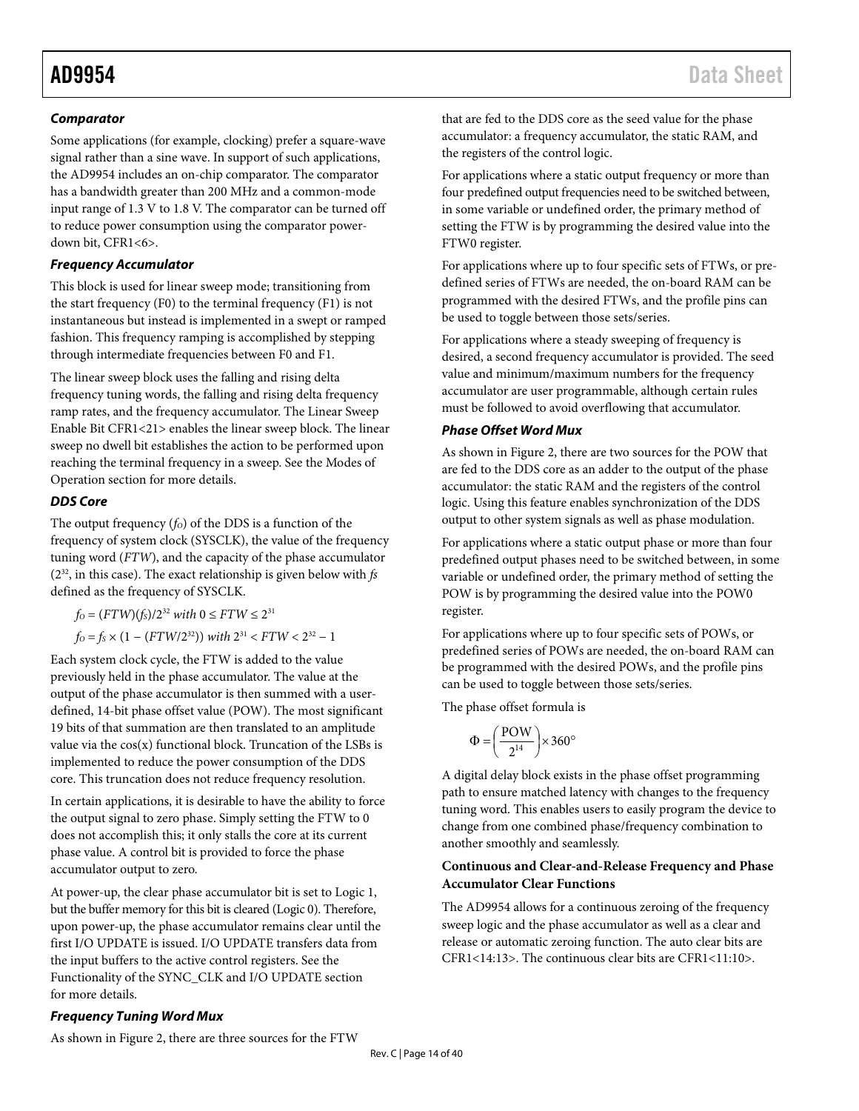# *Comparator*

Some applications (for example, clocking) prefer a square-wave signal rather than a sine wave. In support of such applications, the AD9954 includes an on-chip comparator. The comparator has a bandwidth greater than 200 MHz and a common-mode input range of 1.3 V to 1.8 V. The comparator can be turned off to reduce power consumption using the comparator powerdown bit, CFR1<6>.

# *Frequency Accumulator*

This block is used for linear sweep mode; transitioning from the start frequency (F0) to the terminal frequency (F1) is not instantaneous but instead is implemented in a swept or ramped fashion. This frequency ramping is accomplished by stepping through intermediate frequencies between F0 and F1.

The linear sweep block uses the falling and rising delta frequency tuning words, the falling and rising delta frequency ramp rates, and the frequency accumulator. The Linear Sweep Enable Bit CFR1<21> enables the linear sweep block. The linear sweep no dwell bit establishes the action to be performed upon reaching the terminal frequency in a sweep. See the [Modes of](#page-15-0)  [Operation](#page-15-0) section for more details.

# *DDS Core*

The output frequency  $(f<sub>0</sub>)$  of the DDS is a function of the frequency of system clock (SYSCLK), the value of the frequency tuning word (*FTW*), and the capacity of the phase accumulator (232, in this case). The exact relationship is given below with *fs* defined as the frequency of SYSCLK.

*f*<sub>O</sub> =  $(FTW)(f_s)/2^{32}$  *with* 0 ≤  $FTW$  ≤  $2^{31}$ 

*f*<sub>O</sub> = *f<sub>S</sub>* × (1 – (*FTW*/2<sup>32</sup>)) *with*  $2^{31}$  < *FTW* <  $2^{32}$  – 1

Each system clock cycle, the FTW is added to the value previously held in the phase accumulator. The value at the output of the phase accumulator is then summed with a userdefined, 14-bit phase offset value (POW). The most significant 19 bits of that summation are then translated to an amplitude value via the  $cos(x)$  functional block. Truncation of the LSBs is implemented to reduce the power consumption of the DDS core. This truncation does not reduce frequency resolution.

In certain applications, it is desirable to have the ability to force the output signal to zero phase. Simply setting the FTW to 0 does not accomplish this; it only stalls the core at its current phase value. A control bit is provided to force the phase accumulator output to zero.

At power-up, the clear phase accumulator bit is set to Logic 1, but the buffer memory for this bit is cleared (Logic 0). Therefore, upon power-up, the phase accumulator remains clear until the first I/O UPDATE is issued. I/O UPDATE transfers data from the input buffers to the active control registers. See the [Functionality of the SYNC\\_CLK and I/O UPDATE](#page-20-1) section for more details.

that are fed to the DDS core as the seed value for the phase accumulator: a frequency accumulator, the static RAM, and the registers of the control logic.

For applications where a static output frequency or more than four predefined output frequencies need to be switched between, in some variable or undefined order, the primary method of setting the FTW is by programming the desired value into the FTW0 register.

For applications where up to four specific sets of FTWs, or predefined series of FTWs are needed, the on-board RAM can be programmed with the desired FTWs, and the profile pins can be used to toggle between those sets/series.

For applications where a steady sweeping of frequency is desired, a second frequency accumulator is provided. The seed value and minimum/maximum numbers for the frequency accumulator are user programmable, although certain rules must be followed to avoid overflowing that accumulator.

# <span id="page-13-0"></span>*Phase Offset Word Mux*

As shown in [Figure 2,](#page-2-1) there are two sources for the POW that are fed to the DDS core as an adder to the output of the phase accumulator: the static RAM and the registers of the control logic. Using this feature enables synchronization of the DDS output to other system signals as well as phase modulation.

For applications where a static output phase or more than four predefined output phases need to be switched between, in some variable or undefined order, the primary method of setting the POW is by programming the desired value into the POW0 register.

For applications where up to four specific sets of POWs, or predefined series of POWs are needed, the on-board RAM can be programmed with the desired POWs, and the profile pins can be used to toggle between those sets/series.

The phase offset formula is

$$
\Phi = \left(\frac{POW}{2^{14}}\right) \!\!\times\! 360^{\circ}
$$

A digital delay block exists in the phase offset programming path to ensure matched latency with changes to the frequency tuning word. This enables users to easily program the device to change from one combined phase/frequency combination to another smoothly and seamlessly.

# **Continuous and Clear-and-Release Frequency and Phase Accumulator Clear Functions**

The AD9954 allows for a continuous zeroing of the frequency sweep logic and the phase accumulator as well as a clear and release or automatic zeroing function. The auto clear bits are CFR1<14:13>. The continuous clear bits are CFR1<11:10>.

# *Frequency Tuning Word Mux*

As shown in [Figure 2,](#page-2-1) there are three sources for the FTW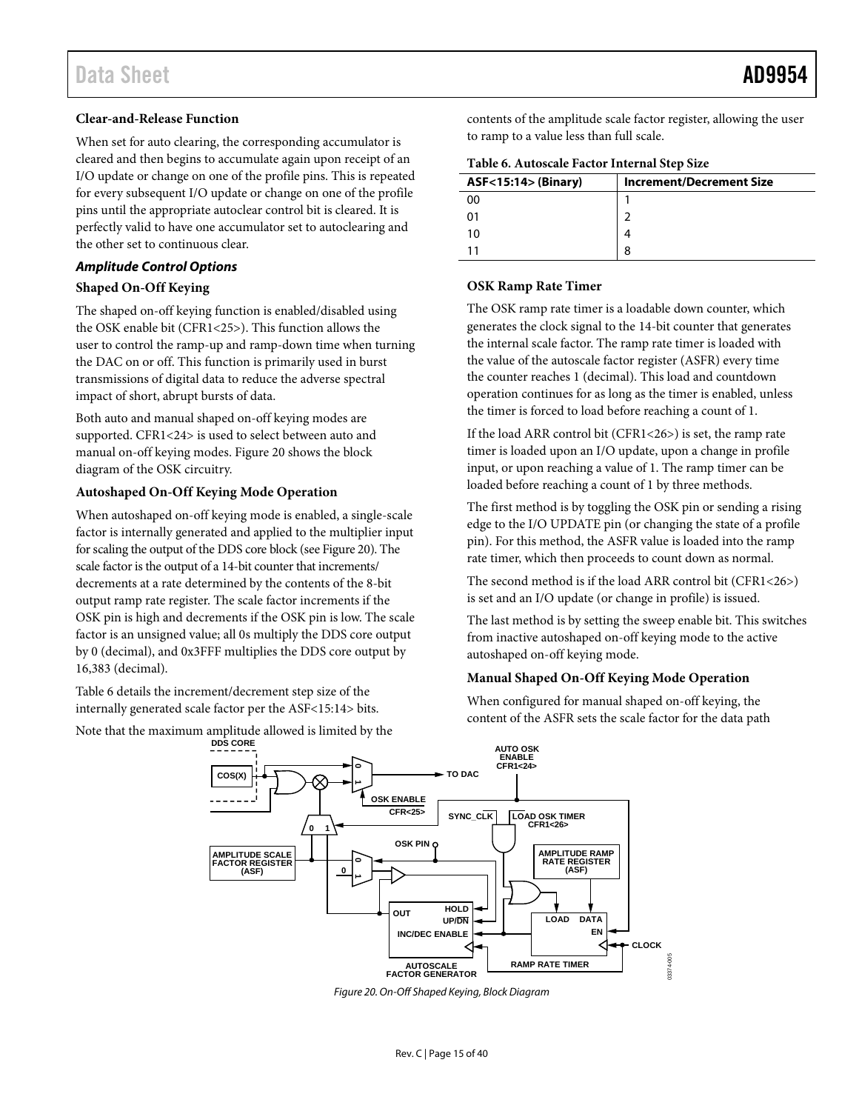# **Clear-and-Release Function**

When set for auto clearing, the corresponding accumulator is cleared and then begins to accumulate again upon receipt of an I/O update or change on one of the profile pins. This is repeated for every subsequent I/O update or change on one of the profile pins until the appropriate autoclear control bit is cleared. It is perfectly valid to have one accumulator set to autoclearing and the other set to continuous clear.

# <span id="page-14-3"></span>*Amplitude Control Options*

# <span id="page-14-2"></span>**Shaped On-Off Keying**

The shaped on-off keying function is enabled/disabled using the OSK enable bit (CFR1<25>). This function allows the user to control the ramp-up and ramp-down time when turning the DAC on or off. This function is primarily used in burst transmissions of digital data to reduce the adverse spectral impact of short, abrupt bursts of data.

Both auto and manual shaped on-off keying modes are supported. CFR1<24> is used to select between auto and manual on-off keying modes[. Figure 20](#page-14-0) shows the block diagram of the OSK circuitry.

# **Autoshaped On-Off Keying Mode Operation**

When autoshaped on-off keying mode is enabled, a single-scale factor is internally generated and applied to the multiplier input for scaling the output of the DDS core block (se[e Figure 20\)](#page-14-0). The scale factor is the output of a 14-bit counter that increments/ decrements at a rate determined by the contents of the 8-bit output ramp rate register. The scale factor increments if the OSK pin is high and decrements if the OSK pin is low. The scale factor is an unsigned value; all 0s multiply the DDS core output by 0 (decimal), and 0x3FFF multiplies the DDS core output by 16,383 (decimal).

[Table 6](#page-14-1) details the increment/decrement step size of the internally generated scale factor per the ASF<15:14> bits.

Note that the maximum amplitude allowed is limited by the

contents of the amplitude scale factor register, allowing the user to ramp to a value less than full scale.

<span id="page-14-1"></span>

| Table 6. Autoscale Factor Internal Step Size |  |
|----------------------------------------------|--|
|----------------------------------------------|--|

| <b>ASF&lt;15:14&gt; (Binary)</b> | <b>Increment/Decrement Size</b> |
|----------------------------------|---------------------------------|
| იი                               |                                 |
|                                  |                                 |
| 10                               |                                 |
|                                  | ጸ                               |
|                                  |                                 |

# **OSK Ramp Rate Timer**

The OSK ramp rate timer is a loadable down counter, which generates the clock signal to the 14-bit counter that generates the internal scale factor. The ramp rate timer is loaded with the value of the autoscale factor register (ASFR) every time the counter reaches 1 (decimal). This load and countdown operation continues for as long as the timer is enabled, unless the timer is forced to load before reaching a count of 1.

If the load ARR control bit (CFR1<26>) is set, the ramp rate timer is loaded upon an I/O update, upon a change in profile input, or upon reaching a value of 1. The ramp timer can be loaded before reaching a count of 1 by three methods.

The first method is by toggling the OSK pin or sending a rising edge to the I/O UPDATE pin (or changing the state of a profile pin). For this method, the ASFR value is loaded into the ramp rate timer, which then proceeds to count down as normal.

The second method is if the load ARR control bit (CFR1<26>) is set and an I/O update (or change in profile) is issued.

The last method is by setting the sweep enable bit. This switches from inactive autoshaped on-off keying mode to the active autoshaped on-off keying mode.

# **Manual Shaped On-Off Keying Mode Operation**

When configured for manual shaped on-off keying, the content of the ASFR sets the scale factor for the data path



<span id="page-14-0"></span>*Figure 20. On-Off Shaped Keying, Block Diagram*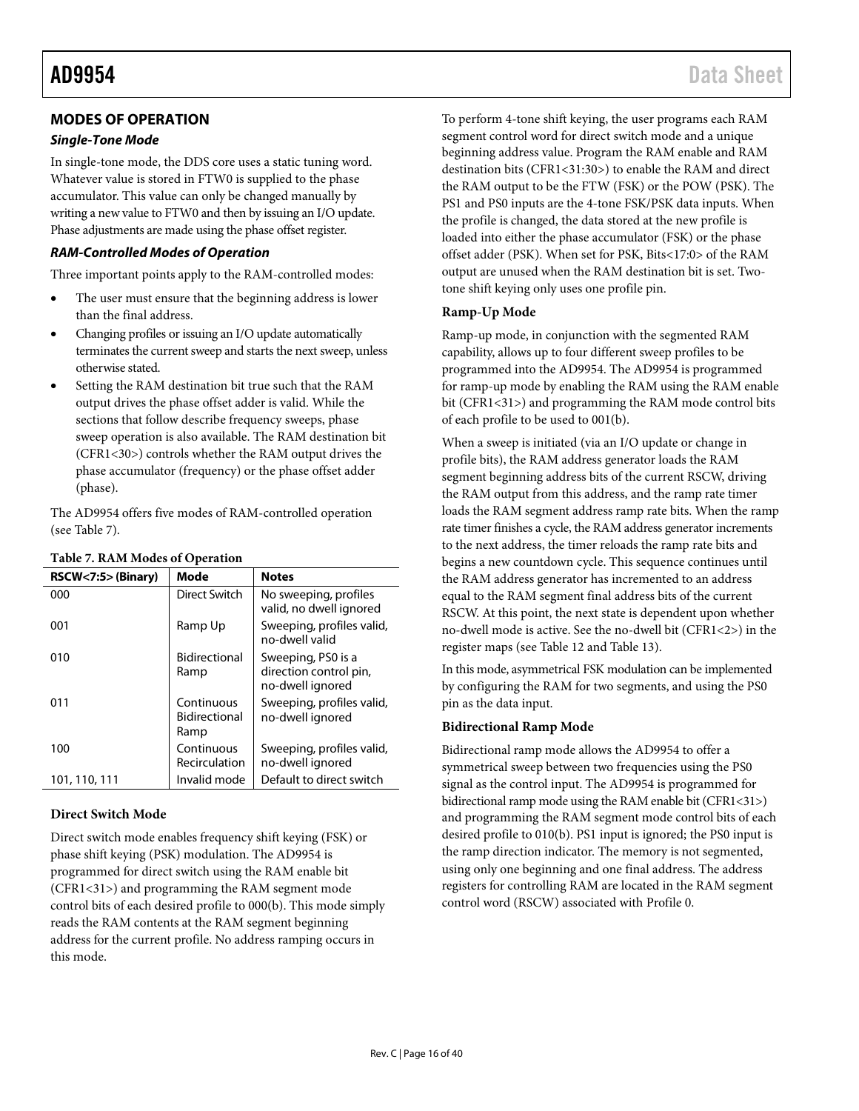# <span id="page-15-0"></span>**MODES OF OPERATION**

# *Single-Tone Mode*

In single-tone mode, the DDS core uses a static tuning word. Whatever value is stored in FTW0 is supplied to the phase accumulator. This value can only be changed manually by writing a new value to FTW0 and then by issuing an I/O update. Phase adjustments are made using the phase offset register.

# *RAM-Controlled Modes of Operation*

Three important points apply to the RAM-controlled modes:

- The user must ensure that the beginning address is lower than the final address.
- Changing profiles or issuing an I/O update automatically terminates the current sweep and starts the next sweep, unless otherwise stated.
- Setting the RAM destination bit true such that the RAM output drives the phase offset adder is valid. While the sections that follow describe frequency sweeps, phase sweep operation is also available. The RAM destination bit (CFR1<30>) controls whether the RAM output drives the phase accumulator (frequency) or the phase offset adder (phase).

The AD9954 offers five modes of RAM-controlled operation (see [Table 7\)](#page-15-1).

| RSCW<7:5>(Binary) | Mode                                | <b>Notes</b>                                                     |
|-------------------|-------------------------------------|------------------------------------------------------------------|
| 000               | Direct Switch                       | No sweeping, profiles<br>valid, no dwell ignored                 |
| 001               | Ramp Up                             | Sweeping, profiles valid,<br>no-dwell valid                      |
| 010               | Bidirectional<br>Ramp               | Sweeping, PS0 is a<br>direction control pin,<br>no-dwell ignored |
| 011               | Continuous<br>Bidirectional<br>Ramp | Sweeping, profiles valid,<br>no-dwell ignored                    |
| 100               | Continuous<br>Recirculation         | Sweeping, profiles valid,<br>no-dwell ignored                    |
| 101, 110, 111     | Invalid mode                        | Default to direct switch                                         |

# <span id="page-15-1"></span>**Table 7. RAM Modes of Operation**

# **Direct Switch Mode**

Direct switch mode enables frequency shift keying (FSK) or phase shift keying (PSK) modulation. The AD9954 is programmed for direct switch using the RAM enable bit (CFR1<31>) and programming the RAM segment mode control bits of each desired profile to 000(b). This mode simply reads the RAM contents at the RAM segment beginning address for the current profile. No address ramping occurs in this mode.

To perform 4-tone shift keying, the user programs each RAM segment control word for direct switch mode and a unique beginning address value. Program the RAM enable and RAM destination bits (CFR1<31:30>) to enable the RAM and direct the RAM output to be the FTW (FSK) or the POW (PSK). The PS1 and PS0 inputs are the 4-tone FSK/PSK data inputs. When the profile is changed, the data stored at the new profile is loaded into either the phase accumulator (FSK) or the phase offset adder (PSK). When set for PSK, Bits<17:0> of the RAM output are unused when the RAM destination bit is set. Twotone shift keying only uses one profile pin.

## **Ramp-Up Mode**

Ramp-up mode, in conjunction with the segmented RAM capability, allows up to four different sweep profiles to be programmed into the AD9954. The AD9954 is programmed for ramp-up mode by enabling the RAM using the RAM enable bit (CFR1<31>) and programming the RAM mode control bits of each profile to be used to 001(b).

When a sweep is initiated (via an I/O update or change in profile bits), the RAM address generator loads the RAM segment beginning address bits of the current RSCW, driving the RAM output from this address, and the ramp rate timer loads the RAM segment address ramp rate bits. When the ramp rate timer finishes a cycle, the RAM address generator increments to the next address, the timer reloads the ramp rate bits and begins a new countdown cycle. This sequence continues until the RAM address generator has incremented to an address equal to the RAM segment final address bits of the current RSCW. At this point, the next state is dependent upon whether no-dwell mode is active. See the no-dwell bit (CFR1<2>) in the register maps (see [Table 12](#page-25-0) and [Table 13\)](#page-27-0).

In this mode, asymmetrical FSK modulation can be implemented by configuring the RAM for two segments, and using the PS0 pin as the data input.

## **Bidirectional Ramp Mode**

Bidirectional ramp mode allows the AD9954 to offer a symmetrical sweep between two frequencies using the PS0 signal as the control input. The AD9954 is programmed for bidirectional ramp mode using the RAM enable bit (CFR1<31>) and programming the RAM segment mode control bits of each desired profile to 010(b). PS1 input is ignored; the PS0 input is the ramp direction indicator. The memory is not segmented, using only one beginning and one final address. The address registers for controlling RAM are located in the RAM segment control word (RSCW) associated with Profile 0.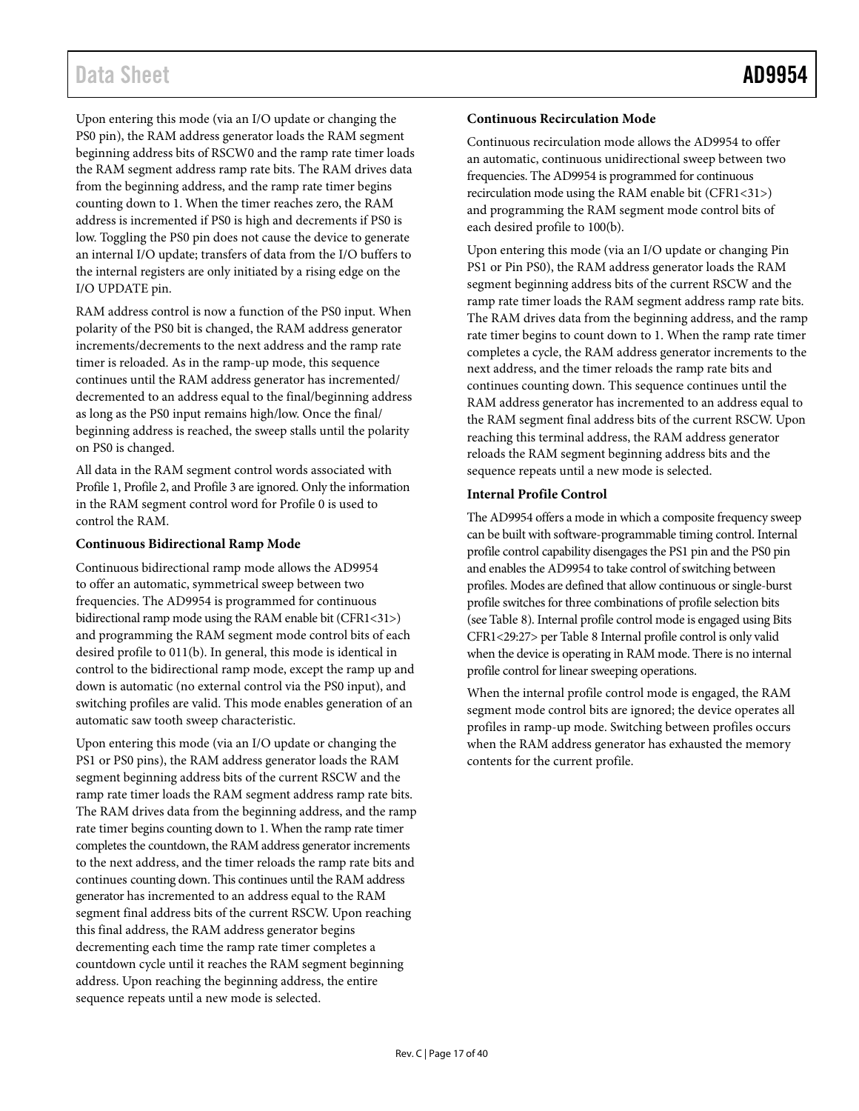# Data Sheet **AD9954**

Upon entering this mode (via an I/O update or changing the PS0 pin), the RAM address generator loads the RAM segment beginning address bits of RSCW0 and the ramp rate timer loads the RAM segment address ramp rate bits. The RAM drives data from the beginning address, and the ramp rate timer begins counting down to 1. When the timer reaches zero, the RAM address is incremented if PS0 is high and decrements if PS0 is low. Toggling the PS0 pin does not cause the device to generate an internal I/O update; transfers of data from the I/O buffers to the internal registers are only initiated by a rising edge on the I/O UPDATE pin.

RAM address control is now a function of the PS0 input. When polarity of the PS0 bit is changed, the RAM address generator increments/decrements to the next address and the ramp rate timer is reloaded. As in the ramp-up mode, this sequence continues until the RAM address generator has incremented/ decremented to an address equal to the final/beginning address as long as the PS0 input remains high/low. Once the final/ beginning address is reached, the sweep stalls until the polarity on PS0 is changed.

All data in the RAM segment control words associated with Profile 1, Profile 2, and Profile 3 are ignored. Only the information in the RAM segment control word for Profile 0 is used to control the RAM.

## **Continuous Bidirectional Ramp Mode**

Continuous bidirectional ramp mode allows the AD9954 to offer an automatic, symmetrical sweep between two frequencies. The AD9954 is programmed for continuous bidirectional ramp mode using the RAM enable bit (CFR1<31>) and programming the RAM segment mode control bits of each desired profile to 011(b). In general, this mode is identical in control to the bidirectional ramp mode, except the ramp up and down is automatic (no external control via the PS0 input), and switching profiles are valid. This mode enables generation of an automatic saw tooth sweep characteristic.

Upon entering this mode (via an I/O update or changing the PS1 or PS0 pins), the RAM address generator loads the RAM segment beginning address bits of the current RSCW and the ramp rate timer loads the RAM segment address ramp rate bits. The RAM drives data from the beginning address, and the ramp rate timer begins counting down to 1. When the ramp rate timer completes the countdown, the RAM address generator increments to the next address, and the timer reloads the ramp rate bits and continues counting down. This continues until the RAM address generator has incremented to an address equal to the RAM segment final address bits of the current RSCW. Upon reaching this final address, the RAM address generator begins decrementing each time the ramp rate timer completes a countdown cycle until it reaches the RAM segment beginning address. Upon reaching the beginning address, the entire sequence repeats until a new mode is selected.

# **Continuous Recirculation Mode**

Continuous recirculation mode allows the AD9954 to offer an automatic, continuous unidirectional sweep between two frequencies. The AD9954 is programmed for continuous recirculation mode using the RAM enable bit (CFR1<31>) and programming the RAM segment mode control bits of each desired profile to 100(b).

Upon entering this mode (via an I/O update or changing Pin PS1 or Pin PS0), the RAM address generator loads the RAM segment beginning address bits of the current RSCW and the ramp rate timer loads the RAM segment address ramp rate bits. The RAM drives data from the beginning address, and the ramp rate timer begins to count down to 1. When the ramp rate timer completes a cycle, the RAM address generator increments to the next address, and the timer reloads the ramp rate bits and continues counting down. This sequence continues until the RAM address generator has incremented to an address equal to the RAM segment final address bits of the current RSCW. Upon reaching this terminal address, the RAM address generator reloads the RAM segment beginning address bits and the sequence repeats until a new mode is selected.

# <span id="page-16-0"></span>**Internal Profile Control**

The AD9954 offers a mode in which a composite frequency sweep can be built with software-programmable timing control. Internal profile control capability disengages the PS1 pin and the PS0 pin and enables the AD9954 to take control of switching between profiles. Modes are defined that allow continuous or single-burst profile switches for three combinations of profile selection bits (see [Table 8\)](#page-17-0). Internal profile control mode is engaged using Bits CFR1<29:27> pe[r Table 8](#page-17-0) Internal profile control is only valid when the device is operating in RAM mode. There is no internal profile control for linear sweeping operations.

When the internal profile control mode is engaged, the RAM segment mode control bits are ignored; the device operates all profiles in ramp-up mode. Switching between profiles occurs when the RAM address generator has exhausted the memory contents for the current profile.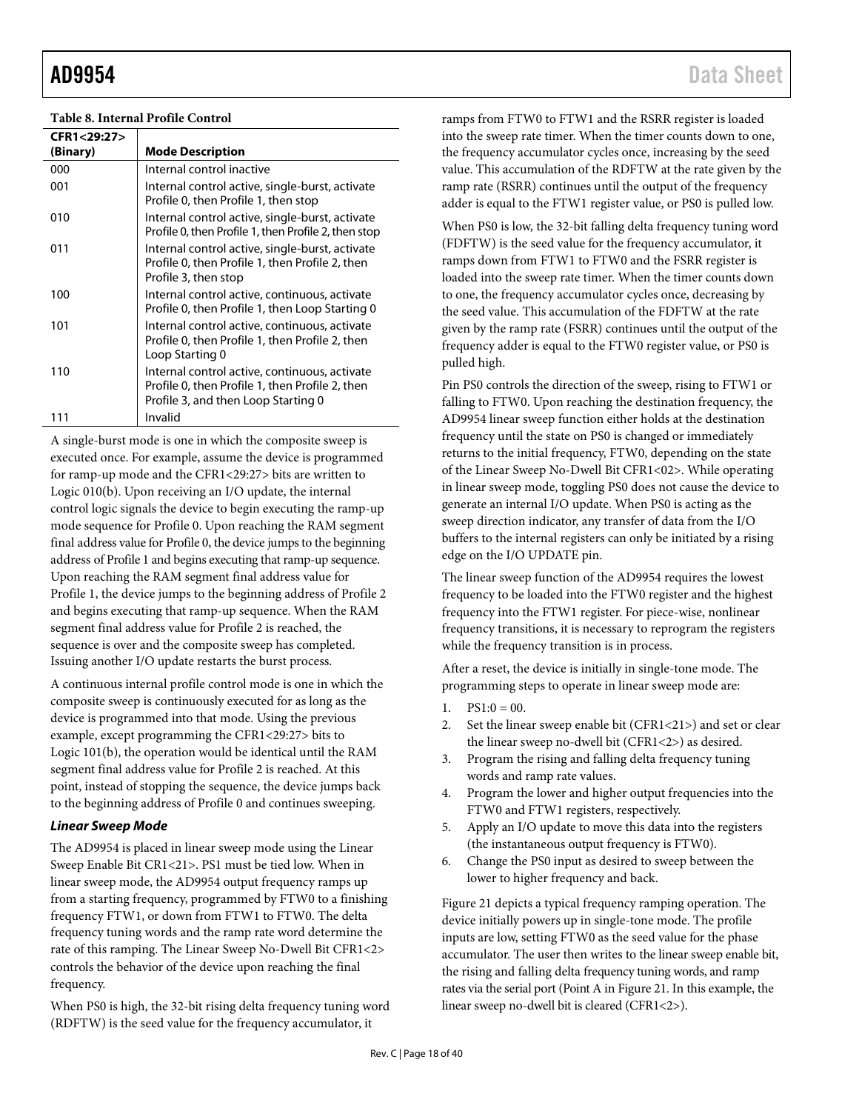### <span id="page-17-0"></span>**Table 8. Internal Profile Control**

| CFR1<29:27> |                                                                                                                                         |
|-------------|-----------------------------------------------------------------------------------------------------------------------------------------|
| (Binary)    | <b>Mode Description</b>                                                                                                                 |
| 000         | Internal control inactive                                                                                                               |
| 001         | Internal control active, single-burst, activate<br>Profile 0, then Profile 1, then stop                                                 |
| 010         | Internal control active, single-burst, activate<br>Profile 0, then Profile 1, then Profile 2, then stop                                 |
| 011         | Internal control active, single-burst, activate<br>Profile 0, then Profile 1, then Profile 2, then<br>Profile 3, then stop              |
| 100         | Internal control active, continuous, activate<br>Profile 0, then Profile 1, then Loop Starting 0                                        |
| 101         | Internal control active, continuous, activate<br>Profile 0, then Profile 1, then Profile 2, then<br>Loop Starting 0                     |
| 110         | Internal control active, continuous, activate<br>Profile 0, then Profile 1, then Profile 2, then<br>Profile 3, and then Loop Starting 0 |
| 111         | Invalid                                                                                                                                 |

A single-burst mode is one in which the composite sweep is executed once. For example, assume the device is programmed for ramp-up mode and the CFR1<29:27> bits are written to Logic 010(b). Upon receiving an I/O update, the internal control logic signals the device to begin executing the ramp-up mode sequence for Profile 0. Upon reaching the RAM segment final address value for Profile 0, the device jumps to the beginning address of Profile 1 and begins executing that ramp-up sequence. Upon reaching the RAM segment final address value for Profile 1, the device jumps to the beginning address of Profile 2 and begins executing that ramp-up sequence. When the RAM segment final address value for Profile 2 is reached, the sequence is over and the composite sweep has completed. Issuing another I/O update restarts the burst process.

A continuous internal profile control mode is one in which the composite sweep is continuously executed for as long as the device is programmed into that mode. Using the previous example, except programming the CFR1<29:27> bits to Logic 101(b), the operation would be identical until the RAM segment final address value for Profile 2 is reached. At this point, instead of stopping the sequence, the device jumps back to the beginning address of Profile 0 and continues sweeping.

## <span id="page-17-1"></span>*Linear Sweep Mode*

The AD9954 is placed in linear sweep mode using the Linear Sweep Enable Bit CR1<21>. PS1 must be tied low. When in linear sweep mode, the AD9954 output frequency ramps up from a starting frequency, programmed by FTW0 to a finishing frequency FTW1, or down from FTW1 to FTW0. The delta frequency tuning words and the ramp rate word determine the rate of this ramping. The Linear Sweep No-Dwell Bit CFR1<2> controls the behavior of the device upon reaching the final frequency.

When PS0 is high, the 32-bit rising delta frequency tuning word (RDFTW) is the seed value for the frequency accumulator, it

ramps from FTW0 to FTW1 and the RSRR register is loaded into the sweep rate timer. When the timer counts down to one, the frequency accumulator cycles once, increasing by the seed value. This accumulation of the RDFTW at the rate given by the ramp rate (RSRR) continues until the output of the frequency adder is equal to the FTW1 register value, or PS0 is pulled low.

When PS0 is low, the 32-bit falling delta frequency tuning word (FDFTW) is the seed value for the frequency accumulator, it ramps down from FTW1 to FTW0 and the FSRR register is loaded into the sweep rate timer. When the timer counts down to one, the frequency accumulator cycles once, decreasing by the seed value. This accumulation of the FDFTW at the rate given by the ramp rate (FSRR) continues until the output of the frequency adder is equal to the FTW0 register value, or PS0 is pulled high.

Pin PS0 controls the direction of the sweep, rising to FTW1 or falling to FTW0. Upon reaching the destination frequency, the AD9954 linear sweep function either holds at the destination frequency until the state on PS0 is changed or immediately returns to the initial frequency, FTW0, depending on the state of the Linear Sweep No-Dwell Bit CFR1<02>. While operating in linear sweep mode, toggling PS0 does not cause the device to generate an internal I/O update. When PS0 is acting as the sweep direction indicator, any transfer of data from the I/O buffers to the internal registers can only be initiated by a rising edge on the I/O UPDATE pin.

The linear sweep function of the AD9954 requires the lowest frequency to be loaded into the FTW0 register and the highest frequency into the FTW1 register. For piece-wise, nonlinear frequency transitions, it is necessary to reprogram the registers while the frequency transition is in process.

After a reset, the device is initially in single-tone mode. The programming steps to operate in linear sweep mode are:

- 1.  $PS1:0 = 00$ .
- 2. Set the linear sweep enable bit (CFR1<21>) and set or clear the linear sweep no-dwell bit (CFR1<2>) as desired.
- 3. Program the rising and falling delta frequency tuning words and ramp rate values.
- 4. Program the lower and higher output frequencies into the FTW0 and FTW1 registers, respectively.
- 5. Apply an I/O update to move this data into the registers (the instantaneous output frequency is FTW0).
- 6. Change the PS0 input as desired to sweep between the lower to higher frequency and back.

[Figure 21](#page-18-0) depicts a typical frequency ramping operation. The device initially powers up in single-tone mode. The profile inputs are low, setting FTW0 as the seed value for the phase accumulator. The user then writes to the linear sweep enable bit, the rising and falling delta frequency tuning words, and ramp rates via the serial port (Point A i[n Figure 21.](#page-18-0) In this example, the linear sweep no-dwell bit is cleared (CFR1<2>).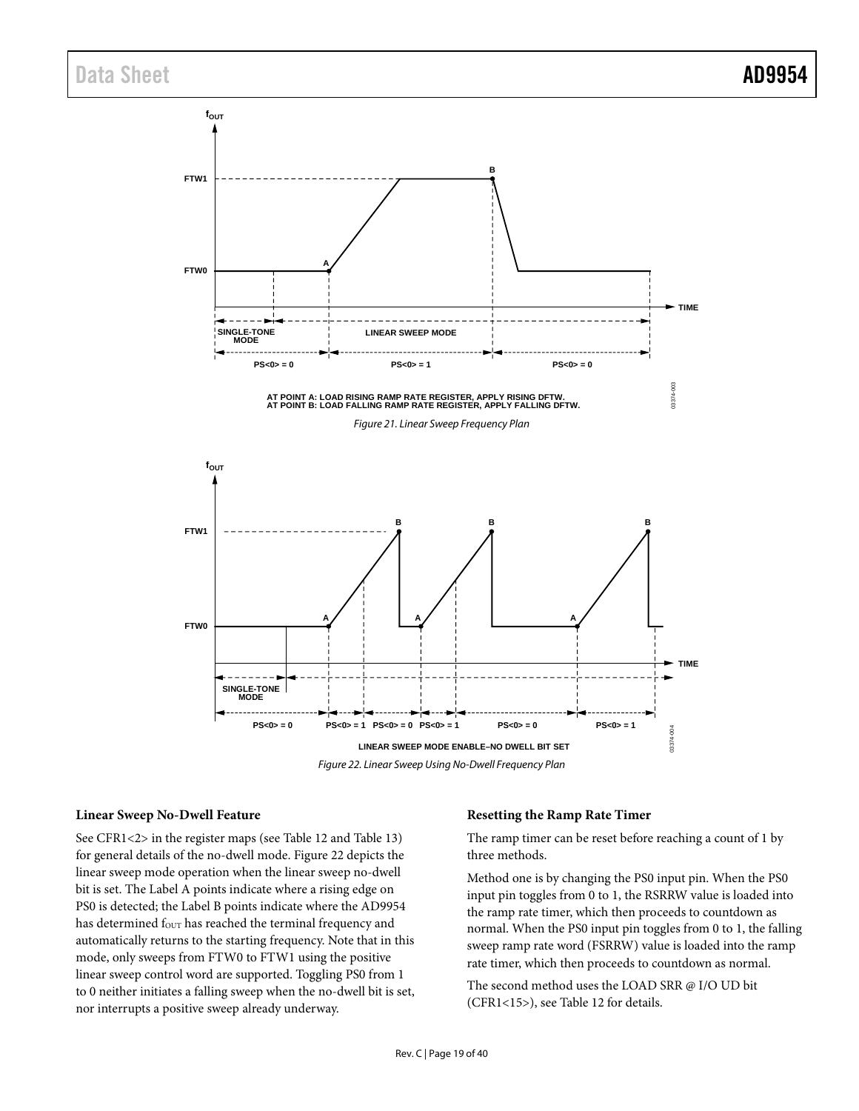<span id="page-18-0"></span>

<span id="page-18-1"></span>**Linear Sweep No-Dwell Feature**

See CFR1<2> in the register maps (see [Table 12](#page-25-0) and [Table 13\)](#page-27-0) for general details of the no-dwell mode[. Figure 22](#page-18-1) depicts the linear sweep mode operation when the linear sweep no-dwell bit is set. The Label A points indicate where a rising edge on PS0 is detected; the Label B points indicate where the AD9954 has determined f<sub>OUT</sub> has reached the terminal frequency and automatically returns to the starting frequency. Note that in this mode, only sweeps from FTW0 to FTW1 using the positive linear sweep control word are supported. Toggling PS0 from 1 to 0 neither initiates a falling sweep when the no-dwell bit is set, nor interrupts a positive sweep already underway.

#### **Resetting the Ramp Rate Timer**

The ramp timer can be reset before reaching a count of 1 by three methods.

Method one is by changing the PS0 input pin. When the PS0 input pin toggles from 0 to 1, the RSRRW value is loaded into the ramp rate timer, which then proceeds to countdown as normal. When the PS0 input pin toggles from 0 to 1, the falling sweep ramp rate word (FSRRW) value is loaded into the ramp rate timer, which then proceeds to countdown as normal.

The second method uses the LOAD SRR @ I/O UD bit (CFR1<15>), se[e Table 12](#page-25-0) for details.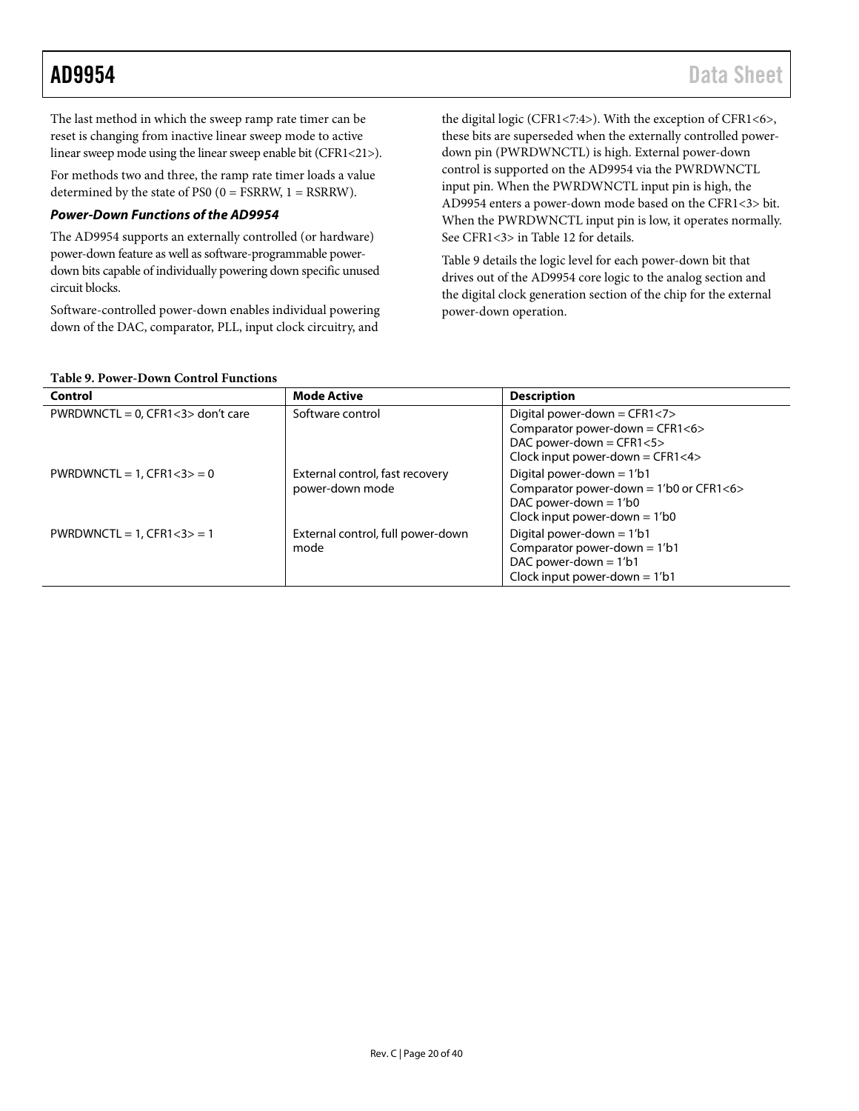The last method in which the sweep ramp rate timer can be reset is changing from inactive linear sweep mode to active linear sweep mode using the linear sweep enable bit (CFR1<21>).

For methods two and three, the ramp rate timer loads a value determined by the state of PS0  $(0 = FSRRW, 1 = RSRRW)$ .

# *Power-Down Functions of the AD9954*

The AD9954 supports an externally controlled (or hardware) power-down feature as well as software-programmable powerdown bits capable of individually powering down specific unused circuit blocks.

Software-controlled power-down enables individual powering down of the DAC, comparator, PLL, input clock circuitry, and

the digital logic (CFR1<7:4>). With the exception of CFR1<6>, these bits are superseded when the externally controlled powerdown pin (PWRDWNCTL) is high. External power-down control is supported on the AD9954 via the PWRDWNCTL input pin. When the PWRDWNCTL input pin is high, the AD9954 enters a power-down mode based on the CFR1<3> bit. When the PWRDWNCTL input pin is low, it operates normally. See CFR1<3> in [Table 12](#page-25-0) for details.

[Table 9](#page-19-1) details the logic level for each power-down bit that drives out of the AD9954 core logic to the analog section and the digital clock generation section of the chip for the external power-down operation.

### <span id="page-19-1"></span>**Table 9. Power-Down Control Functions**

<span id="page-19-0"></span>

| Control                              | <b>Mode Active</b>                                 | <b>Description</b>                                                                                                                     |
|--------------------------------------|----------------------------------------------------|----------------------------------------------------------------------------------------------------------------------------------------|
| PWRDWNCTL = $0$ , CFR1<3> don't care | Software control                                   | Digital power-down = CFR1<7><br>Comparator power-down = CFR1<6><br>DAC power-down = $CFR1 < 5$<br>Clock input power-down = $CFR1 < 4>$ |
| $PWRDWNCTL = 1$ , $CFR1 < 3 > 0$     | External control, fast recovery<br>power-down mode | Digital power-down = $1/b1$<br>Comparator power-down = 1'b0 or CFR1<6><br>DAC power-down $= 1/b0$<br>Clock input power-down = $1/b0$   |
| $PWRDWNCTL = 1$ , $CFR1 < 3 > 1$     | External control, full power-down<br>mode          | Digital power-down = $1/b1$<br>Comparator power-down = $1/b1$<br>DAC power-down $= 1/b1$<br>Clock input power-down = $1/b1$            |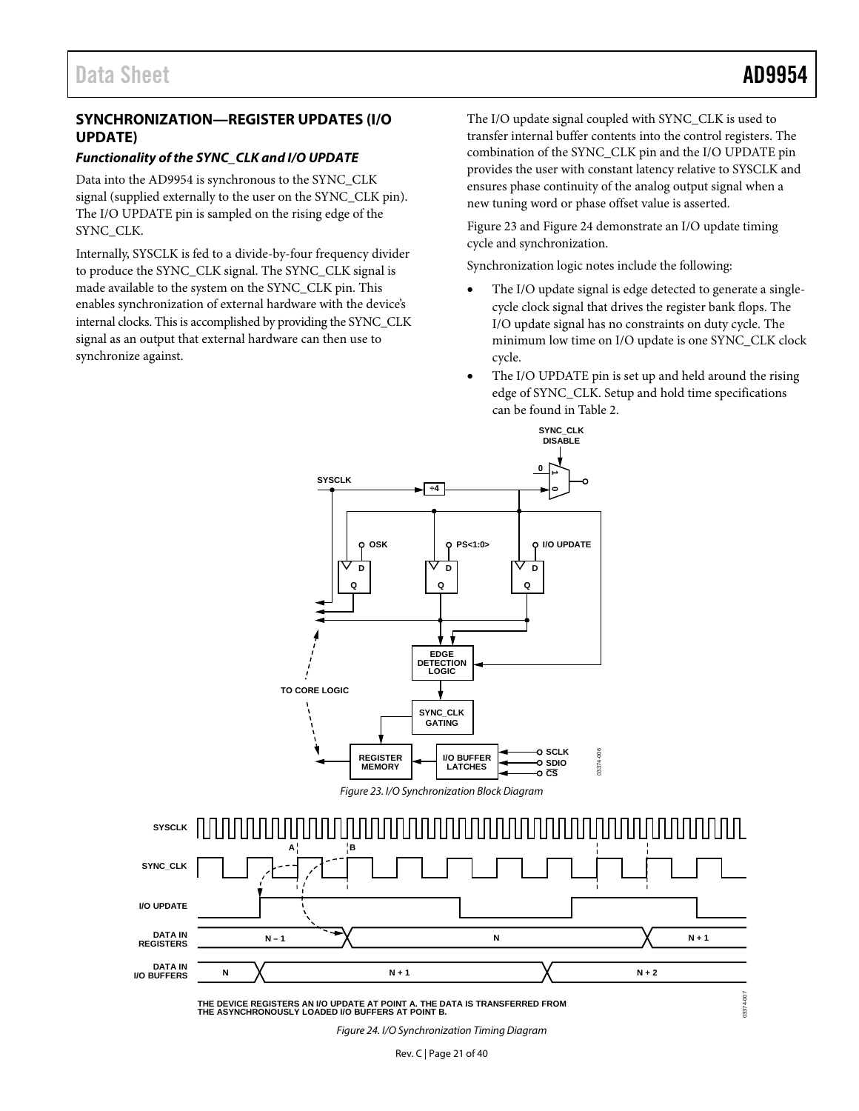# <span id="page-20-0"></span>**SYNCHRONIZATION—REGISTER UPDATES (I/O UPDATE)**

# <span id="page-20-1"></span>*Functionality of the SYNC\_CLK and I/O UPDATE*

Data into the AD9954 is synchronous to the SYNC\_CLK signal (supplied externally to the user on the SYNC\_CLK pin). The I/O UPDATE pin is sampled on the rising edge of the SYNC\_CLK.

Internally, SYSCLK is fed to a divide-by-four frequency divider to produce the SYNC\_CLK signal. The SYNC\_CLK signal is made available to the system on the SYNC\_CLK pin. This enables synchronization of external hardware with the device's internal clocks. This is accomplished by providing the SYNC\_CLK signal as an output that external hardware can then use to synchronize against.

The I/O update signal coupled with SYNC\_CLK is used to transfer internal buffer contents into the control registers. The combination of the SYNC\_CLK pin and the I/O UPDATE pin provides the user with constant latency relative to SYSCLK and ensures phase continuity of the analog output signal when a new tuning word or phase offset value is asserted.

[Figure 23](#page-20-2) an[d Figure 24](#page-20-3) demonstrate an I/O update timing cycle and synchronization.

Synchronization logic notes include the following:

**SYNC\_CLK**

- The I/O update signal is edge detected to generate a singlecycle clock signal that drives the register bank flops. The I/O update signal has no constraints on duty cycle. The minimum low time on I/O update is one SYNC\_CLK clock cycle.
- The I/O UPDATE pin is set up and held around the rising edge of SYNC\_CLK. Setup and hold time specifications can be found i[n Table 2.](#page-6-0)

<span id="page-20-2"></span>

<span id="page-20-3"></span>*Figure 24. I/O Synchronization Timing Diagram*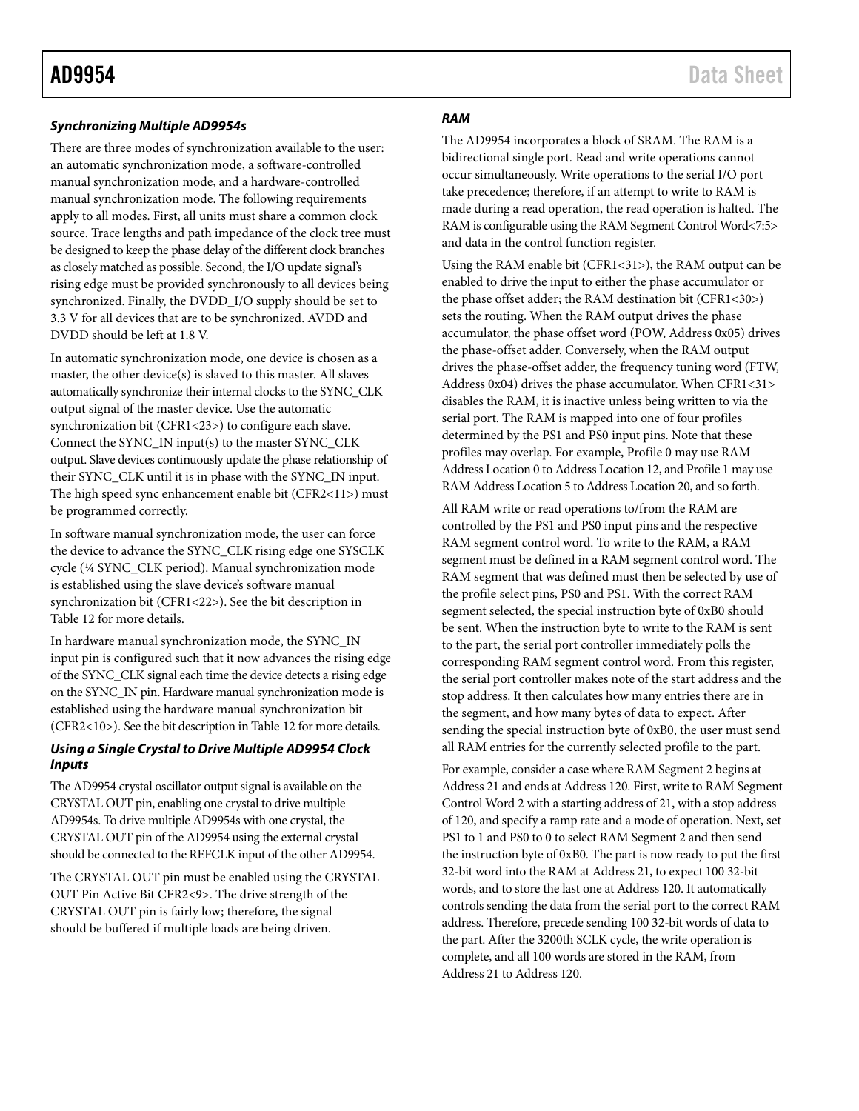## <span id="page-21-0"></span>*Synchronizing Multiple AD9954s*

There are three modes of synchronization available to the user: an automatic synchronization mode, a software-controlled manual synchronization mode, and a hardware-controlled manual synchronization mode. The following requirements apply to all modes. First, all units must share a common clock source. Trace lengths and path impedance of the clock tree must be designed to keep the phase delay of the different clock branches as closely matched as possible. Second, the I/O update signal's rising edge must be provided synchronously to all devices being synchronized. Finally, the DVDD\_I/O supply should be set to 3.3 V for all devices that are to be synchronized. AVDD and DVDD should be left at 1.8 V.

In automatic synchronization mode, one device is chosen as a master, the other device(s) is slaved to this master. All slaves automatically synchronize their internal clocks to the SYNC\_CLK output signal of the master device. Use the automatic synchronization bit (CFR1<23>) to configure each slave. Connect the SYNC\_IN input(s) to the master SYNC\_CLK output. Slave devices continuously update the phase relationship of their SYNC\_CLK until it is in phase with the SYNC\_IN input. The high speed sync enhancement enable bit (CFR2<11>) must be programmed correctly.

In software manual synchronization mode, the user can force the device to advance the SYNC\_CLK rising edge one SYSCLK cycle (¼ SYNC\_CLK period). Manual synchronization mode is established using the slave device's software manual synchronization bit (CFR1<22>). See the bit description in [Table 12](#page-25-0) for more details.

In hardware manual synchronization mode, the SYNC\_IN input pin is configured such that it now advances the rising edge of the SYNC\_CLK signal each time the device detects a rising edge on the SYNC\_IN pin. Hardware manual synchronization mode is established using the hardware manual synchronization bit (CFR2<10>). See the bit description i[n Table 12](#page-25-0) for more details.

## *Using a Single Crystal to Drive Multiple AD9954 Clock Inputs*

The AD9954 crystal oscillator output signal is available on the CRYSTAL OUT pin, enabling one crystal to drive multiple AD9954s. To drive multiple AD9954s with one crystal, the CRYSTAL OUT pin of the AD9954 using the external crystal should be connected to the REFCLK input of the other AD9954.

The CRYSTAL OUT pin must be enabled using the CRYSTAL OUT Pin Active Bit CFR2<9>. The drive strength of the CRYSTAL OUT pin is fairly low; therefore, the signal should be buffered if multiple loads are being driven.

#### *RAM*

The AD9954 incorporates a block of SRAM. The RAM is a bidirectional single port. Read and write operations cannot occur simultaneously. Write operations to the serial I/O port take precedence; therefore, if an attempt to write to RAM is made during a read operation, the read operation is halted. The RAM is configurable using the RAM Segment Control Word<7:5> and data in the control function register.

Using the RAM enable bit (CFR1<31>), the RAM output can be enabled to drive the input to either the phase accumulator or the phase offset adder; the RAM destination bit (CFR1<30>) sets the routing. When the RAM output drives the phase accumulator, the phase offset word (POW, Address 0x05) drives the phase-offset adder. Conversely, when the RAM output drives the phase-offset adder, the frequency tuning word (FTW, Address 0x04) drives the phase accumulator. When CFR1<31> disables the RAM, it is inactive unless being written to via the serial port. The RAM is mapped into one of four profiles determined by the PS1 and PS0 input pins. Note that these profiles may overlap. For example, Profile 0 may use RAM Address Location 0 to Address Location 12, and Profile 1 may use RAM Address Location 5 to Address Location 20, and so forth.

All RAM write or read operations to/from the RAM are controlled by the PS1 and PS0 input pins and the respective RAM segment control word. To write to the RAM, a RAM segment must be defined in a RAM segment control word. The RAM segment that was defined must then be selected by use of the profile select pins, PS0 and PS1. With the correct RAM segment selected, the special instruction byte of 0xB0 should be sent. When the instruction byte to write to the RAM is sent to the part, the serial port controller immediately polls the corresponding RAM segment control word. From this register, the serial port controller makes note of the start address and the stop address. It then calculates how many entries there are in the segment, and how many bytes of data to expect. After sending the special instruction byte of 0xB0, the user must send all RAM entries for the currently selected profile to the part.

For example, consider a case where RAM Segment 2 begins at Address 21 and ends at Address 120. First, write to RAM Segment Control Word 2 with a starting address of 21, with a stop address of 120, and specify a ramp rate and a mode of operation. Next, set PS1 to 1 and PS0 to 0 to select RAM Segment 2 and then send the instruction byte of 0xB0. The part is now ready to put the first 32-bit word into the RAM at Address 21, to expect 100 32-bit words, and to store the last one at Address 120. It automatically controls sending the data from the serial port to the correct RAM address. Therefore, precede sending 100 32-bit words of data to the part. After the 3200th SCLK cycle, the write operation is complete, and all 100 words are stored in the RAM, from Address 21 to Address 120.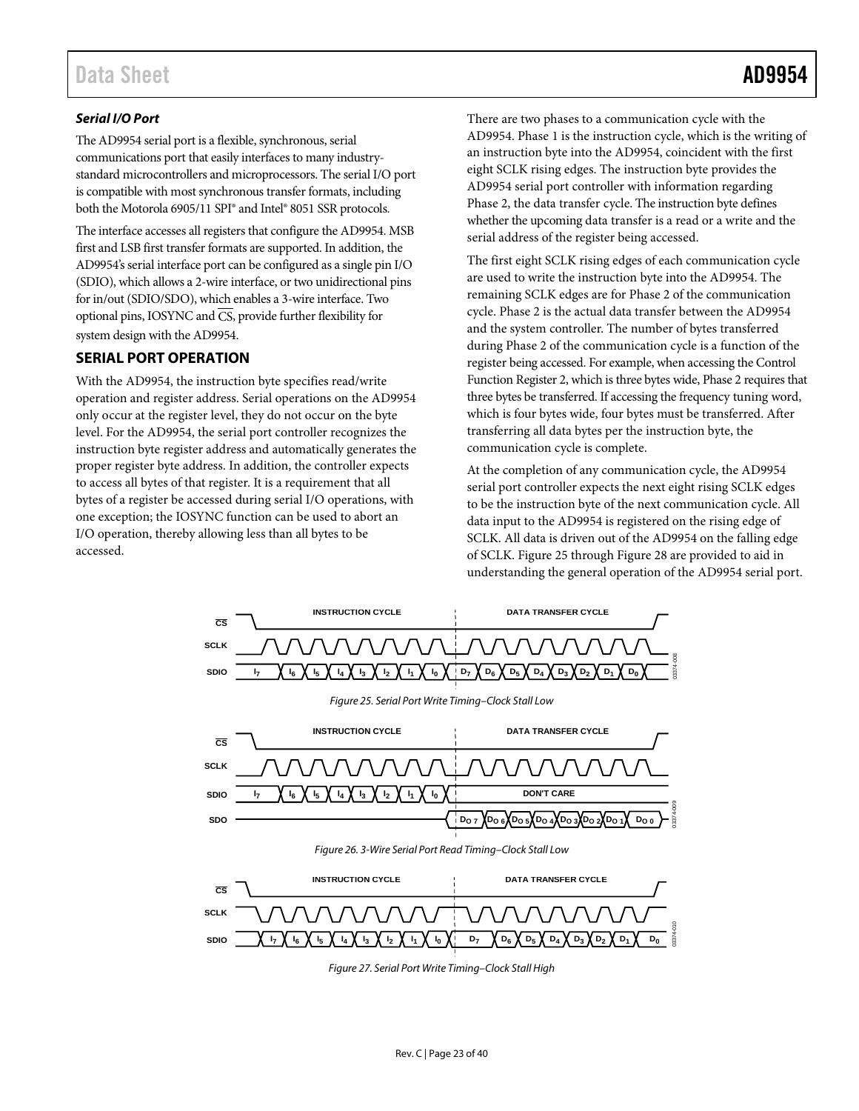# *Serial I/O Port*

The AD9954 serial port is a flexible, synchronous, serial communications port that easily interfaces to many industrystandard microcontrollers and microprocessors. The serial I/O port is compatible with most synchronous transfer formats, including both the Motorola 6905/11 SPI® and Intel® 8051 SSR protocols.

The interface accesses all registers that configure the AD9954. MSB first and LSB first transfer formats are supported. In addition, the AD9954's serial interface port can be configured as a single pin I/O (SDIO), which allows a 2-wire interface, or two unidirectional pins for in/out (SDIO/SDO), which enables a 3-wire interface. Two optional pins, IOSYNC and  $\overline{\text{CS}}$ , provide further flexibility for system design with the AD9954.

# <span id="page-22-0"></span>**SERIAL PORT OPERATION**

With the AD9954, the instruction byte specifies read/write operation and register address. Serial operations on the AD9954 only occur at the register level, they do not occur on the byte level. For the AD9954, the serial port controller recognizes the instruction byte register address and automatically generates the proper register byte address. In addition, the controller expects to access all bytes of that register. It is a requirement that all bytes of a register be accessed during serial I/O operations, with one exception; the IOSYNC function can be used to abort an I/O operation, thereby allowing less than all bytes to be accessed.

There are two phases to a communication cycle with the AD9954. Phase 1 is the instruction cycle, which is the writing of an instruction byte into the AD9954, coincident with the first eight SCLK rising edges. The instruction byte provides the AD9954 serial port controller with information regarding Phase 2, the data transfer cycle. The instruction byte defines whether the upcoming data transfer is a read or a write and the serial address of the register being accessed.

The first eight SCLK rising edges of each communication cycle are used to write the instruction byte into the AD9954. The remaining SCLK edges are for Phase 2 of the communication cycle. Phase 2 is the actual data transfer between the AD9954 and the system controller. The number of bytes transferred during Phase 2 of the communication cycle is a function of the register being accessed. For example, when accessing the Control Function Register 2, which is three bytes wide, Phase 2 requires that three bytes be transferred. If accessing the frequency tuning word, which is four bytes wide, four bytes must be transferred. After transferring all data bytes per the instruction byte, the communication cycle is complete.

At the completion of any communication cycle, the AD9954 serial port controller expects the next eight rising SCLK edges to be the instruction byte of the next communication cycle. All data input to the AD9954 is registered on the rising edge of SCLK. All data is driven out of the AD9954 on the falling edge of SCLK[. Figure 25](#page-22-1) through [Figure 28](#page-23-3) are provided to aid in understanding the general operation of the AD9954 serial port.

<span id="page-22-1"></span>

*Figure 27. Serial Port Write Timing–Clock Stall High*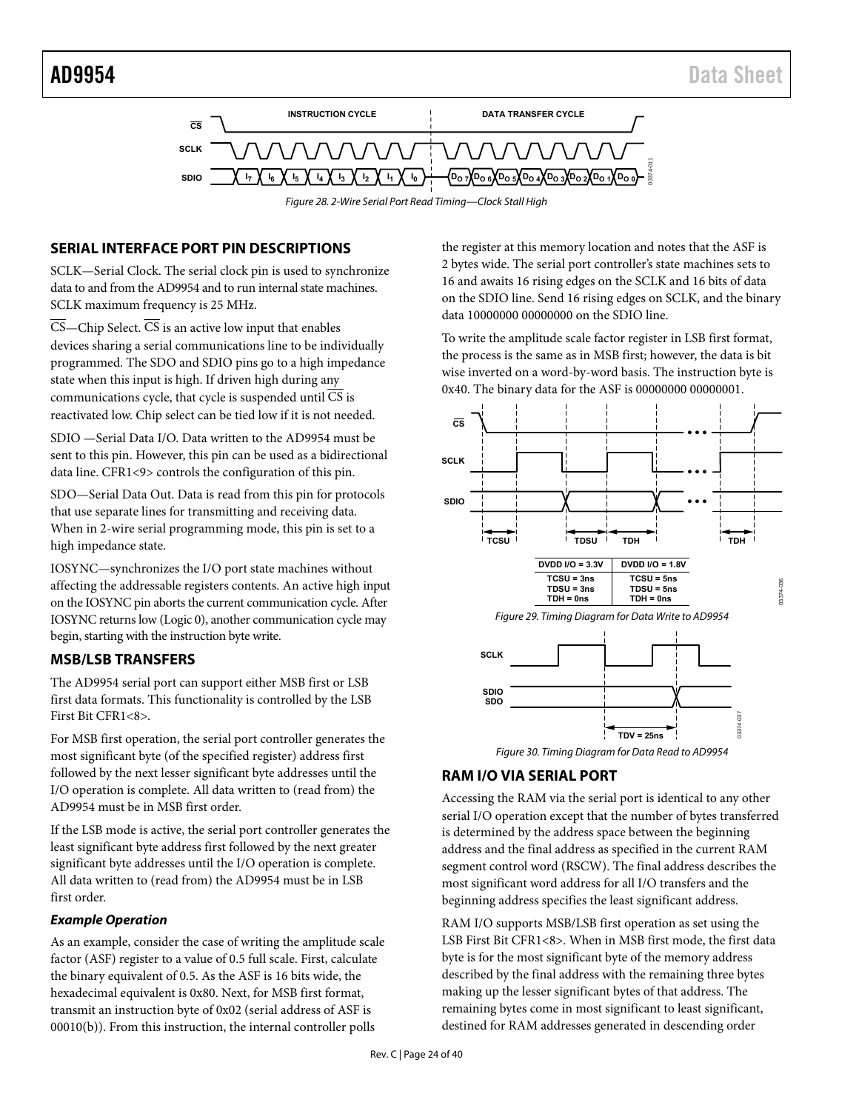



# <span id="page-23-3"></span><span id="page-23-0"></span>**SERIAL INTERFACE PORT PIN DESCRIPTIONS**

SCLK—Serial Clock. The serial clock pin is used to synchronize data to and from the AD9954 and to run internal state machines. SCLK maximum frequency is 25 MHz.

 $\overline{\text{CS}}$ —Chip Select.  $\overline{\text{CS}}$  is an active low input that enables devices sharing a serial communications line to be individually programmed. The SDO and SDIO pins go to a high impedance state when this input is high. If driven high during any communications cycle, that cycle is suspended until CS is reactivated low. Chip select can be tied low if it is not needed.

SDIO —Serial Data I/O. Data written to the AD9954 must be sent to this pin. However, this pin can be used as a bidirectional data line. CFR1<9> controls the configuration of this pin.

SDO—Serial Data Out. Data is read from this pin for protocols that use separate lines for transmitting and receiving data. When in 2-wire serial programming mode, this pin is set to a high impedance state.

IOSYNC—synchronizes the I/O port state machines without affecting the addressable registers contents. An active high input on the IOSYNC pin aborts the current communication cycle. After IOSYNC returns low (Logic 0), another communication cycle may begin, starting with the instruction byte write.

# <span id="page-23-1"></span>**MSB/LSB TRANSFERS**

The AD9954 serial port can support either MSB first or LSB first data formats. This functionality is controlled by the LSB First Bit CFR1<8>.

For MSB first operation, the serial port controller generates the most significant byte (of the specified register) address first followed by the next lesser significant byte addresses until the I/O operation is complete. All data written to (read from) the AD9954 must be in MSB first order.

If the LSB mode is active, the serial port controller generates the least significant byte address first followed by the next greater significant byte addresses until the I/O operation is complete. All data written to (read from) the AD9954 must be in LSB first order.

## **Example Operation**

As an example, consider the case of writing the amplitude scale factor (ASF) register to a value of 0.5 full scale. First, calculate the binary equivalent of 0.5. As the ASF is 16 bits wide, the hexadecimal equivalent is 0x80. Next, for MSB first format, transmit an instruction byte of 0x02 (serial address of ASF is 00010(b)). From this instruction, the internal controller polls

the register at this memory location and notes that the ASF is 2 bytes wide. The serial port controller's state machines sets to 16 and awaits 16 rising edges on the SCLK and 16 bits of data on the SDIO line. Send 16 rising edges on SCLK, and the binary data 10000000 00000000 on the SDIO line.

To write the amplitude scale factor register in LSB first format, the process is the same as in MSB first; however, the data is bit wise inverted on a word-by-word basis. The instruction byte is 0x40. The binary data for the ASF is 00000000 00000001.



Figure 30. Timing Diagram for Data Read to AD9954

# <span id="page-23-2"></span>**RAM I/O VIA SERIAL PORT**

Accessing the RAM via the serial port is identical to any other serial I/O operation except that the number of bytes transferred is determined by the address space between the beginning address and the final address as specified in the current RAM segment control word (RSCW). The final address describes the most significant word address for all I/O transfers and the beginning address specifies the least significant address.

RAM I/O supports MSB/LSB first operation as set using the LSB First Bit CFR1<8>. When in MSB first mode, the first data byte is for the most significant byte of the memory address described by the final address with the remaining three bytes making up the lesser significant bytes of that address. The remaining bytes come in most significant to least significant, destined for RAM addresses generated in descending order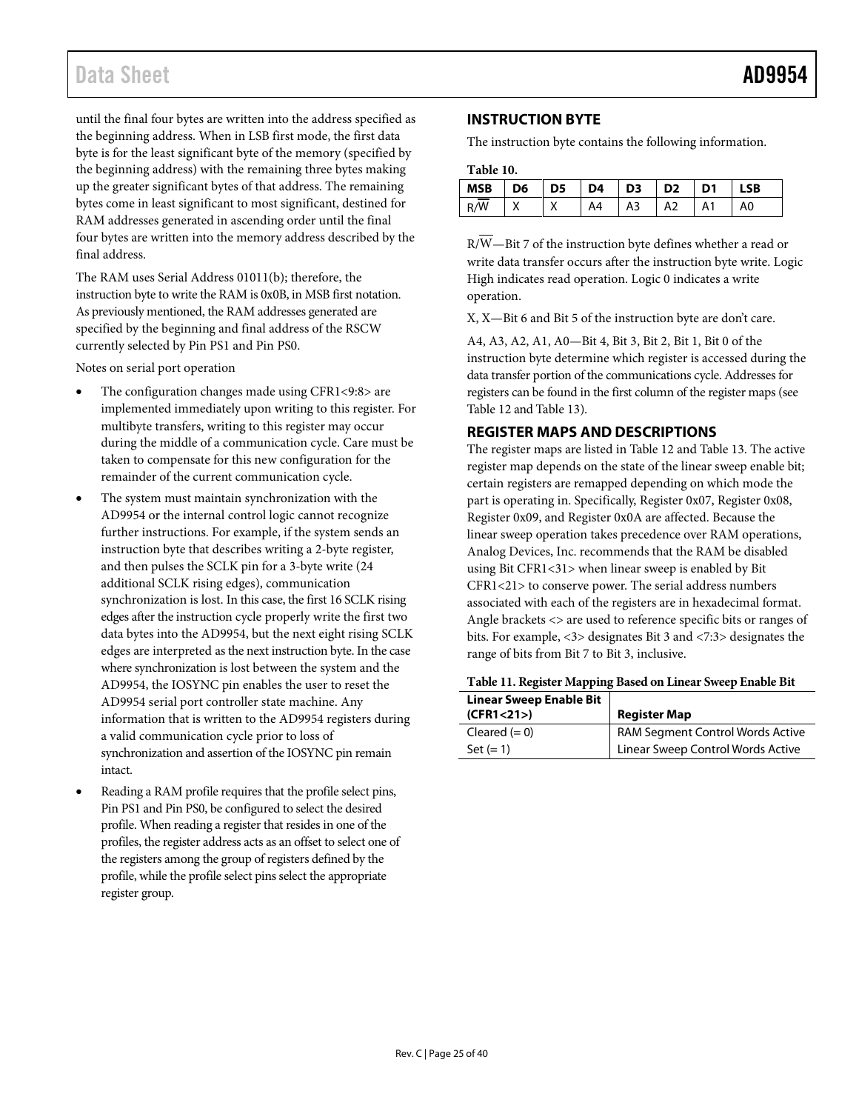# Data Sheet **AD9954**

until the final four bytes are written into the address specified as the beginning address. When in LSB first mode, the first data byte is for the least significant byte of the memory (specified by the beginning address) with the remaining three bytes making up the greater significant bytes of that address. The remaining bytes come in least significant to most significant, destined for RAM addresses generated in ascending order until the final four bytes are written into the memory address described by the final address.

The RAM uses Serial Address 01011(b); therefore, the instruction byte to write the RAM is 0x0B, in MSB first notation. As previously mentioned, the RAM addresses generated are specified by the beginning and final address of the RSCW currently selected by Pin PS1 and Pin PS0.

Notes on serial port operation

- The configuration changes made using CFR1<9:8> are implemented immediately upon writing to this register. For multibyte transfers, writing to this register may occur during the middle of a communication cycle. Care must be taken to compensate for this new configuration for the remainder of the current communication cycle.
- The system must maintain synchronization with the AD9954 or the internal control logic cannot recognize further instructions. For example, if the system sends an instruction byte that describes writing a 2-byte register, and then pulses the SCLK pin for a 3-byte write (24 additional SCLK rising edges), communication synchronization is lost. In this case, the first 16 SCLK rising edges after the instruction cycle properly write the first two data bytes into the AD9954, but the next eight rising SCLK edges are interpreted as the next instruction byte. In the case where synchronization is lost between the system and the AD9954, the IOSYNC pin enables the user to reset the AD9954 serial port controller state machine. Any information that is written to the AD9954 registers during a valid communication cycle prior to loss of synchronization and assertion of the IOSYNC pin remain intact.
- Reading a RAM profile requires that the profile select pins, Pin PS1 and Pin PS0, be configured to select the desired profile. When reading a register that resides in one of the profiles, the register address acts as an offset to select one of the registers among the group of registers defined by the profile, while the profile select pins select the appropriate register group.

# <span id="page-24-0"></span>**INSTRUCTION BYTE**

The instruction byte contains the following information.

| Table 10. |  |
|-----------|--|
|-----------|--|

| $\vert$ MSB $\vert$ D6 $\vert$ D5 $\vert$ D4 $\vert$ D3 $\vert$ D2 $\vert$ D1 |  |  |                   | <b>LSB</b> |  |
|-------------------------------------------------------------------------------|--|--|-------------------|------------|--|
| R/W                                                                           |  |  | A4   A3   A2   A1 | A0         |  |

R/W—Bit 7 of the instruction byte defines whether a read or write data transfer occurs after the instruction byte write. Logic High indicates read operation. Logic 0 indicates a write operation.

X, X—Bit 6 and Bit 5 of the instruction byte are don't care.

A4, A3, A2, A1, A0—Bit 4, Bit 3, Bit 2, Bit 1, Bit 0 of the instruction byte determine which register is accessed during the data transfer portion of the communications cycle. Addresses for registers can be found in the first column of the register maps (see [Table 12](#page-25-0) an[d Table 13\)](#page-27-0).

# <span id="page-24-1"></span>**REGISTER MAPS AND DESCRIPTIONS**

The register maps are listed in [Table 12](#page-25-0) and [Table 13.](#page-27-0) The active register map depends on the state of the linear sweep enable bit; certain registers are remapped depending on which mode the part is operating in. Specifically, Register 0x07, Register 0x08, Register 0x09, and Register 0x0A are affected. Because the linear sweep operation takes precedence over RAM operations, Analog Devices, Inc. recommends that the RAM be disabled using Bit CFR1<31> when linear sweep is enabled by Bit CFR1<21> to conserve power. The serial address numbers associated with each of the registers are in hexadecimal format. Angle brackets <> are used to reference specific bits or ranges of bits. For example, <3> designates Bit 3 and <7:3> designates the range of bits from Bit 7 to Bit 3, inclusive.

#### **Table 11. Register Mapping Based on Linear Sweep Enable Bit**

| <b>Linear Sweep Enable Bit</b><br>(CFR1 < 21) | <b>Register Map</b>               |
|-----------------------------------------------|-----------------------------------|
| Cleared $(= 0)$                               | RAM Segment Control Words Active  |
| Set $(= 1)$                                   | Linear Sweep Control Words Active |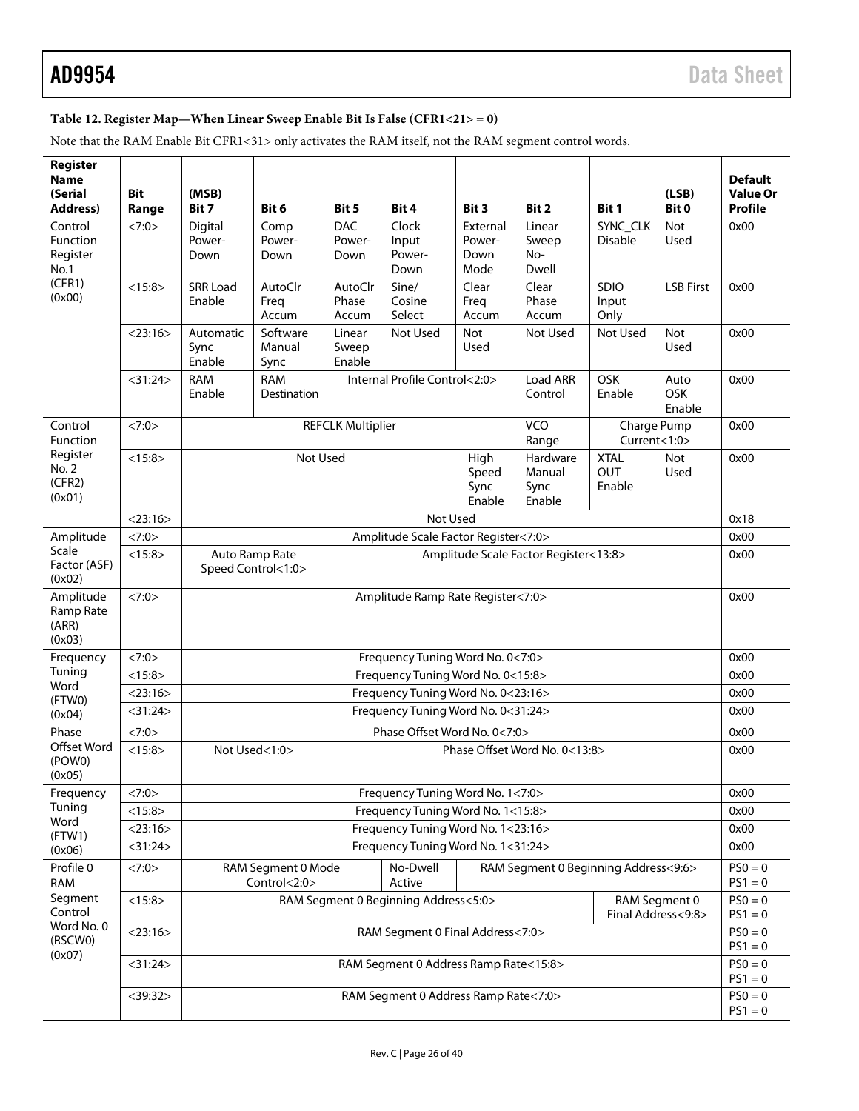# <span id="page-25-0"></span>**Table 12. Register Map—When Linear Sweep Enable Bit Is False (CFR1<21> = 0)**

Note that the RAM Enable Bit CFR1<31> only activates the RAM itself, not the RAM segment control words.

| Register<br><b>Name</b><br>(Serial<br><b>Address)</b>              | <b>Bit</b><br>Range | (MSB)<br>Bit 7                                                                                                                                   | Bit 6                                                      | Bit 5                        | Bit 4                                 | Bit 3                              | Bit 2                                | Bit 1                        | (LSB)<br>Bit 0                      | <b>Default</b><br><b>Value Or</b><br>Profile |  |
|--------------------------------------------------------------------|---------------------|--------------------------------------------------------------------------------------------------------------------------------------------------|------------------------------------------------------------|------------------------------|---------------------------------------|------------------------------------|--------------------------------------|------------------------------|-------------------------------------|----------------------------------------------|--|
| Control<br><b>Function</b><br>Register<br>No.1<br>(CFR1)<br>(0x00) | <7:0>               | Digital<br>Power-<br>Down                                                                                                                        | Comp<br>Power-<br>Down                                     | <b>DAC</b><br>Power-<br>Down | Clock<br>Input<br>Power-<br>Down      | External<br>Power-<br>Down<br>Mode | Linear<br>Sweep<br>No-<br>Dwell      | SYNC_CLK<br><b>Disable</b>   | Not<br>Used                         | 0x00                                         |  |
|                                                                    | <15:8>              | <b>SRR Load</b><br>Enable                                                                                                                        | AutoClr<br>Freq<br>Accum                                   | AutoClr<br>Phase<br>Accum    | Sine/<br>Cosine<br>Select             | Clear<br>Freq<br>Accum             | Clear<br>Phase<br>Accum              | <b>SDIO</b><br>Input<br>Only | <b>LSB First</b>                    | 0x00                                         |  |
|                                                                    | $<$ 23:16 $>$       | Automatic<br>Sync<br>Enable                                                                                                                      | Software<br>Manual<br>Sync                                 | Linear<br>Sweep<br>Enable    | Not Used                              | <b>Not</b><br>Used                 | Not Used                             | Not Used                     | Not<br>Used                         | 0x00                                         |  |
|                                                                    | $<$ 31:24 $>$       | <b>RAM</b><br>Enable                                                                                                                             | Internal Profile Control<2:0><br><b>RAM</b><br>Destination |                              |                                       |                                    | Load ARR<br>Control                  | OSK<br>Enable                | Auto<br><b>OSK</b><br>Enable        | 0x00                                         |  |
| Control<br>Function<br>Register<br>No. 2<br>(CFR2)<br>(0x01)       | <7:0>               | VCO<br><b>REFCLK Multiplier</b><br>Charge Pump<br>Current<1:0><br>Range                                                                          |                                                            |                              |                                       |                                    |                                      |                              |                                     | 0x00                                         |  |
|                                                                    | <15:8>              | <b>XTAL</b><br>Not Used<br>High<br>Hardware<br><b>Not</b><br><b>OUT</b><br>Speed<br>Manual<br>Used<br>Enable<br>Sync<br>Sync<br>Enable<br>Enable |                                                            |                              |                                       |                                    |                                      |                              |                                     | 0x00                                         |  |
|                                                                    | $<$ 23:16 $>$       | Not Used<br>0x18                                                                                                                                 |                                                            |                              |                                       |                                    |                                      |                              |                                     |                                              |  |
| Amplitude<br>Scale<br>Factor (ASF)<br>(0x02)                       | <7:0>               | Amplitude Scale Factor Register<7:0>                                                                                                             |                                                            |                              |                                       |                                    |                                      |                              |                                     | 0x00                                         |  |
|                                                                    | <15:8>              | Auto Ramp Rate<br>Amplitude Scale Factor Register<13:8><br>Speed Control<1:0>                                                                    |                                                            |                              |                                       |                                    |                                      |                              | 0x00                                |                                              |  |
| Amplitude<br>Ramp Rate<br>(ARR)<br>(0x03)                          | <7:0>               | Amplitude Ramp Rate Register<7:0><br>0x00                                                                                                        |                                                            |                              |                                       |                                    |                                      |                              |                                     |                                              |  |
| Frequency                                                          | <7:0>               | Frequency Tuning Word No. 0<7:0><br>0x00                                                                                                         |                                                            |                              |                                       |                                    |                                      |                              |                                     |                                              |  |
| Tuning<br>Word                                                     | <15:8>              | Frequency Tuning Word No. 0<15:8>                                                                                                                |                                                            |                              |                                       |                                    |                                      |                              |                                     |                                              |  |
| (FTWO)                                                             | $<$ 23:16 $>$       | Frequency Tuning Word No. 0<23:16><br>0x00                                                                                                       |                                                            |                              |                                       |                                    |                                      |                              |                                     |                                              |  |
| (0x04)                                                             | $<$ 31:24 $>$       | Frequency Tuning Word No. 0<31:24><br>0x00                                                                                                       |                                                            |                              |                                       |                                    |                                      |                              |                                     |                                              |  |
| Phase                                                              | <7:0>               | Phase Offset Word No. 0<7:0><br>0x00                                                                                                             |                                                            |                              |                                       |                                    |                                      |                              |                                     |                                              |  |
| Offset Word<br>(POWO)<br>(0x05)                                    | <15:8>              | Not Used<1:0><br>Phase Offset Word No. 0<13:8>                                                                                                   |                                                            |                              |                                       |                                    |                                      |                              |                                     | 0x00                                         |  |
| Frequency                                                          | <7:0>               | Frequency Tuning Word No. 1<7:0><br>0x00                                                                                                         |                                                            |                              |                                       |                                    |                                      |                              |                                     |                                              |  |
| Tuning                                                             | <15:8>              | Frequency Tuning Word No. 1<15:8><br>0x00                                                                                                        |                                                            |                              |                                       |                                    |                                      |                              |                                     |                                              |  |
| Word<br>(FTW1)                                                     | $<$ 23:16 $>$       |                                                                                                                                                  |                                                            |                              | Frequency Tuning Word No. 1<23:16>    |                                    |                                      |                              |                                     | 0x00                                         |  |
| (0x06)                                                             | $<$ 31:24 $>$       | Frequency Tuning Word No. 1<31:24>                                                                                                               |                                                            |                              |                                       |                                    |                                      |                              |                                     | 0x00                                         |  |
| Profile 0<br><b>RAM</b>                                            | <7:0>               |                                                                                                                                                  | RAM Segment 0 Mode<br>Control<2:0>                         |                              | No-Dwell<br>Active                    |                                    | RAM Segment 0 Beginning Address<9:6> |                              |                                     | $PSO = 0$<br>$PS1 = 0$                       |  |
| Segment<br>Control                                                 | <15:8>              |                                                                                                                                                  |                                                            |                              | RAM Segment 0 Beginning Address<5:0>  |                                    |                                      |                              | RAM Segment 0<br>Final Address<9:8> | $PSO = 0$<br>$PS1 = 0$                       |  |
| Word No. 0<br>(RSCWO)                                              | $<$ 23:16 $>$       |                                                                                                                                                  |                                                            |                              | RAM Segment 0 Final Address<7:0>      |                                    |                                      |                              |                                     | $PSO = 0$<br>$PS1 = 0$                       |  |
| (0x07)                                                             | $<$ 31:24 $>$       |                                                                                                                                                  |                                                            |                              | RAM Segment 0 Address Ramp Rate<15:8> |                                    |                                      |                              |                                     | $PSO = 0$<br>$PS1 = 0$                       |  |
|                                                                    | $<$ 39:32 $>$       | RAM Segment 0 Address Ramp Rate<7:0>                                                                                                             |                                                            |                              |                                       |                                    |                                      |                              |                                     |                                              |  |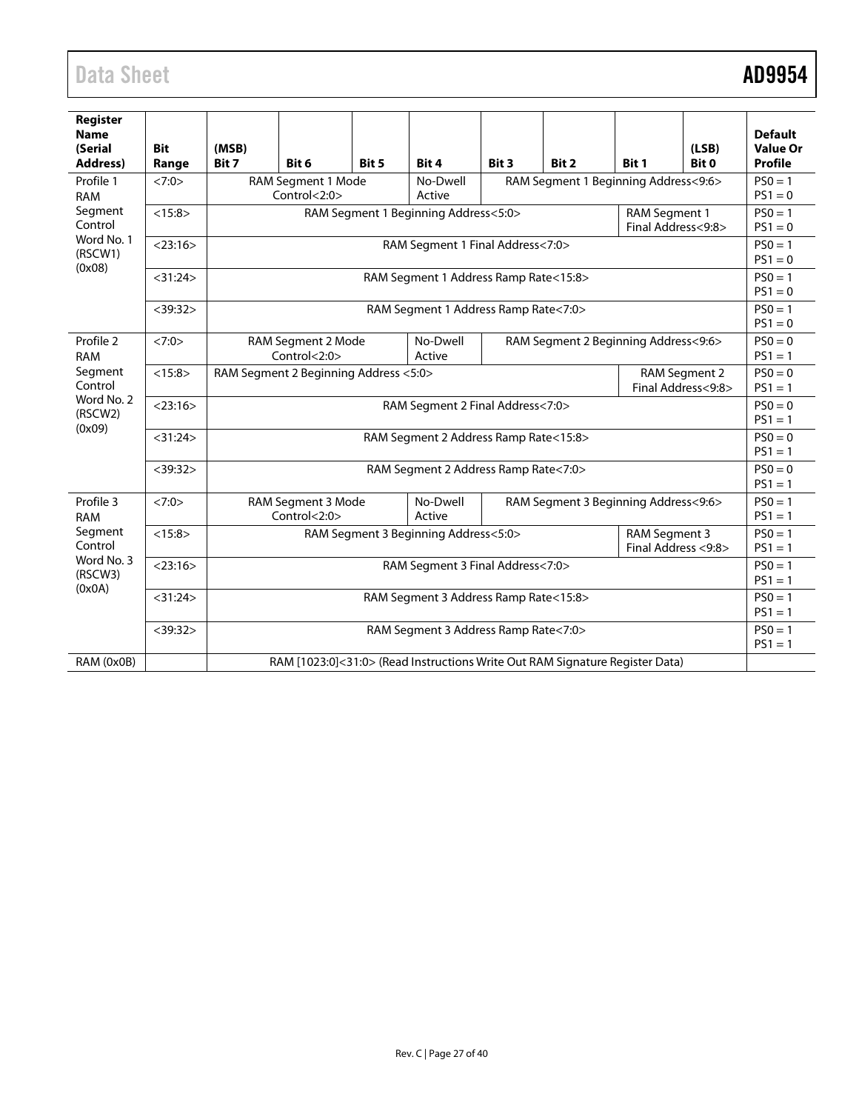# Data Sheet **AD9954**

| Register<br><b>Name</b><br>(Serial<br>Address)        | <b>Bit</b><br>Range | (MSB)<br>Bit 7                                                                                     | Bit 6 | Bit 5 | Bit 4                                | Bit 3 | Bit 2 | Bit 1 | (LSB)<br>Bit 0         | <b>Default</b><br><b>Value Or</b><br><b>Profile</b> |  |
|-------------------------------------------------------|---------------------|----------------------------------------------------------------------------------------------------|-------|-------|--------------------------------------|-------|-------|-------|------------------------|-----------------------------------------------------|--|
| Profile 1<br><b>RAM</b>                               | <7:0>               | RAM Segment 1 Beginning Address<9:6><br>RAM Segment 1 Mode<br>No-Dwell<br>Control<2:0><br>Active   |       |       |                                      |       |       |       | $PSO = 1$<br>$PS1 = 0$ |                                                     |  |
| Segment<br>Control                                    | <15:8>              | RAM Segment 1 Beginning Address<5:0><br>RAM Segment 1<br>Final Address<9:8>                        |       |       |                                      |       |       |       |                        |                                                     |  |
| Word No. 1<br>(RSCW1)<br>(0x08)                       | $<$ 23:16 $>$       | RAM Segment 1 Final Address<7:0>                                                                   |       |       |                                      |       |       |       |                        |                                                     |  |
|                                                       | $<$ 31:24 $>$       | RAM Segment 1 Address Ramp Rate<15:8>                                                              |       |       |                                      |       |       |       |                        |                                                     |  |
|                                                       | $<$ 39:32 $>$       | RAM Segment 1 Address Ramp Rate<7:0>                                                               |       |       |                                      |       |       |       |                        |                                                     |  |
| Profile 2<br><b>RAM</b>                               | <7:0>               | No-Dwell<br>RAM Segment 2 Beginning Address<9:6><br>RAM Segment 2 Mode<br>Control<2:0><br>Active   |       |       |                                      |       |       |       | $PSO = 0$<br>$PS1 = 1$ |                                                     |  |
| Segment<br>Control                                    | <15:8>              | RAM Segment 2 Beginning Address <5:0><br>RAM Segment 2<br>Final Address<9:8>                       |       |       |                                      |       |       |       |                        | $PSO = 0$<br>$PS1 = 1$                              |  |
| Word No. 2<br>(RSCW2)                                 | $<$ 23:16 $>$       | RAM Segment 2 Final Address<7:0>                                                                   |       |       |                                      |       |       |       |                        | $PSO = 0$<br>$PS1 = 1$                              |  |
| (0x09)                                                | $<$ 31:24 $>$       | RAM Segment 2 Address Ramp Rate<15:8>                                                              |       |       |                                      |       |       |       |                        |                                                     |  |
|                                                       | $<$ 39:32 $>$       | RAM Segment 2 Address Ramp Rate<7:0>                                                               |       |       |                                      |       |       |       |                        | $PSO = 0$<br>$PS1 = 1$                              |  |
| Profile 3<br><b>RAM</b>                               | <7:0>               | RAM Segment 3 Mode<br>No-Dwell<br>RAM Segment 3 Beginning Address<9:6><br>Control < 2:0><br>Active |       |       |                                      |       |       |       | $PSO = 1$<br>$PS1 = 1$ |                                                     |  |
| Segment<br>Control<br>Word No. 3<br>(RSCW3)<br>(0x0A) | <15:8>              | RAM Segment 3 Beginning Address<5:0><br>RAM Segment 3<br>Final Address <9:8>                       |       |       |                                      |       |       |       | $PSO = 1$<br>$PS1 = 1$ |                                                     |  |
|                                                       | $<$ 23:16 $>$       | RAM Segment 3 Final Address<7:0>                                                                   |       |       |                                      |       |       |       |                        | $PSO = 1$<br>$PS1 = 1$                              |  |
|                                                       | $<$ 31:24 $>$       | RAM Segment 3 Address Ramp Rate<15:8>                                                              |       |       |                                      |       |       |       |                        | $PSO = 1$<br>$PS1 = 1$                              |  |
|                                                       | $<$ 39:32 $>$       |                                                                                                    |       |       | RAM Segment 3 Address Ramp Rate<7:0> |       |       |       |                        | $PSO = 1$<br>$PS1 = 1$                              |  |
| RAM (0x0B)                                            |                     | RAM [1023:0]<31:0> (Read Instructions Write Out RAM Signature Register Data)                       |       |       |                                      |       |       |       |                        |                                                     |  |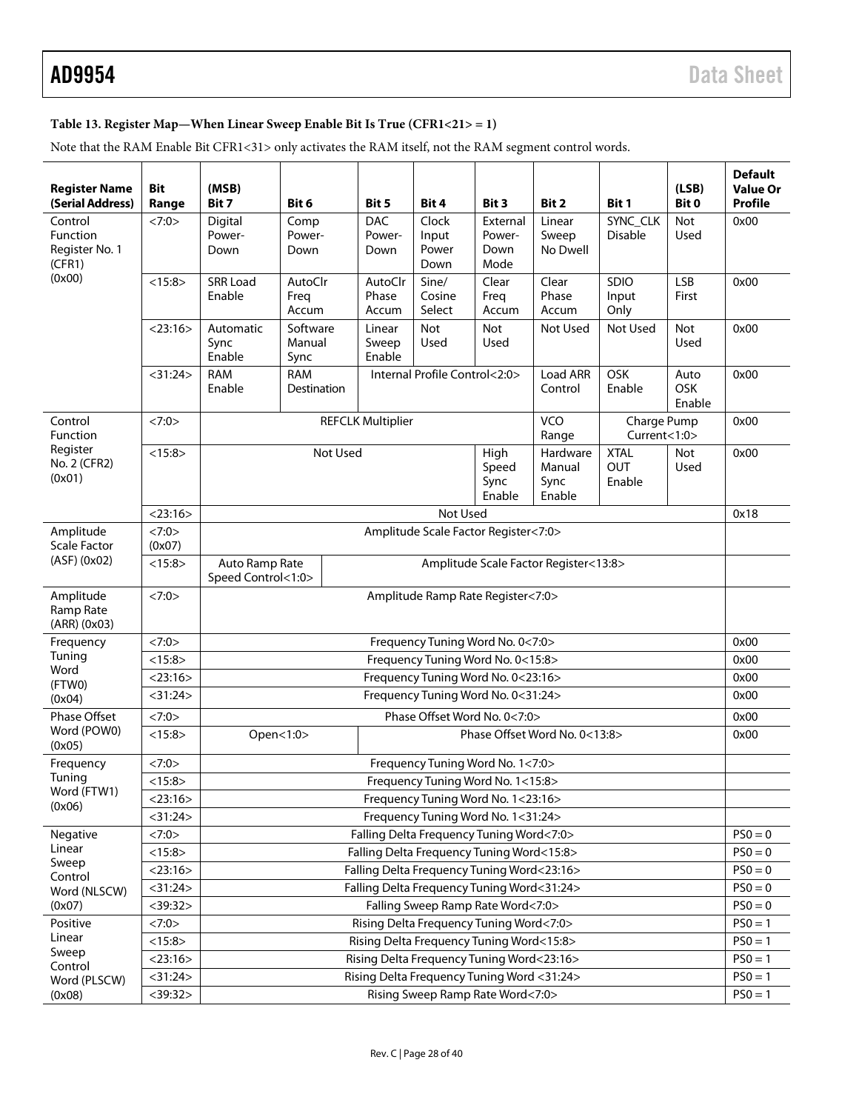# <span id="page-27-0"></span>**Table 13. Register Map—When Linear Sweep Enable Bit Is True (CFR1<21> = 1)**

Note that the RAM Enable Bit CFR1<31> only activates the RAM itself, not the RAM segment control words.

| <b>Register Name</b><br>(Serial Address)                         | <b>Bit</b><br>Range | (MSB)<br>Bit 7                                                                | Bit 6                                                                                                                                     | Bit 5                        | Bit 4                                      | Bit 3                              | Bit 2                       | Bit 1                       | (LSB)<br>Bit 0        | <b>Default</b><br><b>Value Or</b><br><b>Profile</b> |  |  |
|------------------------------------------------------------------|---------------------|-------------------------------------------------------------------------------|-------------------------------------------------------------------------------------------------------------------------------------------|------------------------------|--------------------------------------------|------------------------------------|-----------------------------|-----------------------------|-----------------------|-----------------------------------------------------|--|--|
| Control<br><b>Function</b><br>Register No. 1<br>(CFR1)<br>(0x00) | <7:0>               | Digital<br>Power-<br>Down                                                     | Comp<br>Power-<br>Down                                                                                                                    | <b>DAC</b><br>Power-<br>Down | Clock<br>Input<br>Power<br>Down            | External<br>Power-<br>Down<br>Mode | Linear<br>Sweep<br>No Dwell | SYNC_CLK<br><b>Disable</b>  | <b>Not</b><br>Used    | 0x00                                                |  |  |
|                                                                  | <15:8>              | <b>SRR Load</b><br>Enable                                                     | AutoClr<br>Freq<br>Accum                                                                                                                  | AutoClr<br>Phase<br>Accum    | Sine/<br>Cosine<br>Select                  | Clear<br>Freq<br>Accum             | Clear<br>Phase<br>Accum     | SDIO<br>Input<br>Only       | <b>LSB</b><br>First   | 0x00                                                |  |  |
|                                                                  | $<$ 23:16 $>$       | Automatic<br>Sync<br>Enable                                                   | Software<br>Manual<br>Sync                                                                                                                | Linear<br>Sweep<br>Enable    | Not<br>Used                                | <b>Not</b><br>Used                 | Not Used                    | Not Used                    | Not<br>Used           | 0x00                                                |  |  |
|                                                                  | $<$ 31:24 $>$       | <b>RAM</b><br>Enable                                                          | <b>RAM</b><br>Destination                                                                                                                 |                              | Internal Profile Control<2:0>              |                                    | Load ARR<br>Control         | OSK<br>Enable               | Auto<br>OSK<br>Enable | 0x00                                                |  |  |
| Control<br>Function                                              | <7:0>               |                                                                               |                                                                                                                                           | <b>REFCLK Multiplier</b>     |                                            |                                    | VCO<br>Range                | Charge Pump<br>Current<1:0> |                       | 0x00                                                |  |  |
| Register<br>No. 2 (CFR2)<br>(0x01)                               | <15:8>              |                                                                               | <b>XTAL</b><br>Not<br>Not Used<br>High<br>Hardware<br><b>OUT</b><br>Speed<br>Manual<br>Used<br>Sync<br>Sync<br>Enable<br>Enable<br>Enable |                              |                                            |                                    |                             |                             |                       |                                                     |  |  |
|                                                                  | $<$ 23:16 $>$       |                                                                               | Not Used<br>0x18                                                                                                                          |                              |                                            |                                    |                             |                             |                       |                                                     |  |  |
| Amplitude<br><b>Scale Factor</b>                                 | <7:0><br>(0x07)     | Amplitude Scale Factor Register<7:0>                                          |                                                                                                                                           |                              |                                            |                                    |                             |                             |                       |                                                     |  |  |
| (ASF)(0x02)                                                      | <15:8>              | Auto Ramp Rate<br>Amplitude Scale Factor Register<13:8><br>Speed Control<1:0> |                                                                                                                                           |                              |                                            |                                    |                             |                             |                       |                                                     |  |  |
| Amplitude<br>Ramp Rate<br>$(ARR)$ $(0x03)$                       | <7:0>               | Amplitude Ramp Rate Register<7:0>                                             |                                                                                                                                           |                              |                                            |                                    |                             |                             |                       |                                                     |  |  |
| Frequency                                                        | <7:0>               | Frequency Tuning Word No. 0<7:0><br>0x00                                      |                                                                                                                                           |                              |                                            |                                    |                             |                             |                       |                                                     |  |  |
| Tuning                                                           | <15:8>              | Frequency Tuning Word No. 0<15:8>                                             |                                                                                                                                           |                              |                                            |                                    |                             |                             |                       |                                                     |  |  |
| Word<br>(FTWO)                                                   | $<$ 23:16 $>$       | Frequency Tuning Word No. 0<23:16>                                            |                                                                                                                                           |                              |                                            |                                    |                             |                             |                       |                                                     |  |  |
| (0x04)                                                           | $<$ 31:24 $>$       | Frequency Tuning Word No. 0<31:24>                                            |                                                                                                                                           |                              |                                            |                                    |                             |                             |                       |                                                     |  |  |
| Phase Offset                                                     | <7:0>               | Phase Offset Word No. 0<7:0><br>0x00                                          |                                                                                                                                           |                              |                                            |                                    |                             |                             |                       |                                                     |  |  |
| Word (POW0)<br>(0x05)                                            | <15:8>              | Open<1:0><br>Phase Offset Word No. 0<13:8>                                    |                                                                                                                                           |                              |                                            |                                    |                             |                             | 0x00                  |                                                     |  |  |
| Frequency                                                        | <7:0>               | Frequency Tuning Word No. 1<7:0>                                              |                                                                                                                                           |                              |                                            |                                    |                             |                             |                       |                                                     |  |  |
| Tuning                                                           | <15:8>              | Frequency Tuning Word No. 1<15:8>                                             |                                                                                                                                           |                              |                                            |                                    |                             |                             |                       |                                                     |  |  |
| Word (FTW1)<br>(0x06)                                            | $<$ 23:16 $>$       | Frequency Tuning Word No. 1<23:16>                                            |                                                                                                                                           |                              |                                            |                                    |                             |                             |                       |                                                     |  |  |
|                                                                  | $<$ 31:24 $>$       |                                                                               |                                                                                                                                           |                              | Frequency Tuning Word No. 1<31:24>         |                                    |                             |                             |                       |                                                     |  |  |
| Negative                                                         | <7:0>               |                                                                               |                                                                                                                                           |                              | Falling Delta Frequency Tuning Word<7:0>   |                                    |                             |                             |                       | $PSO = 0$                                           |  |  |
| Linear                                                           | <15:8>              |                                                                               |                                                                                                                                           |                              | Falling Delta Frequency Tuning Word<15:8>  |                                    |                             |                             |                       | $PSO = 0$                                           |  |  |
| Sweep<br>Control                                                 | $<$ 23:16 $>$       |                                                                               |                                                                                                                                           |                              | Falling Delta Frequency Tuning Word<23:16> |                                    |                             |                             |                       | $PSO = 0$                                           |  |  |
| Word (NLSCW)                                                     | $<$ 31:24 $>$       |                                                                               |                                                                                                                                           |                              | Falling Delta Frequency Tuning Word<31:24> |                                    |                             |                             |                       | $PSO = 0$                                           |  |  |
| (0x07)                                                           | $<$ 39:32 $>$       |                                                                               |                                                                                                                                           |                              | Falling Sweep Ramp Rate Word<7:0>          |                                    |                             |                             |                       | $PSO = 0$                                           |  |  |
| Positive                                                         | <7:0>               |                                                                               |                                                                                                                                           |                              | Rising Delta Frequency Tuning Word<7:0>    |                                    |                             |                             |                       | $PSO = 1$                                           |  |  |
| Linear                                                           | <15:8>              |                                                                               |                                                                                                                                           |                              | Rising Delta Frequency Tuning Word<15:8>   |                                    |                             |                             |                       | $PSO = 1$                                           |  |  |
| Sweep<br>Control                                                 | $<$ 23:16 $>$       |                                                                               |                                                                                                                                           |                              | Rising Delta Frequency Tuning Word<23:16>  |                                    |                             |                             |                       | $PSO = 1$                                           |  |  |
| Word (PLSCW)                                                     | $<$ 31:24 $>$       |                                                                               |                                                                                                                                           |                              | Rising Delta Frequency Tuning Word <31:24> |                                    |                             |                             |                       | $PSO = 1$                                           |  |  |
| (0x08)                                                           | $<$ 39:32 $>$       | Rising Sweep Ramp Rate Word<7:0>                                              |                                                                                                                                           |                              |                                            |                                    |                             |                             |                       |                                                     |  |  |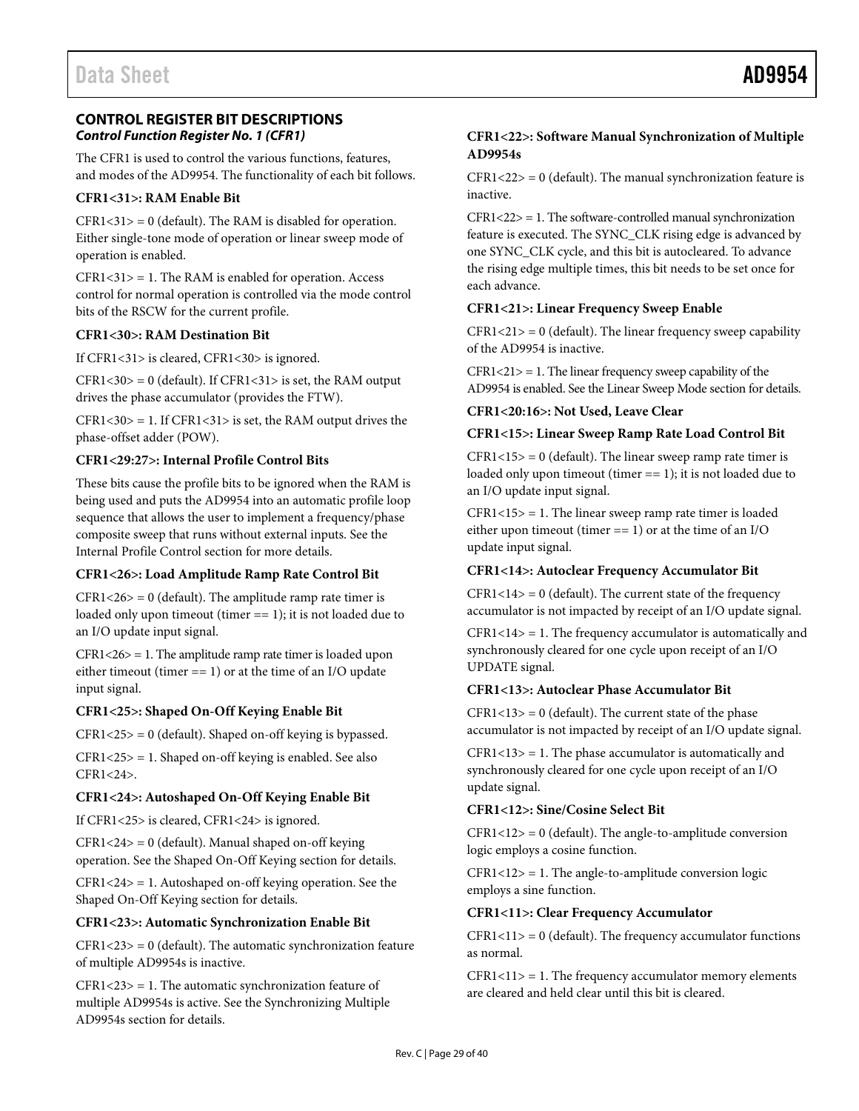<span id="page-28-0"></span>The CFR1 is used to control the various functions, features, and modes of the AD9954. The functionality of each bit follows.

### **CFR1<31>: RAM Enable Bit**

 $CFR1 < 31 > 0$  (default). The RAM is disabled for operation. Either single-tone mode of operation or linear sweep mode of operation is enabled.

 $CFR1 < 31$  = 1. The RAM is enabled for operation. Access control for normal operation is controlled via the mode control bits of the RSCW for the current profile.

### **CFR1<30>: RAM Destination Bit**

If CFR1<31> is cleared, CFR1<30> is ignored.

 $CFR1<30>0$  (default). If CFR1<31> is set, the RAM output drives the phase accumulator (provides the FTW).

 $CFR1 < 30$  = 1. If  $CFR1 < 31$  is set, the RAM output drives the phase-offset adder (POW).

### **CFR1<29:27>: Internal Profile Control Bits**

These bits cause the profile bits to be ignored when the RAM is being used and puts the AD9954 into an automatic profile loop sequence that allows the user to implement a frequency/phase composite sweep that runs without external inputs. See the [Internal Profile Control](#page-16-0) section for more details.

## **CFR1<26>: Load Amplitude Ramp Rate Control Bit**

 $CFR1<26>0$  (default). The amplitude ramp rate timer is loaded only upon timeout (timer == 1); it is not loaded due to an I/O update input signal.

CFR1<26> = 1. The amplitude ramp rate timer is loaded upon either timeout (timer == 1) or at the time of an I/O update input signal.

## **CFR1<25>: Shaped On-Off Keying Enable Bit**

CFR1<25> = 0 (default). Shaped on-off keying is bypassed.

CFR1<25> = 1. Shaped on-off keying is enabled. See also CFR1<24>.

## **CFR1<24>: Autoshaped On-Off Keying Enable Bit**

If CFR1<25> is cleared, CFR1<24> is ignored.

 $CFR1 < 24$  = 0 (default). Manual shaped on-off keying operation. See the [Shaped On-Off Keying](#page-14-2) section for details.

CFR1<24> = 1. Autoshaped on-off keying operation. See the [Shaped On-Off Keying](#page-14-2) section for details.

#### **CFR1<23>: Automatic Synchronization Enable Bit**

 $CFR1 < 23$  = 0 (default). The automatic synchronization feature of multiple AD9954s is inactive.

 $CFR1 < 23$  = 1. The automatic synchronization feature of multiple AD9954s is active. See the [Synchronizing Multiple](#page-21-0)  [AD9954s](#page-21-0) section for details.

# **CFR1<22>: Software Manual Synchronization of Multiple AD9954s**

 $CFR1 < 22 > 0$  (default). The manual synchronization feature is inactive.

 $CFR1 < 22$  = 1. The software-controlled manual synchronization feature is executed. The SYNC\_CLK rising edge is advanced by one SYNC\_CLK cycle, and this bit is autocleared. To advance the rising edge multiple times, this bit needs to be set once for each advance.

#### **CFR1<21>: Linear Frequency Sweep Enable**

 $CFR1 < 21$  = 0 (default). The linear frequency sweep capability of the AD9954 is inactive.

 $CFR1 < 21$  = 1. The linear frequency sweep capability of the AD9954 is enabled. See th[e Linear Sweep Mode](#page-17-1) section for details.

#### **CFR1<20:16>: Not Used, Leave Clear**

#### **CFR1<15>: Linear Sweep Ramp Rate Load Control Bit**

 $CFR1<15>0$  (default). The linear sweep ramp rate timer is loaded only upon timeout (timer == 1); it is not loaded due to an I/O update input signal.

 $CFR1 < 15$  = 1. The linear sweep ramp rate timer is loaded either upon timeout (timer  $== 1$ ) or at the time of an I/O update input signal.

#### **CFR1<14>: Autoclear Frequency Accumulator Bit**

 $CFR1<14>0$  (default). The current state of the frequency accumulator is not impacted by receipt of an I/O update signal.

 $CFR1<14>=1$ . The frequency accumulator is automatically and synchronously cleared for one cycle upon receipt of an I/O UPDATE signal.

### **CFR1<13>: Autoclear Phase Accumulator Bit**

 $CFR1<13>0$  (default). The current state of the phase accumulator is not impacted by receipt of an I/O update signal.

 $CFR1<13>=1$ . The phase accumulator is automatically and synchronously cleared for one cycle upon receipt of an I/O update signal.

### **CFR1<12>: Sine/Cosine Select Bit**

 $CFR1<12>0$  (default). The angle-to-amplitude conversion logic employs a cosine function.

 $CFR1<12>=1$ . The angle-to-amplitude conversion logic employs a sine function.

## **CFR1<11>: Clear Frequency Accumulator**

 $CFR1 < 11$  = 0 (default). The frequency accumulator functions as normal.

 $CFR1 < 11$  = 1. The frequency accumulator memory elements are cleared and held clear until this bit is cleared.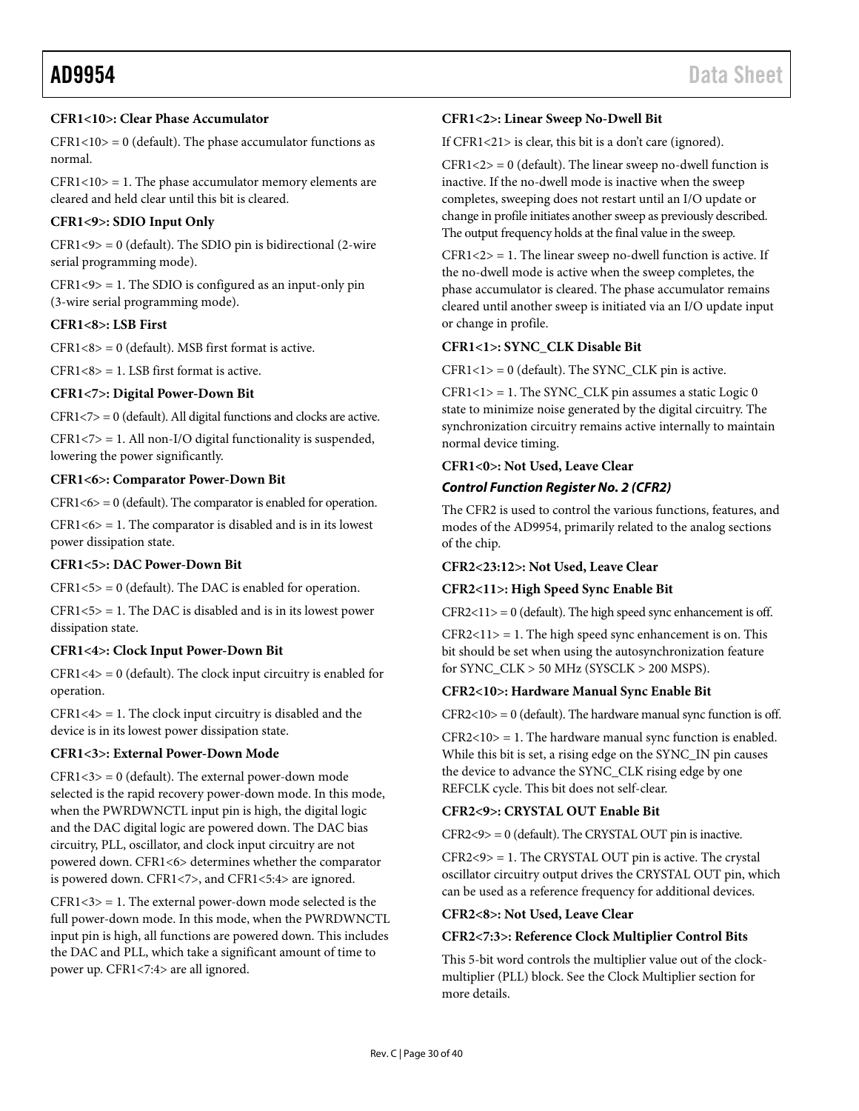### **CFR1<10>: Clear Phase Accumulator**

 $CFR1<10>0$  (default). The phase accumulator functions as normal.

 $CFR1<10>=1$ . The phase accumulator memory elements are cleared and held clear until this bit is cleared.

### **CFR1<9>: SDIO Input Only**

 $CFR1<9>0$  (default). The SDIO pin is bidirectional (2-wire serial programming mode).

 $CFR1<9>$  = 1. The SDIO is configured as an input-only pin (3-wire serial programming mode).

#### **CFR1<8>: LSB First**

 $CFR1<8>0$  (default). MSB first format is active.

 $CFR1<8>$  = 1. LSB first format is active.

### **CFR1<7>: Digital Power-Down Bit**

 $CFR1 < 7 > 0$  (default). All digital functions and clocks are active.

CFR1<7> = 1. All non-I/O digital functionality is suspended, lowering the power significantly.

#### **CFR1<6>: Comparator Power-Down Bit**

 $CFR1 < 6$  = 0 (default). The comparator is enabled for operation.

 $CFR1 < 6$  = 1. The comparator is disabled and is in its lowest power dissipation state.

### **CFR1<5>: DAC Power-Down Bit**

 $CFR1 < 5$  = 0 (default). The DAC is enabled for operation.

 $CFR1 < 5$  = 1. The DAC is disabled and is in its lowest power dissipation state.

#### **CFR1<4>: Clock Input Power-Down Bit**

 $CFR1<4>0$  (default). The clock input circuitry is enabled for operation.

 $CFR1<4>$  = 1. The clock input circuitry is disabled and the device is in its lowest power dissipation state.

#### **CFR1<3>: External Power-Down Mode**

 $CFR1<3>0$  (default). The external power-down mode selected is the rapid recovery power-down mode. In this mode, when the PWRDWNCTL input pin is high, the digital logic and the DAC digital logic are powered down. The DAC bias circuitry, PLL, oscillator, and clock input circuitry are not powered down. CFR1<6> determines whether the comparator is powered down. CFR1<7>, and CFR1<5:4> are ignored.

CFR1<3> = 1. The external power-down mode selected is the full power-down mode. In this mode, when the PWRDWNCTL input pin is high, all functions are powered down. This includes the DAC and PLL, which take a significant amount of time to power up. CFR1<7:4> are all ignored.

### **CFR1<2>: Linear Sweep No-Dwell Bit**

If CFR1<21> is clear, this bit is a don't care (ignored).

 $CFR1<2>0$  (default). The linear sweep no-dwell function is inactive. If the no-dwell mode is inactive when the sweep completes, sweeping does not restart until an I/O update or change in profile initiates another sweep as previously described. The output frequency holds at the final value in the sweep.

 $CFR1<2>$  = 1. The linear sweep no-dwell function is active. If the no-dwell mode is active when the sweep completes, the phase accumulator is cleared. The phase accumulator remains cleared until another sweep is initiated via an I/O update input or change in profile.

### **CFR1<1>: SYNC\_CLK Disable Bit**

 $CFR1<1>0$  (default). The SYNC\_CLK pin is active.

 $CFR1<1>$  = 1. The SYNC\_CLK pin assumes a static Logic 0 state to minimize noise generated by the digital circuitry. The synchronization circuitry remains active internally to maintain normal device timing.

### **CFR1<0>: Not Used, Leave Clear**

### *Control Function Register No. 2 (CFR2)*

The CFR2 is used to control the various functions, features, and modes of the AD9954, primarily related to the analog sections of the chip.

#### **CFR2<23:12>: Not Used, Leave Clear**

#### **CFR2<11>: High Speed Sync Enable Bit**

 $CFR2<11>0$  (default). The high speed sync enhancement is off.

 $CFR2 < 11 > = 1$ . The high speed sync enhancement is on. This bit should be set when using the autosynchronization feature for SYNC\_CLK > 50 MHz (SYSCLK > 200 MSPS).

#### **CFR2<10>: Hardware Manual Sync Enable Bit**

 $CFR2<10>0$  (default). The hardware manual sync function is off.

 $CFR2<10>=1$ . The hardware manual sync function is enabled. While this bit is set, a rising edge on the SYNC\_IN pin causes the device to advance the SYNC\_CLK rising edge by one REFCLK cycle. This bit does not self-clear.

#### **CFR2<9>: CRYSTAL OUT Enable Bit**

CFR2<9> = 0 (default). The CRYSTAL OUT pin is inactive.

CFR2<9> = 1. The CRYSTAL OUT pin is active. The crystal oscillator circuitry output drives the CRYSTAL OUT pin, which can be used as a reference frequency for additional devices.

#### **CFR2<8>: Not Used, Leave Clear**

#### **CFR2<7:3>: Reference Clock Multiplier Control Bits**

This 5-bit word controls the multiplier value out of the clockmultiplier (PLL) block. See th[e Clock Multiplier](#page-12-6) section for more details.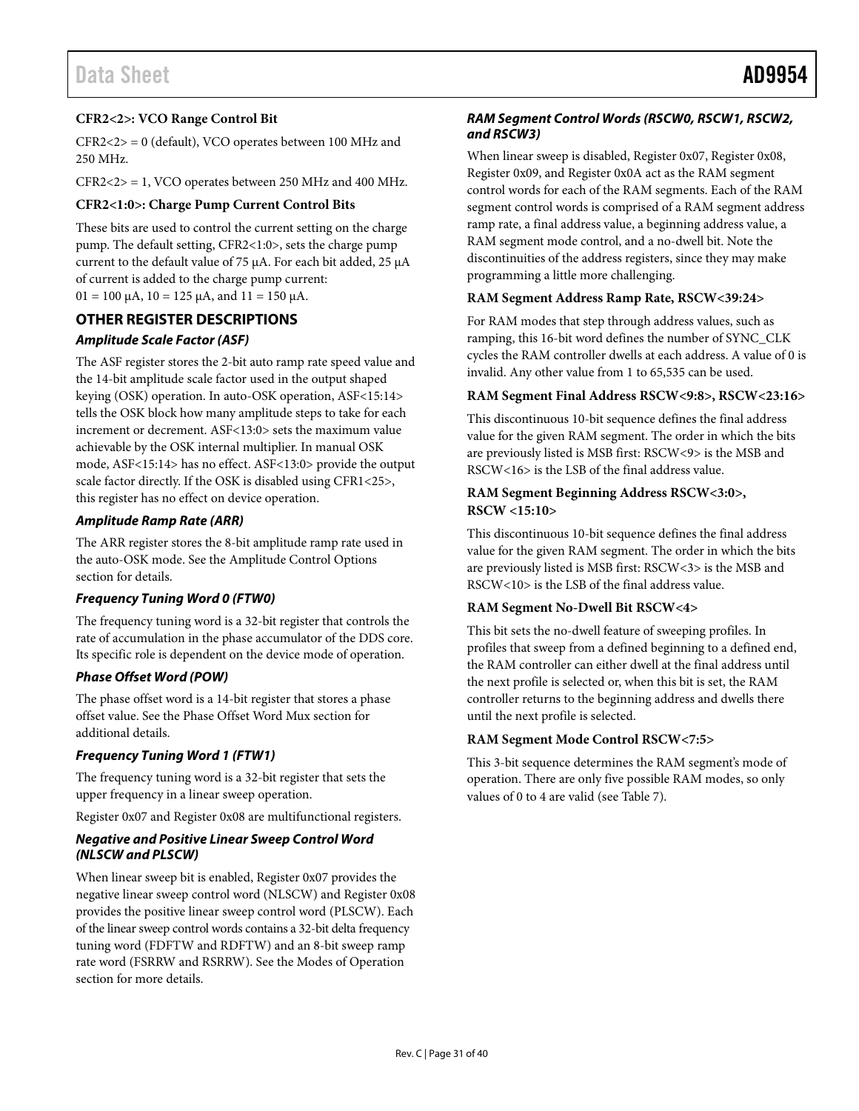# **CFR2<2>: VCO Range Control Bit**

CFR2<2> = 0 (default), VCO operates between 100 MHz and 250 MHz.

 $CFR2 < 2$  = 1, VCO operates between 250 MHz and 400 MHz.

# **CFR2<1:0>: Charge Pump Current Control Bits**

These bits are used to control the current setting on the charge pump. The default setting, CFR2<1:0>, sets the charge pump current to the default value of 75 µA. For each bit added, 25 µA of current is added to the charge pump current:  $01 = 100 \mu$ A,  $10 = 125 \mu$ A, and  $11 = 150 \mu$ A.

# <span id="page-30-0"></span>**OTHER REGISTER DESCRIPTIONS**

# *Amplitude Scale Factor (ASF)*

The ASF register stores the 2-bit auto ramp rate speed value and the 14-bit amplitude scale factor used in the output shaped keying (OSK) operation. In auto-OSK operation, ASF<15:14> tells the OSK block how many amplitude steps to take for each increment or decrement. ASF<13:0> sets the maximum value achievable by the OSK internal multiplier. In manual OSK mode, ASF<15:14> has no effect. ASF<13:0> provide the output scale factor directly. If the OSK is disabled using CFR1<25>, this register has no effect on device operation.

## *Amplitude Ramp Rate (ARR)*

The ARR register stores the 8-bit amplitude ramp rate used in the auto-OSK mode. See th[e Amplitude Control Options](#page-14-3) section for details.

## *Frequency Tuning Word 0 (FTW0)*

The frequency tuning word is a 32-bit register that controls the rate of accumulation in the phase accumulator of the DDS core. Its specific role is dependent on the device mode of operation.

## *Phase Offset Word (POW)*

The phase offset word is a 14-bit register that stores a phase offset value. See th[e Phase Offset Word Mux](#page-13-0) section for additional details.

## *Frequency Tuning Word 1 (FTW1)*

The frequency tuning word is a 32-bit register that sets the upper frequency in a linear sweep operation.

Register 0x07 and Register 0x08 are multifunctional registers.

### *Negative and Positive Linear Sweep Control Word (NLSCW and PLSCW)*

When linear sweep bit is enabled, Register 0x07 provides the negative linear sweep control word (NLSCW) and Register 0x08 provides the positive linear sweep control word (PLSCW). Each of the linear sweep control words contains a 32-bit delta frequency tuning word (FDFTW and RDFTW) and an 8-bit sweep ramp rate word (FSRRW and RSRRW). See th[e Modes of Operation](#page-15-0) section for more details.

# *RAM Segment Control Words (RSCW0, RSCW1, RSCW2, and RSCW3)*

When linear sweep is disabled, Register 0x07, Register 0x08, Register 0x09, and Register 0x0A act as the RAM segment control words for each of the RAM segments. Each of the RAM segment control words is comprised of a RAM segment address ramp rate, a final address value, a beginning address value, a RAM segment mode control, and a no-dwell bit. Note the discontinuities of the address registers, since they may make programming a little more challenging.

### **RAM Segment Address Ramp Rate, RSCW<39:24>**

For RAM modes that step through address values, such as ramping, this 16-bit word defines the number of SYNC\_CLK cycles the RAM controller dwells at each address. A value of 0 is invalid. Any other value from 1 to 65,535 can be used.

### **RAM Segment Final Address RSCW<9:8>, RSCW<23:16>**

This discontinuous 10-bit sequence defines the final address value for the given RAM segment. The order in which the bits are previously listed is MSB first: RSCW<9> is the MSB and RSCW<16> is the LSB of the final address value.

### **RAM Segment Beginning Address RSCW<3:0>, RSCW <15:10>**

This discontinuous 10-bit sequence defines the final address value for the given RAM segment. The order in which the bits are previously listed is MSB first: RSCW<3> is the MSB and RSCW<10> is the LSB of the final address value.

#### **RAM Segment No-Dwell Bit RSCW<4>**

This bit sets the no-dwell feature of sweeping profiles. In profiles that sweep from a defined beginning to a defined end, the RAM controller can either dwell at the final address until the next profile is selected or, when this bit is set, the RAM controller returns to the beginning address and dwells there until the next profile is selected.

## **RAM Segment Mode Control RSCW<7:5>**

This 3-bit sequence determines the RAM segment's mode of operation. There are only five possible RAM modes, so only values of 0 to 4 are valid (see [Table 7\)](#page-15-1).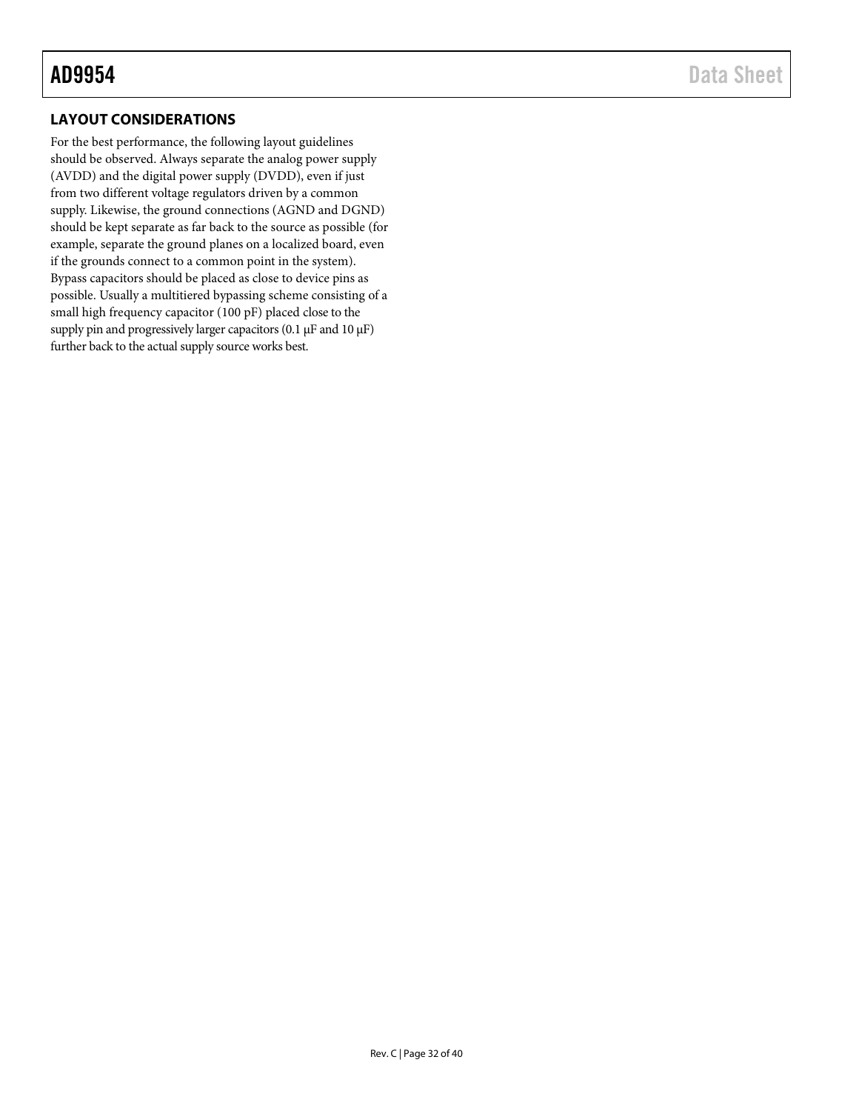# <span id="page-31-0"></span>**LAYOUT CONSIDERATIONS**

For the best performance, the following layout guidelines should be observed. Always separate the analog power supply (AVDD) and the digital power supply (DVDD), even if just from two different voltage regulators driven by a common supply. Likewise, the ground connections (AGND and DGND) should be kept separate as far back to the source as possible (for example, separate the ground planes on a localized board, even if the grounds connect to a common point in the system). Bypass capacitors should be placed as close to device pins as possible. Usually a multitiered bypassing scheme consisting of a small high frequency capacitor (100 pF) placed close to the supply pin and progressively larger capacitors (0.1  $\mu$ F and 10  $\mu$ F) further back to the actual supply source works best.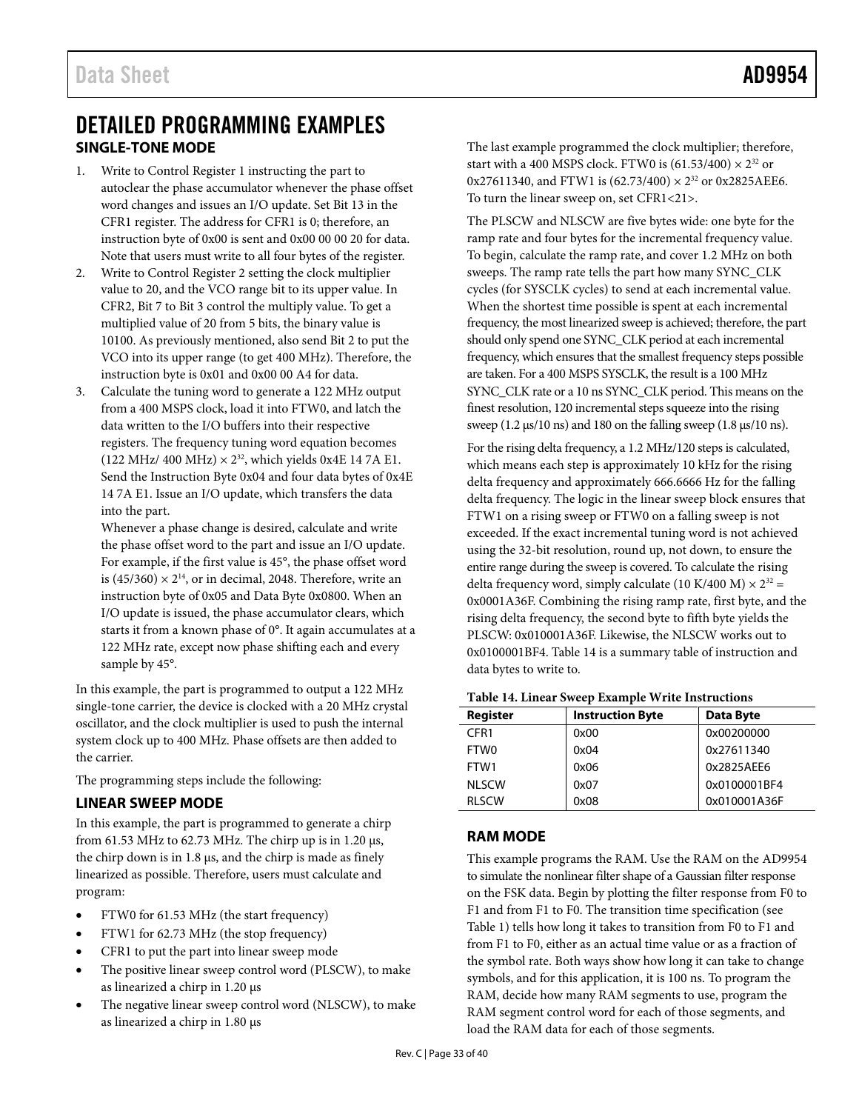# <span id="page-32-0"></span>DETAILED PROGRAMMING EXAMPLES **SINGLE-TONE MODE**

- <span id="page-32-1"></span>1. Write to Control Register 1 instructing the part to autoclear the phase accumulator whenever the phase offset word changes and issues an I/O update. Set Bit 13 in the CFR1 register. The address for CFR1 is 0; therefore, an instruction byte of 0x00 is sent and 0x00 00 00 20 for data. Note that users must write to all four bytes of the register.
- 2. Write to Control Register 2 setting the clock multiplier value to 20, and the VCO range bit to its upper value. In CFR2, Bit 7 to Bit 3 control the multiply value. To get a multiplied value of 20 from 5 bits, the binary value is 10100. As previously mentioned, also send Bit 2 to put the VCO into its upper range (to get 400 MHz). Therefore, the instruction byte is 0x01 and 0x00 00 A4 for data.
- 3. Calculate the tuning word to generate a 122 MHz output from a 400 MSPS clock, load it into FTW0, and latch the data written to the I/O buffers into their respective registers. The frequency tuning word equation becomes (122 MHz/ 400 MHz)  $\times$  2<sup>32</sup>, which yields 0x4E 14 7A E1. Send the Instruction Byte 0x04 and four data bytes of 0x4E 14 7A E1. Issue an I/O update, which transfers the data into the part.

Whenever a phase change is desired, calculate and write the phase offset word to the part and issue an I/O update. For example, if the first value is 45°, the phase offset word is (45/360)  $\times$  2<sup>14</sup>, or in decimal, 2048. Therefore, write an instruction byte of 0x05 and Data Byte 0x0800. When an I/O update is issued, the phase accumulator clears, which starts it from a known phase of 0°. It again accumulates at a 122 MHz rate, except now phase shifting each and every sample by 45°.

In this example, the part is programmed to output a 122 MHz single-tone carrier, the device is clocked with a 20 MHz crystal oscillator, and the clock multiplier is used to push the internal system clock up to 400 MHz. Phase offsets are then added to the carrier.

The programming steps include the following:

# <span id="page-32-2"></span>**LINEAR SWEEP MODE**

In this example, the part is programmed to generate a chirp from 61.53 MHz to 62.73 MHz. The chirp up is in 1.20  $\mu$ s, the chirp down is in 1.8 µs, and the chirp is made as finely linearized as possible. Therefore, users must calculate and program:

- FTW0 for 61.53 MHz (the start frequency)
- FTW1 for 62.73 MHz (the stop frequency)
- CFR1 to put the part into linear sweep mode
- The positive linear sweep control word (PLSCW), to make as linearized a chirp in 1.20 µs
- The negative linear sweep control word (NLSCW), to make as linearized a chirp in 1.80 µs

The last example programmed the clock multiplier; therefore, start with a 400 MSPS clock. FTW0 is  $(61.53/400) \times 2^{32}$  or  $0x27611340$ , and FTW1 is  $(62.73/400) \times 2^{32}$  or  $0x2825AEE6$ . To turn the linear sweep on, set CFR1<21>.

The PLSCW and NLSCW are five bytes wide: one byte for the ramp rate and four bytes for the incremental frequency value. To begin, calculate the ramp rate, and cover 1.2 MHz on both sweeps. The ramp rate tells the part how many SYNC\_CLK cycles (for SYSCLK cycles) to send at each incremental value. When the shortest time possible is spent at each incremental frequency, the most linearized sweep is achieved; therefore, the part should only spend one SYNC\_CLK period at each incremental frequency, which ensures that the smallest frequency steps possible are taken. For a 400 MSPS SYSCLK, the result is a 100 MHz SYNC\_CLK rate or a 10 ns SYNC\_CLK period. This means on the finest resolution, 120 incremental steps squeeze into the rising sweep (1.2 μs/10 ns) and 180 on the falling sweep (1.8 μs/10 ns).

For the rising delta frequency, a 1.2 MHz/120 steps is calculated, which means each step is approximately 10 kHz for the rising delta frequency and approximately 666.6666 Hz for the falling delta frequency. The logic in the linear sweep block ensures that FTW1 on a rising sweep or FTW0 on a falling sweep is not exceeded. If the exact incremental tuning word is not achieved using the 32-bit resolution, round up, not down, to ensure the entire range during the sweep is covered. To calculate the rising delta frequency word, simply calculate (10 K/400 M)  $\times 2^{32}$  = 0x0001A36F. Combining the rising ramp rate, first byte, and the rising delta frequency, the second byte to fifth byte yields the PLSCW: 0x010001A36F. Likewise, the NLSCW works out to 0x0100001BF4[. Table 14](#page-32-4) is a summary table of instruction and data bytes to write to.

#### <span id="page-32-4"></span>**Table 14. Linear Sweep Example Write Instructions**

| <b>Register</b>  | <b>Instruction Byte</b> | <b>Data Byte</b> |
|------------------|-------------------------|------------------|
| CFR <sub>1</sub> | 0x00                    | 0x00200000       |
| <b>FTWO</b>      | 0x04                    | 0x27611340       |
| FTW1             | 0x06                    | 0x2825AEE6       |
| <b>NLSCW</b>     | 0x07                    | 0x0100001BF4     |
| <b>RISCW</b>     | 0x08                    | 0x010001A36F     |

# <span id="page-32-3"></span>**RAM MODE**

This example programs the RAM. Use the RAM on the AD9954 to simulate the nonlinear filter shape of a Gaussian filter response on the FSK data. Begin by plotting the filter response from F0 to F1 and from F1 to F0. The transition time specification (see [Table 1\)](#page-3-1) tells how long it takes to transition from F0 to F1 and from F1 to F0, either as an actual time value or as a fraction of the symbol rate. Both ways show how long it can take to change symbols, and for this application, it is 100 ns. To program the RAM, decide how many RAM segments to use, program the RAM segment control word for each of those segments, and load the RAM data for each of those segments.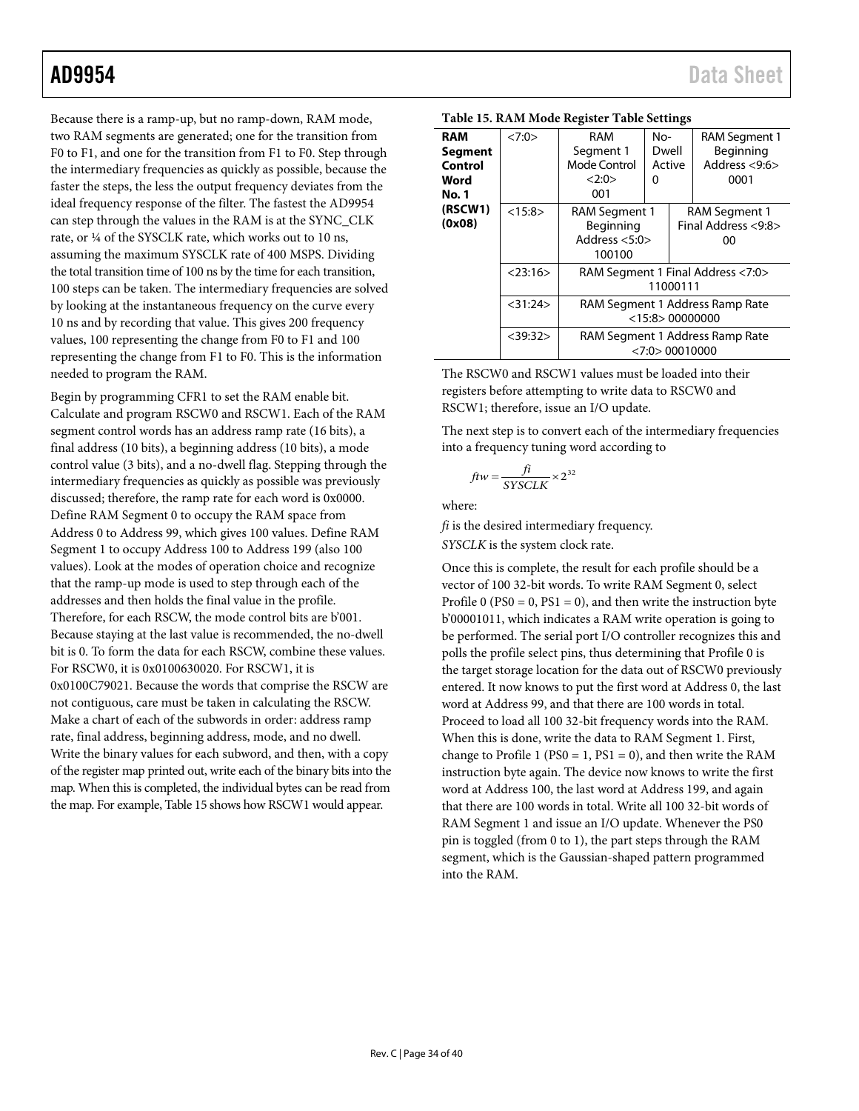Because there is a ramp-up, but no ramp-down, RAM mode, two RAM segments are generated; one for the transition from F0 to F1, and one for the transition from F1 to F0. Step through the intermediary frequencies as quickly as possible, because the faster the steps, the less the output frequency deviates from the ideal frequency response of the filter. The fastest the AD9954 can step through the values in the RAM is at the SYNC\_CLK rate, or ¼ of the SYSCLK rate, which works out to 10 ns, assuming the maximum SYSCLK rate of 400 MSPS. Dividing the total transition time of 100 ns by the time for each transition, 100 steps can be taken. The intermediary frequencies are solved by looking at the instantaneous frequency on the curve every 10 ns and by recording that value. This gives 200 frequency values, 100 representing the change from F0 to F1 and 100 representing the change from F1 to F0. This is the information needed to program the RAM.

Begin by programming CFR1 to set the RAM enable bit. Calculate and program RSCW0 and RSCW1. Each of the RAM segment control words has an address ramp rate (16 bits), a final address (10 bits), a beginning address (10 bits), a mode control value (3 bits), and a no-dwell flag. Stepping through the intermediary frequencies as quickly as possible was previously discussed; therefore, the ramp rate for each word is 0x0000. Define RAM Segment 0 to occupy the RAM space from Address 0 to Address 99, which gives 100 values. Define RAM Segment 1 to occupy Address 100 to Address 199 (also 100 values). Look at the modes of operation choice and recognize that the ramp-up mode is used to step through each of the addresses and then holds the final value in the profile. Therefore, for each RSCW, the mode control bits are b'001. Because staying at the last value is recommended, the no-dwell bit is 0. To form the data for each RSCW, combine these values. For RSCW0, it is 0x0100630020. For RSCW1, it is 0x0100C79021. Because the words that comprise the RSCW are not contiguous, care must be taken in calculating the RSCW. Make a chart of each of the subwords in order: address ramp rate, final address, beginning address, mode, and no dwell. Write the binary values for each subword, and then, with a copy of the register map printed out, write each of the binary bits into the map. When this is completed, the individual bytes can be read from the map. For example[, Table 15](#page-33-0) shows how RSCW1 would appear.

| Table 19. Krim mode Register Table octtings       |               |                                                         |                                                                                                        |                                            |                                                            |  |  |  |
|---------------------------------------------------|---------------|---------------------------------------------------------|--------------------------------------------------------------------------------------------------------|--------------------------------------------|------------------------------------------------------------|--|--|--|
| <b>RAM</b><br>Segment<br>Control<br>Word<br>No. 1 | <7:0>         | <b>RAM</b><br>Segment 1<br>Mode Control<br><2:0><br>001 | $No-$<br>Dwell<br>Active<br>0                                                                          |                                            | <b>RAM Segment 1</b><br>Beginning<br>Address <9:6><br>0001 |  |  |  |
| (RSCW1)<br>(0x08)                                 | <15:8>        | RAM Segment 1<br>Beginning<br>Address $< 5:0$<br>100100 |                                                                                                        | RAM Segment 1<br>Final Address <9:8><br>00 |                                                            |  |  |  |
|                                                   | $<$ 23:16 $>$ |                                                         | RAM Segment 1 Final Address <7:0><br>11000111<br>RAM Segment 1 Address Ramp Rate<br>$<$ 15:8> 00000000 |                                            |                                                            |  |  |  |
|                                                   | $<$ 31:24 $>$ |                                                         |                                                                                                        |                                            |                                                            |  |  |  |
|                                                   | $<$ 39:32 $>$ |                                                         | RAM Segment 1 Address Ramp Rate<br>$<$ 7:0 $>$ 00010000                                                |                                            |                                                            |  |  |  |

<span id="page-33-0"></span>

|  |  |  |  |  | <b>Table 15. RAM Mode Register Table Settings</b> |
|--|--|--|--|--|---------------------------------------------------|
|--|--|--|--|--|---------------------------------------------------|

The RSCW0 and RSCW1 values must be loaded into their registers before attempting to write data to RSCW0 and RSCW1; therefore, issue an I/O update.

The next step is to convert each of the intermediary frequencies into a frequency tuning word according to

$$
ftw = \frac{fi}{SYSCLK} \times 2^{32}
$$

where:

*fi* is the desired intermediary frequency.

*SYSCLK* is the system clock rate.

Once this is complete, the result for each profile should be a vector of 100 32-bit words. To write RAM Segment 0, select Profile  $0$  (PS0 = 0, PS1 = 0), and then write the instruction byte b'00001011, which indicates a RAM write operation is going to be performed. The serial port I/O controller recognizes this and polls the profile select pins, thus determining that Profile 0 is the target storage location for the data out of RSCW0 previously entered. It now knows to put the first word at Address 0, the last word at Address 99, and that there are 100 words in total. Proceed to load all 100 32-bit frequency words into the RAM. When this is done, write the data to RAM Segment 1. First, change to Profile 1 (PS0 = 1, PS1 = 0), and then write the RAM instruction byte again. The device now knows to write the first word at Address 100, the last word at Address 199, and again that there are 100 words in total. Write all 100 32-bit words of RAM Segment 1 and issue an I/O update. Whenever the PS0 pin is toggled (from 0 to 1), the part steps through the RAM segment, which is the Gaussian-shaped pattern programmed into the RAM.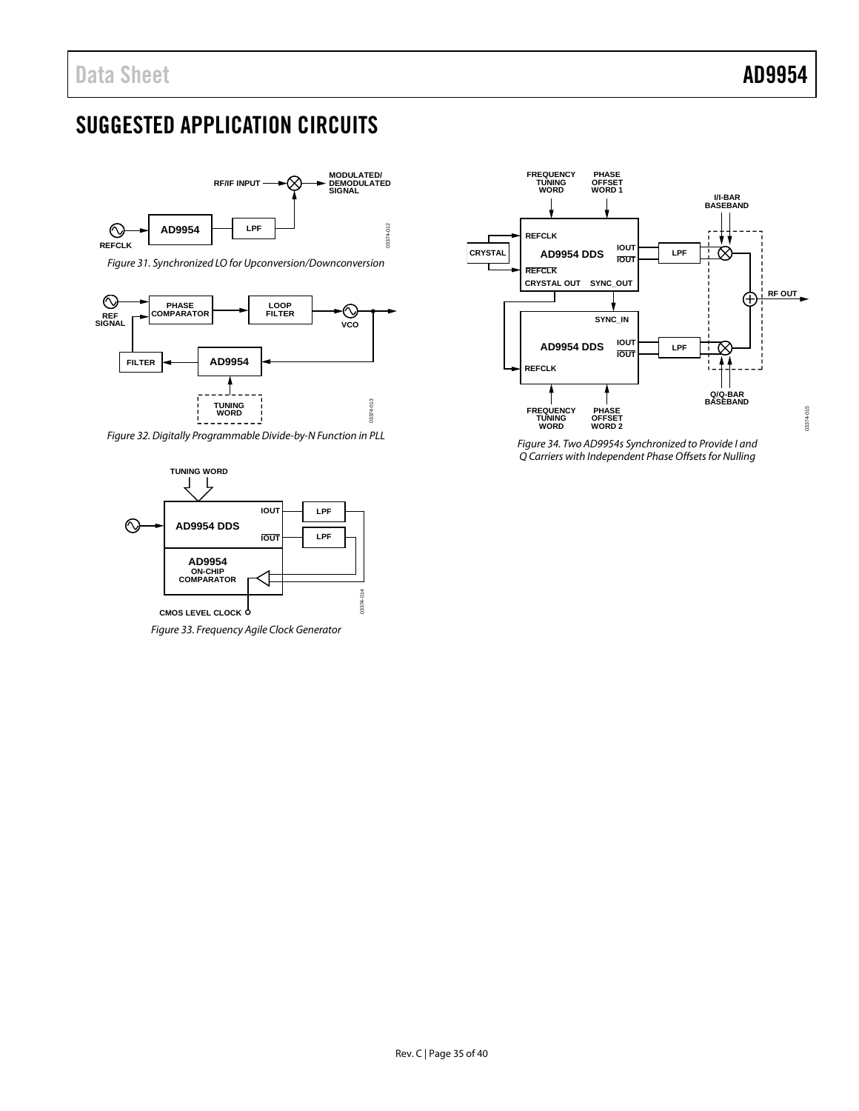# <span id="page-34-0"></span>SUGGESTED APPLICATION CIRCUITS



*Figure 31. Synchronized LO for Upconversion/Downconversion*



*Figure 32. Digitally Programmable Divide-by-N Function in PLL*



*Figure 33. Frequency Agile Clock Generator*



*Figure 34. Two AD9954s Synchronized to Provide I and Q Carriers with Independent Phase Offsets for Nulling*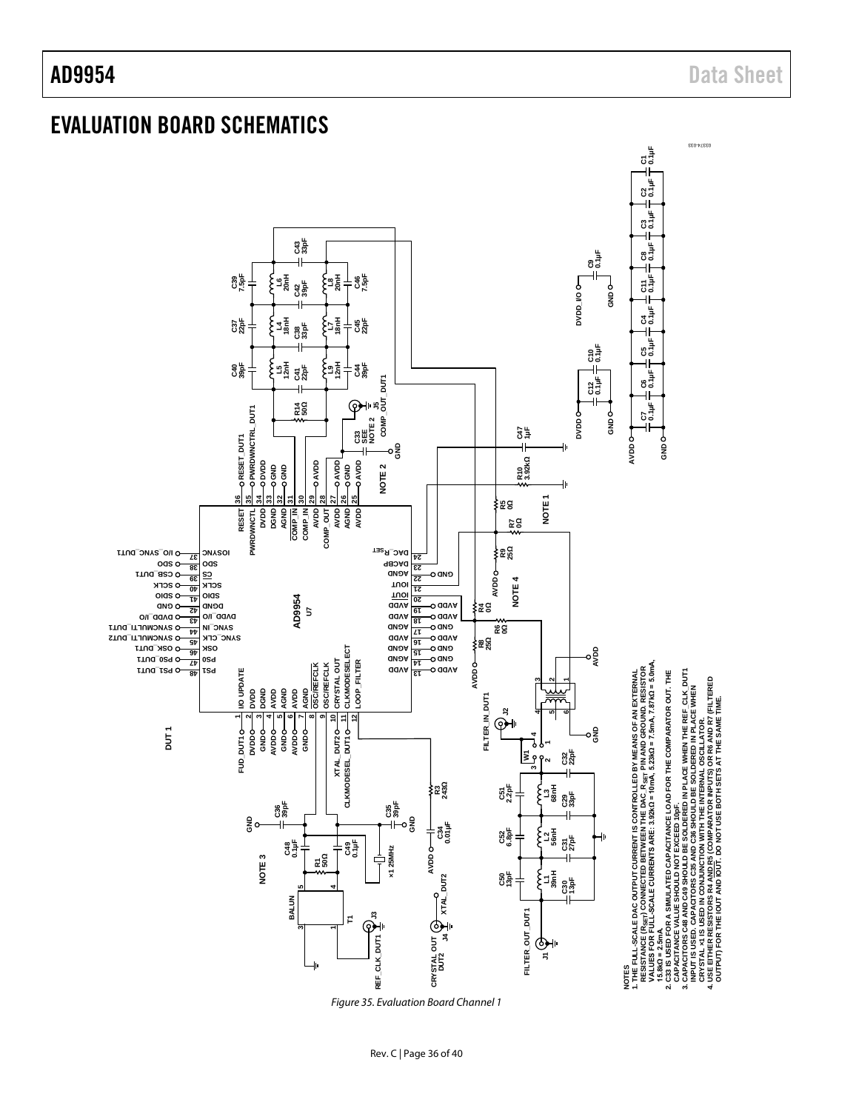# <span id="page-35-0"></span>EVALUATION BOARD SCHEMATICS

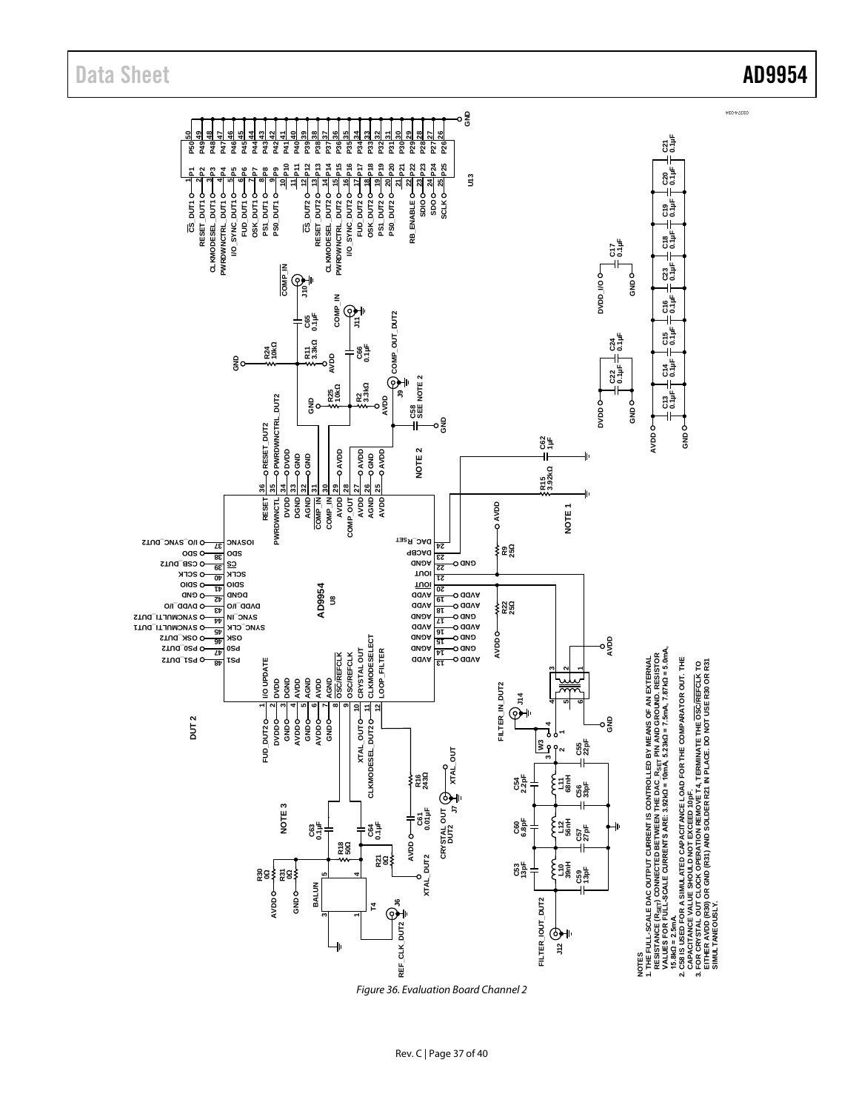

*Figure 36. Evaluation Board Channel 2*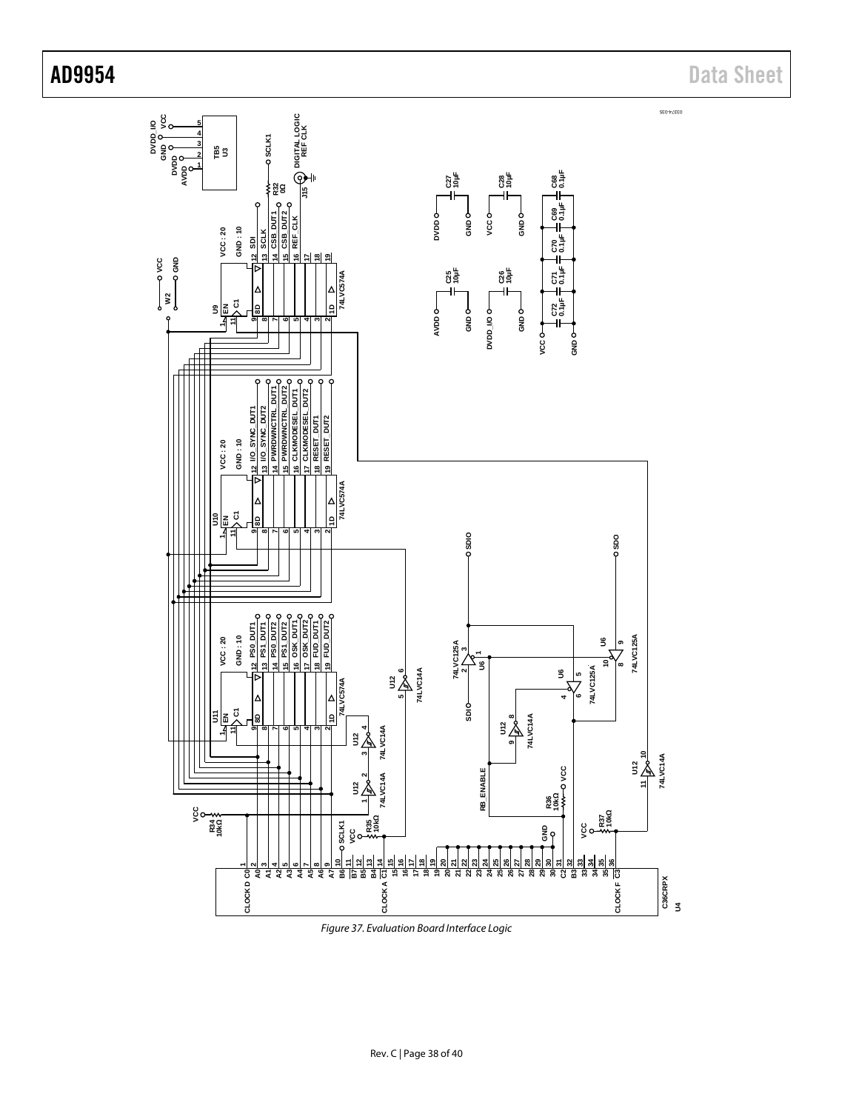

*Figure 37. Evaluation Board Interface Logic*

AD9954 Data Sheet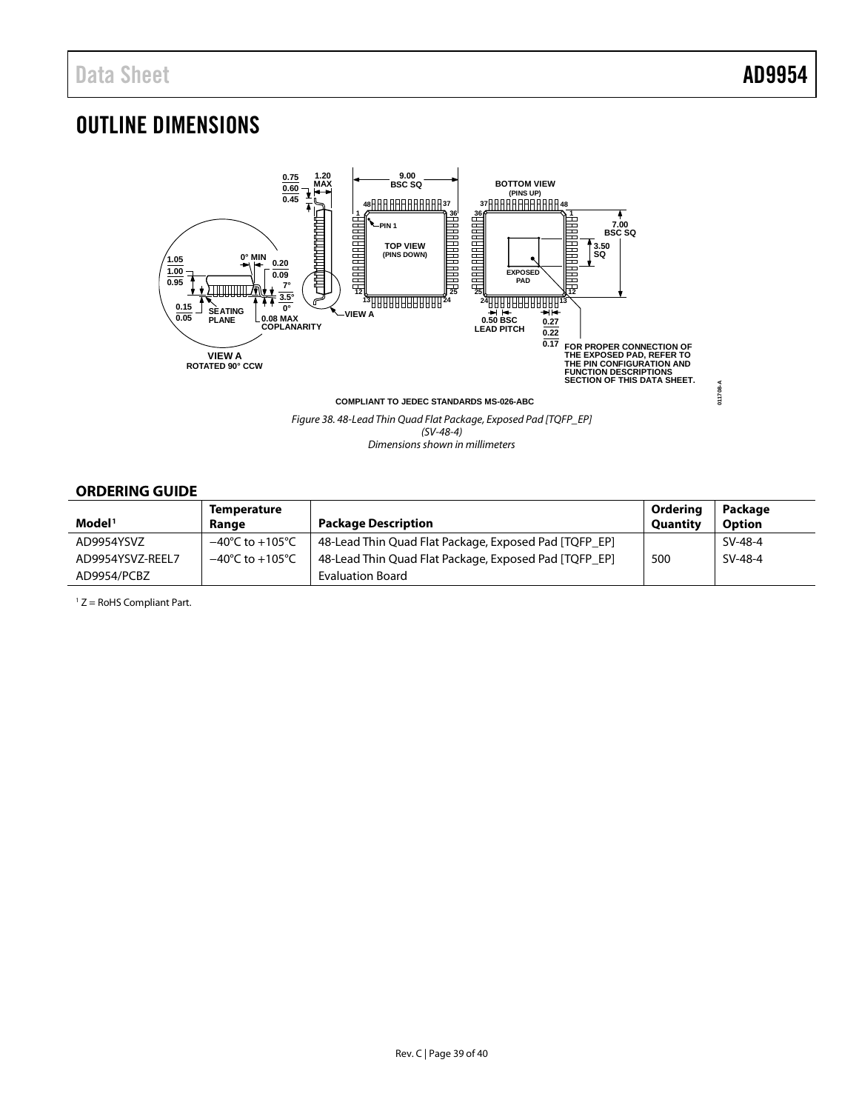# <span id="page-38-0"></span>OUTLINE DIMENSIONS



*Figure 38. 48-Lead Thin Quad Flat Package, Exposed Pad [TQFP\_EP] (SV-48-4) Dimensions shown in millimeters*

# <span id="page-38-1"></span>**ORDERING GUIDE**

|                    | <b>Temperature</b>                  |                                                       | Ordering        | Package       |
|--------------------|-------------------------------------|-------------------------------------------------------|-----------------|---------------|
| Model <sup>1</sup> | Range                               | <b>Package Description</b>                            | <b>Quantity</b> | <b>Option</b> |
| AD9954YSVZ         | $-40^{\circ}$ C to $+105^{\circ}$ C | 48-Lead Thin Quad Flat Package, Exposed Pad [TQFP_EP] |                 | SV-48-4       |
| AD9954YSVZ-REEL7   | $-40^{\circ}$ C to $+105^{\circ}$ C | 48-Lead Thin Quad Flat Package, Exposed Pad [TQFP EP] | 500             | SV-48-4       |
| AD9954/PCBZ        |                                     | Evaluation Board                                      |                 |               |

 $1 Z =$  RoHS Compliant Part.